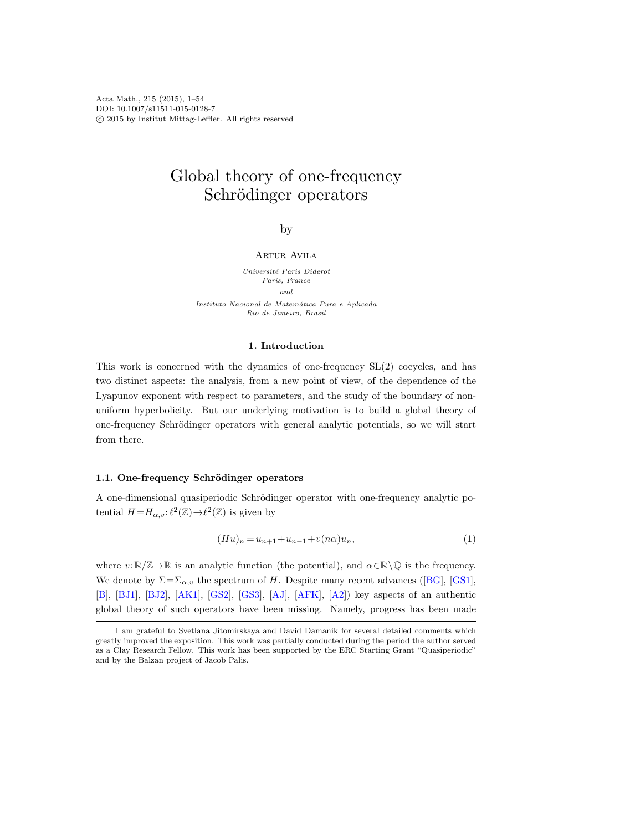Acta Math., 215 (2015), 1–54 DOI: 10.1007/s11511-015-0128-7 c 2015 by Institut Mittag-Leffler. All rights reserved

# Global theory of one-frequency Schrödinger operators

by

### Artur Avila

Université Paris Diderot Paris, France and Instituto Nacional de Matemática Pura e Aplicada Rio de Janeiro, Brasil

### 1. Introduction

This work is concerned with the dynamics of one-frequency SL(2) cocycles, and has two distinct aspects: the analysis, from a new point of view, of the dependence of the Lyapunov exponent with respect to parameters, and the study of the boundary of nonuniform hyperbolicity. But our underlying motivation is to build a global theory of one-frequency Schrödinger operators with general analytic potentials, so we will start from there.

### 1.1. One-frequency Schrödinger operators

A one-dimensional quasiperiodic Schrödinger operator with one-frequency analytic potential  $H = H_{\alpha,\nu}: \ell^2(\mathbb{Z}) \to \ell^2(\mathbb{Z})$  is given by

$$
(Hu)_n = u_{n+1} + u_{n-1} + v(n\alpha)u_n,
$$
\n(1)

where  $v: \mathbb{R}/\mathbb{Z} \to \mathbb{R}$  is an analytic function (the potential), and  $\alpha \in \mathbb{R} \setminus \mathbb{Q}$  is the frequency. We denote by  $\Sigma = \Sigma_{\alpha,v}$  the spectrum of H. Despite many recent advances ([\[BG\]](#page-52-0), [\[GS1\]](#page-53-0), [\[B\]](#page-52-1), [\[BJ1\]](#page-52-2), [\[BJ2\]](#page-52-3), [\[AK1\]](#page-52-4), [\[GS2\]](#page-53-1), [\[GS3\]](#page-53-2), [\[AJ\]](#page-52-5), [\[AFK\]](#page-52-6), [\[A2\]](#page-52-7)) key aspects of an authentic global theory of such operators have been missing. Namely, progress has been made

I am grateful to Svetlana Jitomirskaya and David Damanik for several detailed comments which greatly improved the exposition. This work was partially conducted during the period the author served as a Clay Research Fellow. This work has been supported by the ERC Starting Grant "Quasiperiodic" and by the Balzan project of Jacob Palis.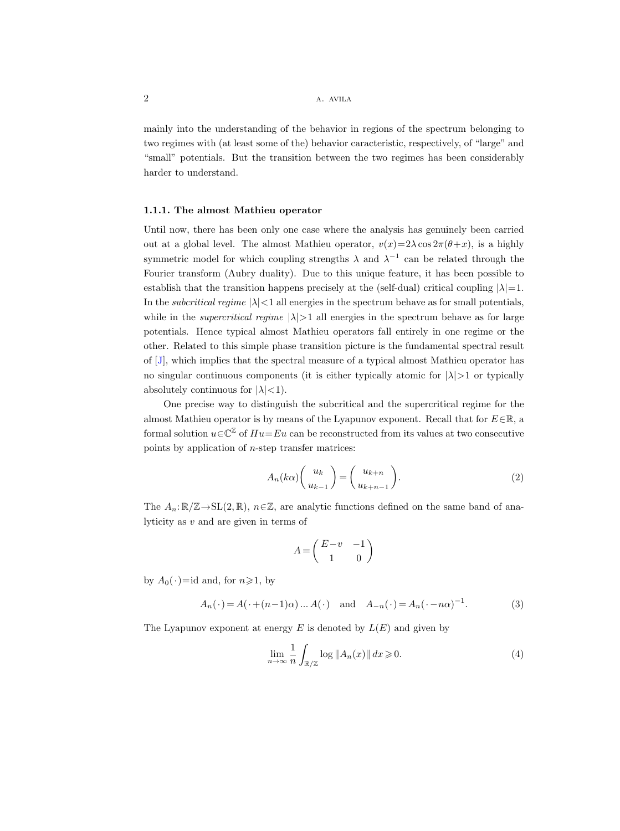mainly into the understanding of the behavior in regions of the spectrum belonging to two regimes with (at least some of the) behavior caracteristic, respectively, of "large" and "small" potentials. But the transition between the two regimes has been considerably harder to understand.

### 1.1.1. The almost Mathieu operator

Until now, there has been only one case where the analysis has genuinely been carried out at a global level. The almost Mathieu operator,  $v(x)=2\lambda \cos 2\pi(\theta+x)$ , is a highly symmetric model for which coupling strengths  $\lambda$  and  $\lambda^{-1}$  can be related through the Fourier transform (Aubry duality). Due to this unique feature, it has been possible to establish that the transition happens precisely at the (self-dual) critical coupling  $|\lambda|=1$ . In the *subcritical regime*  $|\lambda| < 1$  all energies in the spectrum behave as for small potentials, while in the *supercritical regime*  $|\lambda| > 1$  all energies in the spectrum behave as for large potentials. Hence typical almost Mathieu operators fall entirely in one regime or the other. Related to this simple phase transition picture is the fundamental spectral result of [\[J\]](#page-53-3), which implies that the spectral measure of a typical almost Mathieu operator has no singular continuous components (it is either typically atomic for  $|\lambda|>1$  or typically absolutely continuous for  $|\lambda|$  < 1).

One precise way to distinguish the subcritical and the supercritical regime for the almost Mathieu operator is by means of the Lyapunov exponent. Recall that for  $E \in \mathbb{R}$ , a formal solution  $u \in \mathbb{C}^{\mathbb{Z}}$  of  $Hu = Eu$  can be reconstructed from its values at two consecutive points by application of  $n$ -step transfer matrices:

$$
A_n(k\alpha) \binom{u_k}{u_{k-1}} = \binom{u_{k+n}}{u_{k+n-1}}.
$$
\n<sup>(2)</sup>

The  $A_n: \mathbb{R}/\mathbb{Z} \to SL(2, \mathbb{R})$ ,  $n \in \mathbb{Z}$ , are analytic functions defined on the same band of analyticity as v and are given in terms of

$$
A = \begin{pmatrix} E - v & -1 \\ 1 & 0 \end{pmatrix}
$$

by  $A_0(\cdot)$ =id and, for  $n \ge 1$ , by

<span id="page-1-0"></span>
$$
A_n(\cdot) = A(\cdot + (n-1)\alpha) \dots A(\cdot) \quad \text{and} \quad A_{-n}(\cdot) = A_n(\cdot - n\alpha)^{-1}.
$$
 (3)

The Lyapunov exponent at energy  $E$  is denoted by  $L(E)$  and given by

<span id="page-1-1"></span>
$$
\lim_{n \to \infty} \frac{1}{n} \int_{\mathbb{R}/\mathbb{Z}} \log \|A_n(x)\| \, dx \ge 0. \tag{4}
$$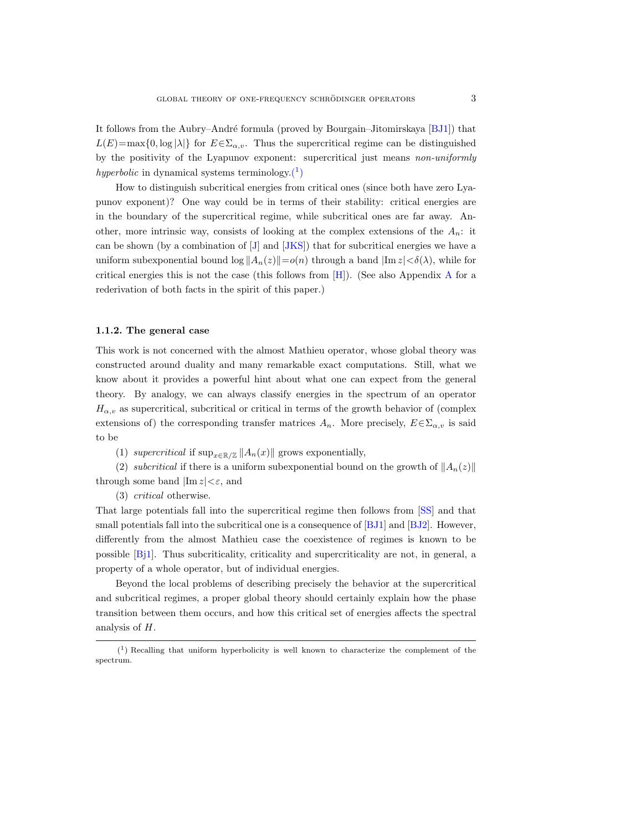It follows from the Aubry–André formula (proved by Bourgain–Jitomirskaya  $[BJ1]$ ) that  $L(E) = \max\{0, \log |\lambda|\}$  for  $E \in \Sigma_{\alpha,v}$ . Thus the supercritical regime can be distinguished by the positivity of the Lyapunov exponent: supercritical just means non-uniformly hyperbolic in dynamical systems terminology. $(1)$ 

How to distinguish subcritical energies from critical ones (since both have zero Lyapunov exponent)? One way could be in terms of their stability: critical energies are in the boundary of the supercritical regime, while subcritical ones are far away. Another, more intrinsic way, consists of looking at the complex extensions of the  $A_n$ : it can be shown (by a combination of [\[J\]](#page-53-3) and [\[JKS\]](#page-53-4)) that for subcritical energies we have a uniform subexponential bound  $\log ||A_n(z)|| = o(n)$  through a band  $|\text{Im } z| < \delta(\lambda)$ , while for critical energies this is not the case (this follows from  $[H]$ ). (See also [A](#page-48-0)ppendix A for a rederivation of both facts in the spirit of this paper.)

### 1.1.2. The general case

This work is not concerned with the almost Mathieu operator, whose global theory was constructed around duality and many remarkable exact computations. Still, what we know about it provides a powerful hint about what one can expect from the general theory. By analogy, we can always classify energies in the spectrum of an operator  $H_{\alpha,v}$  as supercritical, subcritical or critical in terms of the growth behavior of (complex extensions of) the corresponding transfer matrices  $A_n$ . More precisely,  $E \in \Sigma_{\alpha,v}$  is said to be

(1) supercritical if  $\sup_{x \in \mathbb{R}/\mathbb{Z}} ||A_n(x)||$  grows exponentially,

(2) subcritical if there is a uniform subexponential bound on the growth of  $||A_n(z)||$ through some band  $|\text{Im } z| < \varepsilon$ , and

(3) critical otherwise.

That large potentials fall into the supercritical regime then follows from [\[SS\]](#page-53-6) and that small potentials fall into the subcritical one is a consequence of [\[BJ1\]](#page-52-2) and [\[BJ2\]](#page-52-3). However, differently from the almost Mathieu case the coexistence of regimes is known to be possible [\[Bj1\]](#page-52-8). Thus subcriticality, criticality and supercriticality are not, in general, a property of a whole operator, but of individual energies.

Beyond the local problems of describing precisely the behavior at the supercritical and subcritical regimes, a proper global theory should certainly explain how the phase transition between them occurs, and how this critical set of energies affects the spectral analysis of H.

<span id="page-2-0"></span> $(1)$  Recalling that uniform hyperbolicity is well known to characterize the complement of the spectrum.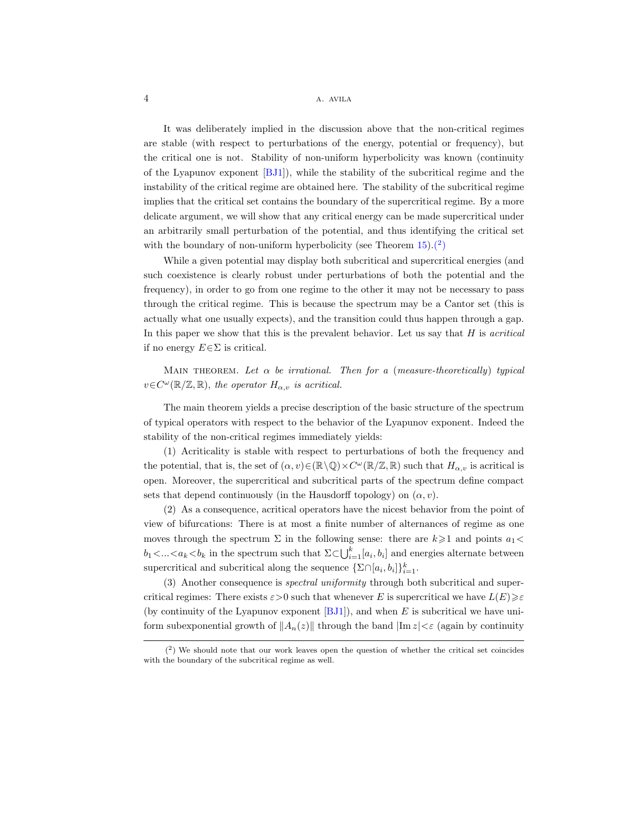It was deliberately implied in the discussion above that the non-critical regimes are stable (with respect to perturbations of the energy, potential or frequency), but the critical one is not. Stability of non-uniform hyperbolicity was known (continuity of the Lyapunov exponent [\[BJ1\]](#page-52-2)), while the stability of the subcritical regime and the instability of the critical regime are obtained here. The stability of the subcritical regime implies that the critical set contains the boundary of the supercritical regime. By a more delicate argument, we will show that any critical energy can be made supercritical under an arbitrarily small perturbation of the potential, and thus identifying the critical set with the boundary of non-uniform hyperbolicity (see Theorem  $15$ ).<sup>(2)</sup>

While a given potential may display both subcritical and supercritical energies (and such coexistence is clearly robust under perturbations of both the potential and the frequency), in order to go from one regime to the other it may not be necessary to pass through the critical regime. This is because the spectrum may be a Cantor set (this is actually what one usually expects), and the transition could thus happen through a gap. In this paper we show that this is the prevalent behavior. Let us say that  $H$  is *acritical* if no energy  $E \in \Sigma$  is critical.

MAIN THEOREM. Let  $\alpha$  be irrational. Then for a (measure-theoretically) typical  $v \in C^{\omega}(\mathbb{R}/\mathbb{Z}, \mathbb{R})$ , the operator  $H_{\alpha, v}$  is acritical.

The main theorem yields a precise description of the basic structure of the spectrum of typical operators with respect to the behavior of the Lyapunov exponent. Indeed the stability of the non-critical regimes immediately yields:

(1) Acriticality is stable with respect to perturbations of both the frequency and the potential, that is, the set of  $(\alpha, v) \in (\mathbb{R} \setminus \mathbb{Q}) \times C^{\omega}(\mathbb{R} / \mathbb{Z}, \mathbb{R})$  such that  $H_{\alpha, v}$  is acritical is open. Moreover, the supercritical and subcritical parts of the spectrum define compact sets that depend continuously (in the Hausdorff topology) on  $(\alpha, v)$ .

(2) As a consequence, acritical operators have the nicest behavior from the point of view of bifurcations: There is at most a finite number of alternances of regime as one moves through the spectrum  $\Sigma$  in the following sense: there are  $k \geq 1$  and points  $a_1$  $b_1 < ... < a_k < b_k$  in the spectrum such that  $\Sigma \subset \bigcup_{i=1}^k [a_i, b_i]$  and energies alternate between supercritical and subcritical along the sequence  $\{\Sigma \cap [a_i, b_i]\}_{i=1}^k$ .

(3) Another consequence is spectral uniformity through both subcritical and supercritical regimes: There exists  $\varepsilon > 0$  such that whenever E is supercritical we have  $L(E) \geqslant \varepsilon$ (by continuity of the Lyapunov exponent  $[BJ1]$ ), and when E is subcritical we have uniform subexponential growth of  $||A_n(z)||$  through the band  $|\text{Im } z| < \epsilon$  (again by continuity

<span id="page-3-0"></span> $(2)$  We should note that our work leaves open the question of whether the critical set coincides with the boundary of the subcritical regime as well.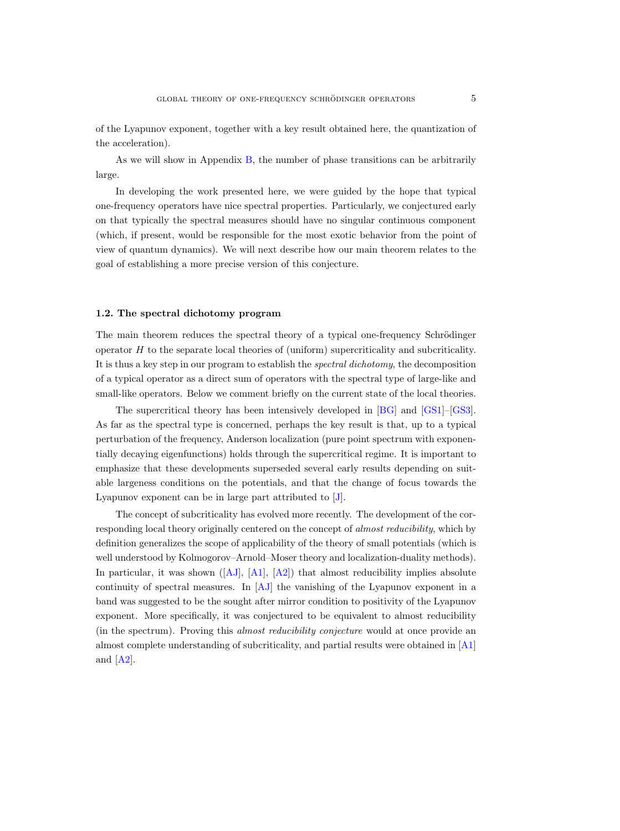of the Lyapunov exponent, together with a key result obtained here, the quantization of the acceleration).

As we will show in Appendix [B,](#page-49-0) the number of phase transitions can be arbitrarily large.

In developing the work presented here, we were guided by the hope that typical one-frequency operators have nice spectral properties. Particularly, we conjectured early on that typically the spectral measures should have no singular continuous component (which, if present, would be responsible for the most exotic behavior from the point of view of quantum dynamics). We will next describe how our main theorem relates to the goal of establishing a more precise version of this conjecture.

### 1.2. The spectral dichotomy program

The main theorem reduces the spectral theory of a typical one-frequency Schrödinger operator  $H$  to the separate local theories of (uniform) supercriticality and subcriticality. It is thus a key step in our program to establish the spectral dichotomy, the decomposition of a typical operator as a direct sum of operators with the spectral type of large-like and small-like operators. Below we comment briefly on the current state of the local theories.

The supercritical theory has been intensively developed in [\[BG\]](#page-52-0) and [\[GS1\]](#page-53-0)–[\[GS3\]](#page-53-2). As far as the spectral type is concerned, perhaps the key result is that, up to a typical perturbation of the frequency, Anderson localization (pure point spectrum with exponentially decaying eigenfunctions) holds through the supercritical regime. It is important to emphasize that these developments superseded several early results depending on suitable largeness conditions on the potentials, and that the change of focus towards the Lyapunov exponent can be in large part attributed to [\[J\]](#page-53-3).

The concept of subcriticality has evolved more recently. The development of the corresponding local theory originally centered on the concept of almost reducibility, which by definition generalizes the scope of applicability of the theory of small potentials (which is well understood by Kolmogorov–Arnold–Moser theory and localization-duality methods). In particular, it was shown ([\[AJ\]](#page-52-5), [\[A1\]](#page-52-9), [\[A2\]](#page-52-7)) that almost reducibility implies absolute continuity of spectral measures. In [\[AJ\]](#page-52-5) the vanishing of the Lyapunov exponent in a band was suggested to be the sought after mirror condition to positivity of the Lyapunov exponent. More specifically, it was conjectured to be equivalent to almost reducibility (in the spectrum). Proving this almost reducibility conjecture would at once provide an almost complete understanding of subcriticality, and partial results were obtained in [\[A1\]](#page-52-9) and  $[A2]$ .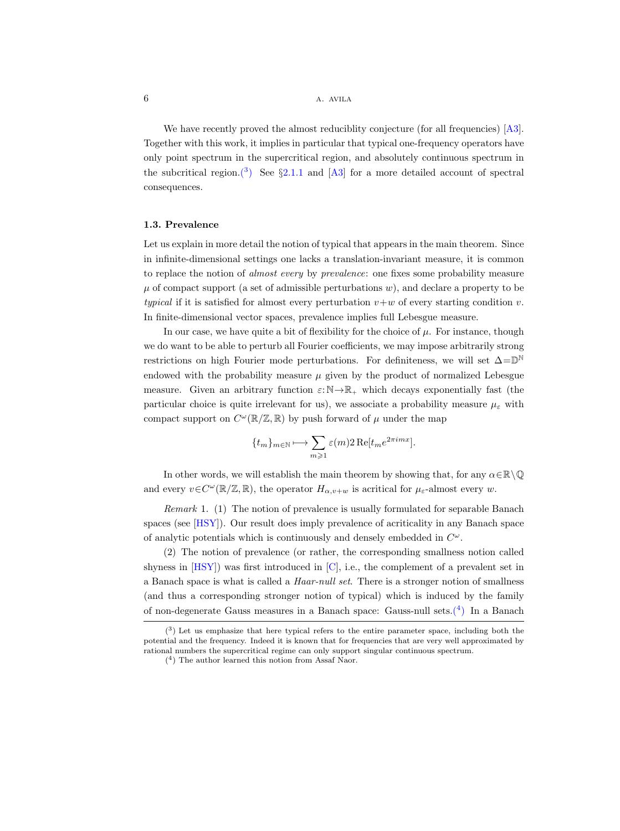We have recently proved the almost reduciblity conjecture (for all frequencies) [\[A3\]](#page-52-10). Together with this work, it implies in particular that typical one-frequency operators have only point spectrum in the supercritical region, and absolutely continuous spectrum in the subcritical region.<sup>(3)</sup> See  $\S2.1.1$  $\S2.1.1$  and [\[A3\]](#page-52-10) for a more detailed account of spectral consequences.

### 1.3. Prevalence

Let us explain in more detail the notion of typical that appears in the main theorem. Since in infinite-dimensional settings one lacks a translation-invariant measure, it is common to replace the notion of almost every by prevalence: one fixes some probability measure  $\mu$  of compact support (a set of admissible perturbations  $w$ ), and declare a property to be typical if it is satisfied for almost every perturbation  $v+w$  of every starting condition v. In finite-dimensional vector spaces, prevalence implies full Lebesgue measure.

In our case, we have quite a bit of flexibility for the choice of  $\mu$ . For instance, though we do want to be able to perturb all Fourier coefficients, we may impose arbitrarily strong restrictions on high Fourier mode perturbations. For definiteness, we will set  $\Delta = \mathbb{D}^{\mathbb{N}}$ endowed with the probability measure  $\mu$  given by the product of normalized Lebesgue measure. Given an arbitrary function  $\varepsilon:\mathbb{N}\to\mathbb{R}_+$  which decays exponentially fast (the particular choice is quite irrelevant for us), we associate a probability measure  $\mu_{\varepsilon}$  with compact support on  $C^{\omega}(\mathbb{R}/\mathbb{Z}, \mathbb{R})$  by push forward of  $\mu$  under the map

$$
\{t_m\}_{m\in\mathbb{N}}\longmapsto\sum_{m\geqslant 1}\varepsilon(m)2\operatorname{Re}[t_me^{2\pi imx}].
$$

In other words, we will establish the main theorem by showing that, for any  $\alpha \in \mathbb{R} \setminus \mathbb{Q}$ and every  $v \in C^{\omega}(\mathbb{R}/\mathbb{Z}, \mathbb{R})$ , the operator  $H_{\alpha,v+w}$  is acritical for  $\mu_{\varepsilon}$ -almost every w.

Remark 1. (1) The notion of prevalence is usually formulated for separable Banach spaces (see [\[HSY\]](#page-53-7)). Our result does imply prevalence of acriticality in any Banach space of analytic potentials which is continuously and densely embedded in  $C^{\omega}$ .

(2) The notion of prevalence (or rather, the corresponding smallness notion called shyness in  $[HSY]$ ) was first introduced in  $[C]$ , i.e., the complement of a prevalent set in a Banach space is what is called a Haar-null set. There is a stronger notion of smallness (and thus a corresponding stronger notion of typical) which is induced by the family of non-degenerate Gauss measures in a Banach space: Gauss-null sets[.\(](#page-5-1) 4 ) In a Banach

<sup>(</sup> 3 ) Let us emphasize that here typical refers to the entire parameter space, including both the potential and the frequency. Indeed it is known that for frequencies that are very well approximated by rational numbers the supercritical regime can only support singular continuous spectrum.

<span id="page-5-1"></span><span id="page-5-0"></span><sup>(</sup> 4 ) The author learned this notion from Assaf Naor.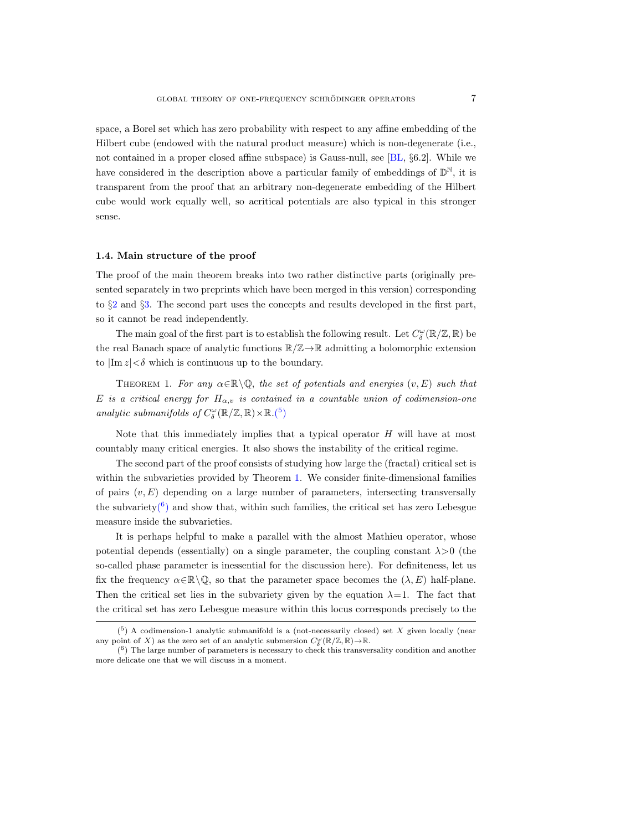space, a Borel set which has zero probability with respect to any affine embedding of the Hilbert cube (endowed with the natural product measure) which is non-degenerate (i.e., not contained in a proper closed affine subspace) is Gauss-null, see [\[BL,](#page-52-12) §6.2]. While we have considered in the description above a particular family of embeddings of  $\mathbb{D}^{\mathbb{N}}$ , it is transparent from the proof that an arbitrary non-degenerate embedding of the Hilbert cube would work equally well, so acritical potentials are also typical in this stronger sense.

### 1.4. Main structure of the proof

The proof of the main theorem breaks into two rather distinctive parts (originally presented separately in two preprints which have been merged in this version) corresponding to §[2](#page-7-0) and §[3.](#page-27-0) The second part uses the concepts and results developed in the first part, so it cannot be read independently.

The main goal of the first part is to establish the following result. Let  $C^{\omega}_{\delta}(\R/\Z, \R)$  be the real Banach space of analytic functions  $\mathbb{R}/\mathbb{Z} \to \mathbb{R}$  admitting a holomorphic extension to  $|\text{Im } z| < \delta$  which is continuous up to the boundary.

<span id="page-6-1"></span>THEOREM 1. For any  $\alpha \in \mathbb{R} \setminus \mathbb{Q}$ , the set of potentials and energies  $(v, E)$  such that E is a critical energy for  $H_{\alpha,v}$  is contained in a countable union of codimension-one analytic submanifolds of  $C^{\omega}_{\delta}(\mathbb{R}/\mathbb{Z}, \mathbb{R}) \times \mathbb{R}.(^{5})$  $C^{\omega}_{\delta}(\mathbb{R}/\mathbb{Z}, \mathbb{R}) \times \mathbb{R}.(^{5})$  $C^{\omega}_{\delta}(\mathbb{R}/\mathbb{Z}, \mathbb{R}) \times \mathbb{R}.(^{5})$ 

Note that this immediately implies that a typical operator  $H$  will have at most countably many critical energies. It also shows the instability of the critical regime.

The second part of the proof consists of studying how large the (fractal) critical set is within the subvarieties provided by Theorem [1.](#page-6-1) We consider finite-dimensional families of pairs  $(v, E)$  depending on a large number of parameters, intersecting transversally the subvariety $(6)$  and show that, within such families, the critical set has zero Lebesgue measure inside the subvarieties.

It is perhaps helpful to make a parallel with the almost Mathieu operator, whose potential depends (essentially) on a single parameter, the coupling constant  $\lambda > 0$  (the so-called phase parameter is inessential for the discussion here). For definiteness, let us fix the frequency  $\alpha \in \mathbb{R} \setminus \mathbb{Q}$ , so that the parameter space becomes the  $(\lambda, E)$  half-plane. Then the critical set lies in the subvariety given by the equation  $\lambda = 1$ . The fact that the critical set has zero Lebesgue measure within this locus corresponds precisely to the

<span id="page-6-0"></span> $(5)$  A codimension-1 analytic submanifold is a (not-necessarily closed) set X given locally (near any point of X) as the zero set of an analytic submersion  $C^{\omega}_{\delta}(\mathbb{R}/\mathbb{Z}, \mathbb{R}) \to \mathbb{R}$ .

<span id="page-6-2"></span> $(6)$  The large number of parameters is necessary to check this transversality condition and another more delicate one that we will discuss in a moment.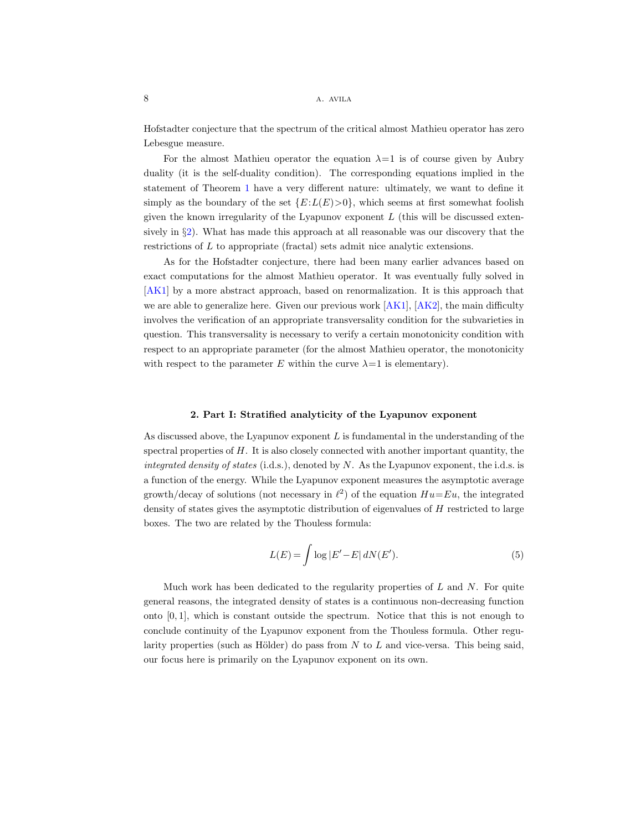Hofstadter conjecture that the spectrum of the critical almost Mathieu operator has zero Lebesgue measure.

For the almost Mathieu operator the equation  $\lambda = 1$  is of course given by Aubry duality (it is the self-duality condition). The corresponding equations implied in the statement of Theorem [1](#page-6-1) have a very different nature: ultimately, we want to define it simply as the boundary of the set  $\{E : L(E) > 0\}$ , which seems at first somewhat foolish given the known irregularity of the Lyapunov exponent  $L$  (this will be discussed extensively in §[2\)](#page-7-0). What has made this approach at all reasonable was our discovery that the restrictions of L to appropriate (fractal) sets admit nice analytic extensions.

As for the Hofstadter conjecture, there had been many earlier advances based on exact computations for the almost Mathieu operator. It was eventually fully solved in [\[AK1\]](#page-52-4) by a more abstract approach, based on renormalization. It is this approach that we are able to generalize here. Given our previous work  $[AK1]$ ,  $[AK2]$ , the main difficulty involves the verification of an appropriate transversality condition for the subvarieties in question. This transversality is necessary to verify a certain monotonicity condition with respect to an appropriate parameter (for the almost Mathieu operator, the monotonicity with respect to the parameter E within the curve  $\lambda = 1$  is elementary).

### 2. Part I: Stratified analyticity of the Lyapunov exponent

<span id="page-7-0"></span>As discussed above, the Lyapunov exponent  $L$  is fundamental in the understanding of the spectral properties of H. It is also closely connected with another important quantity, the integrated density of states (i.d.s.), denoted by  $N$ . As the Lyapunov exponent, the i.d.s. is a function of the energy. While the Lyapunov exponent measures the asymptotic average growth/decay of solutions (not necessary in  $\ell^2$ ) of the equation  $Hu=Eu$ , the integrated density of states gives the asymptotic distribution of eigenvalues of  $H$  restricted to large boxes. The two are related by the Thouless formula:

$$
L(E) = \int \log |E' - E| \, dN(E'). \tag{5}
$$

Much work has been dedicated to the regularity properties of  $L$  and  $N$ . For quite general reasons, the integrated density of states is a continuous non-decreasing function onto  $[0, 1]$ , which is constant outside the spectrum. Notice that this is not enough to conclude continuity of the Lyapunov exponent from the Thouless formula. Other regularity properties (such as Hölder) do pass from  $N$  to  $L$  and vice-versa. This being said, our focus here is primarily on the Lyapunov exponent on its own.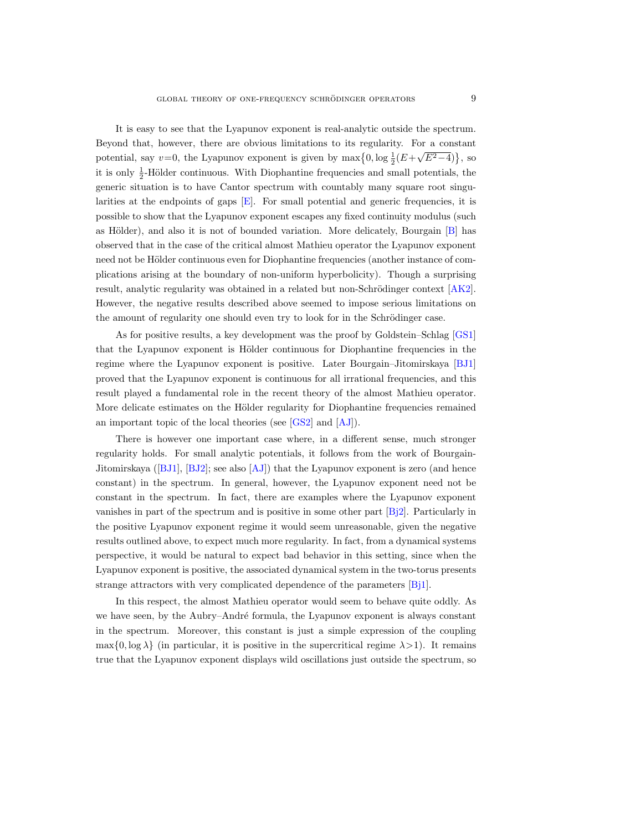It is easy to see that the Lyapunov exponent is real-analytic outside the spectrum. Beyond that, however, there are obvious limitations to its regularity. For a constant potential, say  $v=0$ , the Lyapunov exponent is given by  $\max\{0, \log \frac{1}{2}(E+\alpha)\}$  $\sqrt{E^2-4}$ )}, so it is only  $\frac{1}{2}$ -Hölder continuous. With Diophantine frequencies and small potentials, the generic situation is to have Cantor spectrum with countably many square root singularities at the endpoints of gaps [\[E\]](#page-53-8). For small potential and generic frequencies, it is possible to show that the Lyapunov exponent escapes any fixed continuity modulus (such as Hölder), and also it is not of bounded variation. More delicately, Bourgain  $[B]$  has observed that in the case of the critical almost Mathieu operator the Lyapunov exponent need not be Hölder continuous even for Diophantine frequencies (another instance of complications arising at the boundary of non-uniform hyperbolicity). Though a surprising result, analytic regularity was obtained in a related but non-Schrödinger context [\[AK2\]](#page-52-13). However, the negative results described above seemed to impose serious limitations on the amount of regularity one should even try to look for in the Schrödinger case.

As for positive results, a key development was the proof by Goldstein–Schlag [\[GS1\]](#page-53-0) that the Lyapunov exponent is Hölder continuous for Diophantine frequencies in the regime where the Lyapunov exponent is positive. Later Bourgain–Jitomirskaya [\[BJ1\]](#page-52-2) proved that the Lyapunov exponent is continuous for all irrational frequencies, and this result played a fundamental role in the recent theory of the almost Mathieu operator. More delicate estimates on the Hölder regularity for Diophantine frequencies remained an important topic of the local theories (see [\[GS2\]](#page-53-1) and [\[AJ\]](#page-52-5)).

There is however one important case where, in a different sense, much stronger regularity holds. For small analytic potentials, it follows from the work of Bourgain-Jitomirskaya ( $[BJ1], [BJ2]$  $[BJ1], [BJ2]$  $[BJ1], [BJ2]$ ; see also  $[AJ]$ ) that the Lyapunov exponent is zero (and hence constant) in the spectrum. In general, however, the Lyapunov exponent need not be constant in the spectrum. In fact, there are examples where the Lyapunov exponent vanishes in part of the spectrum and is positive in some other part  $[B2]$ . Particularly in the positive Lyapunov exponent regime it would seem unreasonable, given the negative results outlined above, to expect much more regularity. In fact, from a dynamical systems perspective, it would be natural to expect bad behavior in this setting, since when the Lyapunov exponent is positive, the associated dynamical system in the two-torus presents strange attractors with very complicated dependence of the parameters [\[Bj1\]](#page-52-8).

In this respect, the almost Mathieu operator would seem to behave quite oddly. As we have seen, by the Aubry–André formula, the Lyapunov exponent is always constant in the spectrum. Moreover, this constant is just a simple expression of the coupling  $\max\{0, \log \lambda\}$  (in particular, it is positive in the supercritical regime  $\lambda > 1$ ). It remains true that the Lyapunov exponent displays wild oscillations just outside the spectrum, so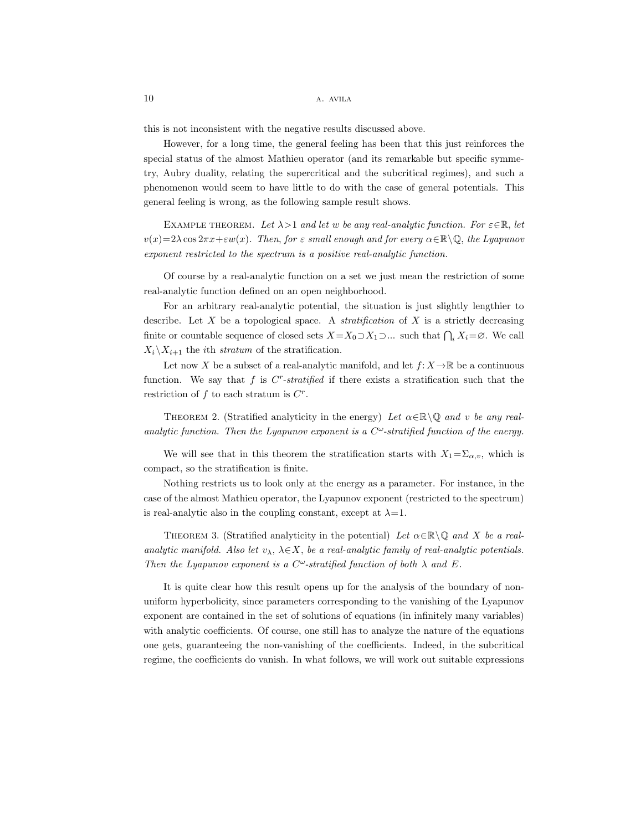this is not inconsistent with the negative results discussed above.

However, for a long time, the general feeling has been that this just reinforces the special status of the almost Mathieu operator (and its remarkable but specific symmetry, Aubry duality, relating the supercritical and the subcritical regimes), and such a phenomenon would seem to have little to do with the case of general potentials. This general feeling is wrong, as the following sample result shows.

EXAMPLE THEOREM. Let  $\lambda > 1$  and let w be any real-analytic function. For  $\varepsilon \in \mathbb{R}$ , let  $v(x)=2\lambda \cos 2\pi x+\epsilon w(x)$ . Then, for  $\epsilon$  small enough and for every  $\alpha \in \mathbb{R}\setminus\mathbb{Q}$ , the Lyapunov exponent restricted to the spectrum is a positive real-analytic function.

Of course by a real-analytic function on a set we just mean the restriction of some real-analytic function defined on an open neighborhood.

For an arbitrary real-analytic potential, the situation is just slightly lengthier to describe. Let X be a topological space. A *stratification* of X is a strictly decreasing finite or countable sequence of closed sets  $X = X_0 \supset X_1 \supset \dots$  such that  $\bigcap_i X_i = \emptyset$ . We call  $X_i\setminus X_{i+1}$  the *i*th *stratum* of the stratification.

Let now X be a subset of a real-analytic manifold, and let  $f: X \to \mathbb{R}$  be a continuous function. We say that  $f$  is  $C^r$ -stratified if there exists a stratification such that the restriction of  $f$  to each stratum is  $C^r$ .

<span id="page-9-0"></span>THEOREM 2. (Stratified analyticity in the energy) Let  $\alpha \in \mathbb{R} \setminus \mathbb{Q}$  and v be any realanalytic function. Then the Lyapunov exponent is a  $C^{\omega}$ -stratified function of the energy.

We will see that in this theorem the stratification starts with  $X_1=\sum_{\alpha,v}$ , which is compact, so the stratification is finite.

Nothing restricts us to look only at the energy as a parameter. For instance, in the case of the almost Mathieu operator, the Lyapunov exponent (restricted to the spectrum) is real-analytic also in the coupling constant, except at  $\lambda=1$ .

<span id="page-9-1"></span>THEOREM 3. (Stratified analyticity in the potential) Let  $\alpha \in \mathbb{R} \setminus \mathbb{Q}$  and X be a realanalytic manifold. Also let  $v_{\lambda}, \lambda \in X$ , be a real-analytic family of real-analytic potentials. Then the Lyapunov exponent is a  $C^{\omega}$ -stratified function of both  $\lambda$  and  $E$ .

It is quite clear how this result opens up for the analysis of the boundary of nonuniform hyperbolicity, since parameters corresponding to the vanishing of the Lyapunov exponent are contained in the set of solutions of equations (in infinitely many variables) with analytic coefficients. Of course, one still has to analyze the nature of the equations one gets, guaranteeing the non-vanishing of the coefficients. Indeed, in the subcritical regime, the coefficients do vanish. In what follows, we will work out suitable expressions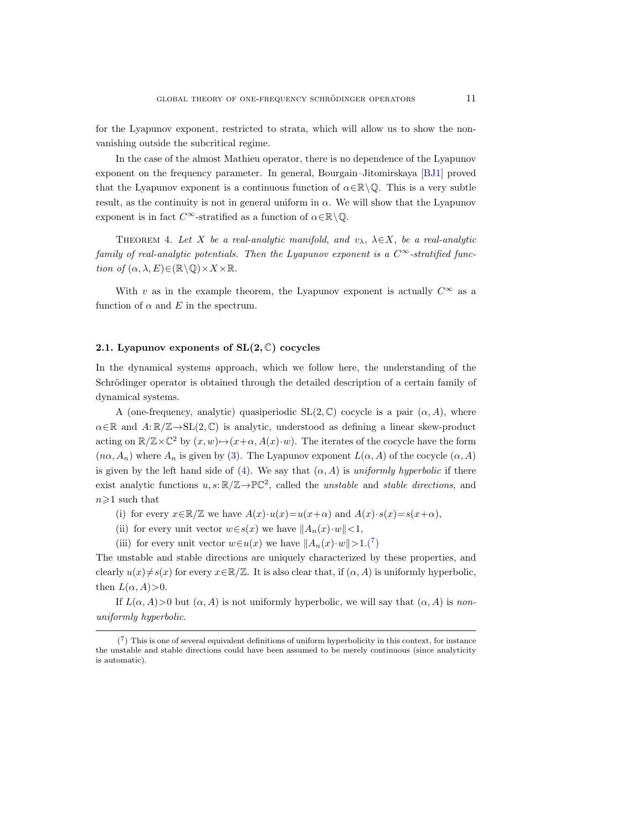for the Lyapunov exponent, restricted to strata, which will allow us to show the nonvanishing outside the subcritical regime.

In the case of the almost Mathieu operator, there is no dependence of the Lyapunov exponent on the frequency parameter. In general, Bourgain–Jitomirskaya [\[BJ1\]](#page-52-2) proved that the Lyapunov exponent is a continuous function of  $\alpha \in \mathbb{R} \setminus \mathbb{Q}$ . This is a very subtle result, as the continuity is not in general uniform in  $\alpha$ . We will show that the Lyapunov exponent is in fact  $C^{\infty}$ -stratified as a function of  $\alpha \in \mathbb{R} \setminus \mathbb{Q}$ .

<span id="page-10-1"></span>THEOREM 4. Let X be a real-analytic manifold, and  $v_{\lambda}$ ,  $\lambda \in X$ , be a real-analytic family of real-analytic potentials. Then the Lyapunov exponent is a  $C^{\infty}$ -stratified function of  $(\alpha, \lambda, E) \in (\mathbb{R} \setminus \mathbb{Q}) \times X \times \mathbb{R}$ .

With v as in the example theorem, the Lyapunov exponent is actually  $C^{\infty}$  as a function of  $\alpha$  and E in the spectrum.

### 2.1. Lyapunov exponents of  $SL(2,\mathbb{C})$  cocycles

In the dynamical systems approach, which we follow here, the understanding of the Schrödinger operator is obtained through the detailed description of a certain family of dynamical systems.

A (one-frequency, analytic) quasiperiodic  $SL(2,\mathbb{C})$  cocycle is a pair  $(\alpha, A)$ , where  $\alpha \in \mathbb{R}$  and  $A: \mathbb{R}/\mathbb{Z} \to SL(2, \mathbb{C})$  is analytic, understood as defining a linear skew-product acting on  $\mathbb{R}/\mathbb{Z}\times\mathbb{C}^2$  by  $(x, w)\mapsto(x+\alpha, A(x)\cdot w)$ . The iterates of the cocycle have the form  $(n\alpha, A_n)$  where  $A_n$  is given by [\(3\)](#page-1-0). The Lyapunov exponent  $L(\alpha, A)$  of the cocycle  $(\alpha, A)$ is given by the left hand side of [\(4\)](#page-1-1). We say that  $(\alpha, A)$  is uniformly hyperbolic if there exist analytic functions  $u, s: \mathbb{R}/\mathbb{Z} \to \mathbb{PC}^2$ , called the *unstable* and *stable directions*, and  $n\geqslant 1$  such that

- (i) for every  $x \in \mathbb{R}/\mathbb{Z}$  we have  $A(x) \cdot u(x) = u(x+\alpha)$  and  $A(x) \cdot s(x) = s(x+\alpha)$ ,
- (ii) for every unit vector  $w \in s(x)$  we have  $||A_n(x) \cdot w|| < 1$ ,
- (iii) for every unit vector  $w \in u(x)$  we have  $||A_n(x) \cdot w|| > 1$ [.\(](#page-10-0)<sup>7</sup>)

The unstable and stable directions are uniquely characterized by these properties, and clearly  $u(x) \neq s(x)$  for every  $x \in \mathbb{R}/\mathbb{Z}$ . It is also clear that, if  $(\alpha, A)$  is uniformly hyperbolic, then  $L(\alpha, A) > 0$ .

If  $L(\alpha, A) > 0$  but  $(\alpha, A)$  is not uniformly hyperbolic, we will say that  $(\alpha, A)$  is nonuniformly hyperbolic.

<span id="page-10-0"></span> $(7)$  This is one of several equivalent definitions of uniform hyperbolicity in this context, for instance the unstable and stable directions could have been assumed to be merely continuous (since analyticity is automatic).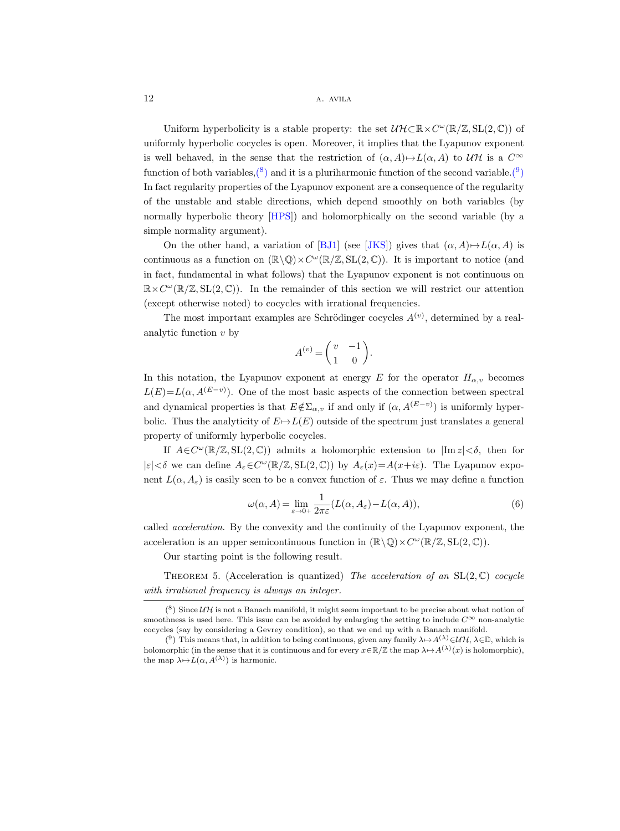Uniform hyperbolicity is a stable property: the set  $\mathcal{UH}\subset \mathbb{R}\times C^{\omega}(\mathbb{R}/\mathbb{Z},SL(2,\mathbb{C}))$  of uniformly hyperbolic cocycles is open. Moreover, it implies that the Lyapunov exponent is well behaved, in the sense that the restriction of  $(\alpha, A) \mapsto L(\alpha, A)$  to  $\mathcal{U} \mathcal{H}$  is a  $C^{\infty}$ function of both variables,  $\binom{8}{0}$  and it is a pluriharmonic function of the second variable.  $\binom{9}{1}$ In fact regularity properties of the Lyapunov exponent are a consequence of the regularity of the unstable and stable directions, which depend smoothly on both variables (by normally hyperbolic theory [\[HPS\]](#page-53-9)) and holomorphically on the second variable (by a simple normality argument).

On the other hand, a variation of [\[BJ1\]](#page-52-2) (see [\[JKS\]](#page-53-4)) gives that  $(\alpha, A) \rightarrow L(\alpha, A)$  is continuous as a function on  $(\mathbb{R}\backslash\mathbb{Q})\times C^{\omega}(\mathbb{R}/\mathbb{Z}, \mathrm{SL}(2,\mathbb{C}))$ . It is important to notice (and in fact, fundamental in what follows) that the Lyapunov exponent is not continuous on  $\mathbb{R}\times C^{\omega}(\mathbb{R}/\mathbb{Z}, \text{SL}(2,\mathbb{C}))$ . In the remainder of this section we will restrict our attention (except otherwise noted) to cocycles with irrational frequencies.

The most important examples are Schrödinger cocycles  $A^{(v)}$ , determined by a realanalytic function  $v$  by

$$
A^{(v)} = \begin{pmatrix} v & -1 \\ 1 & 0 \end{pmatrix}.
$$

In this notation, the Lyapunov exponent at energy E for the operator  $H_{\alpha,v}$  becomes  $L(E) = L(\alpha, A^{(E-v)})$ . One of the most basic aspects of the connection between spectral and dynamical properties is that  $E \notin \Sigma_{\alpha,v}$  if and only if  $(\alpha, A^{(E-v)})$  is uniformly hyperbolic. Thus the analyticity of  $E \rightarrow L(E)$  outside of the spectrum just translates a general property of uniformly hyperbolic cocycles.

If  $A \in C^{\omega}(\mathbb{R}/\mathbb{Z}, \text{SL}(2, \mathbb{C}))$  admits a holomorphic extension to  $|\text{Im } z| < \delta$ , then for  $|\varepsilon| < \delta$  we can define  $A_\varepsilon \in C^\omega(\mathbb{R}/\mathbb{Z}, \mathrm{SL}(2,\mathbb{C}))$  by  $A_\varepsilon(x) = A(x + i\varepsilon)$ . The Lyapunov exponent  $L(\alpha, A_{\varepsilon})$  is easily seen to be a convex function of  $\varepsilon$ . Thus we may define a function

$$
\omega(\alpha, A) = \lim_{\varepsilon \to 0+} \frac{1}{2\pi\varepsilon} (L(\alpha, A_{\varepsilon}) - L(\alpha, A)),
$$
\n(6)

called acceleration. By the convexity and the continuity of the Lyapunov exponent, the acceleration is an upper semicontinuous function in  $(\mathbb{R}\setminus\mathbb{Q})\times C^{\omega}(\mathbb{R}/\mathbb{Z},SL(2,\mathbb{C}))$ .

Our starting point is the following result.

<span id="page-11-2"></span>THEOREM 5. (Acceleration is quantized) The acceleration of an  $SL(2,\mathbb{C})$  cocycle with irrational frequency is always an integer.

<span id="page-11-0"></span> $(8)$  Since  $U\mathcal{H}$  is not a Banach manifold, it might seem important to be precise about what notion of smoothness is used here. This issue can be avoided by enlarging the setting to include  $C^{\infty}$  non-analytic cocycles (say by considering a Gevrey condition), so that we end up with a Banach manifold.

<span id="page-11-1"></span><sup>(&</sup>lt;sup>9</sup>) This means that, in addition to being continuous, given any family  $\lambda \mapsto A^{(\lambda)} \in \mathcal{UH}$ ,  $\lambda \in \mathbb{D}$ , which is holomorphic (in the sense that it is continuous and for every  $x \in \mathbb{R}/\mathbb{Z}$  the map  $\lambda \mapsto A^{(\lambda)}(x)$  is holomorphic), the map  $\lambda \mapsto L(\alpha, A^{(\lambda)})$  is harmonic.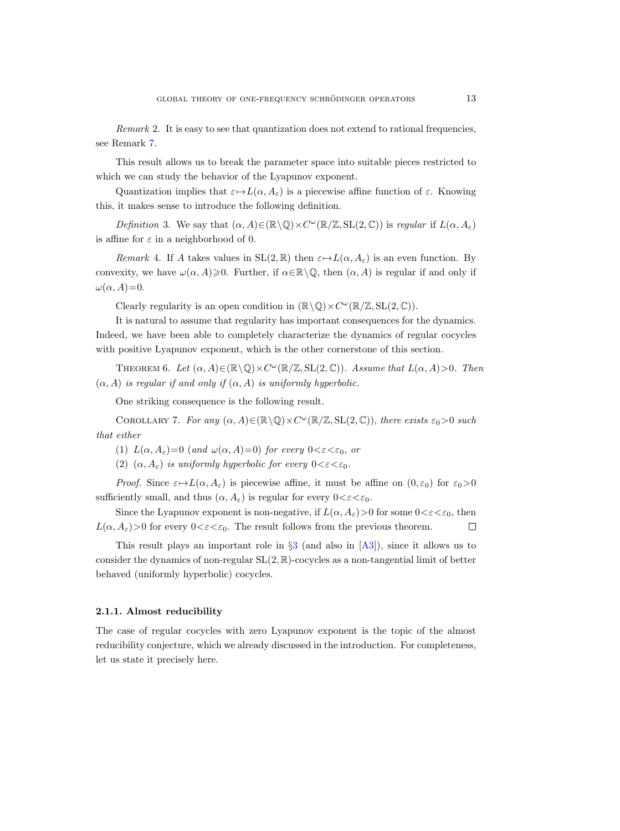Remark 2. It is easy to see that quantization does not extend to rational frequencies, see Remark [7.](#page-19-0)

This result allows us to break the parameter space into suitable pieces restricted to which we can study the behavior of the Lyapunov exponent.

Quantization implies that  $\varepsilon \mapsto L(\alpha, A_{\varepsilon})$  is a piecewise affine function of  $\varepsilon$ . Knowing this, it makes sense to introduce the following definition.

Definition 3. We say that  $(\alpha, A) \in (\mathbb{R} \setminus \mathbb{Q}) \times C^{\omega}(\mathbb{R}/\mathbb{Z}, SL(2, \mathbb{C}))$  is regular if  $L(\alpha, A_{\varepsilon})$ is affine for  $\varepsilon$  in a neighborhood of 0.

<span id="page-12-3"></span>Remark 4. If A takes values in  $SL(2,\mathbb{R})$  then  $\varepsilon \mapsto L(\alpha, A_{\varepsilon})$  is an even function. By convexity, we have  $\omega(\alpha, A) \geq 0$ . Further, if  $\alpha \in \mathbb{R} \setminus \mathbb{Q}$ , then  $(\alpha, A)$  is regular if and only if  $\omega(\alpha, A)=0.$ 

Clearly regularity is an open condition in  $(\mathbb{R}\setminus\mathbb{Q})\times C^{\omega}(\mathbb{R}/\mathbb{Z}, \text{SL}(2,\mathbb{C}))$ .

It is natural to assume that regularity has important consequences for the dynamics. Indeed, we have been able to completely characterize the dynamics of regular cocycles with positive Lyapunov exponent, which is the other cornerstone of this section.

<span id="page-12-1"></span>THEOREM 6. Let  $(\alpha, A) \in (\mathbb{R} \setminus \mathbb{Q}) \times C^{\omega}(\mathbb{R} \setminus \mathbb{Z}, \text{SL}(2, \mathbb{C}))$ . Assume that  $L(\alpha, A) > 0$ . Then  $(\alpha, A)$  is regular if and only if  $(\alpha, A)$  is uniformly hyperbolic.

One striking consequence is the following result.

<span id="page-12-2"></span>COROLLARY 7. For any  $(\alpha, A) \in (\mathbb{R} \setminus \mathbb{Q}) \times C^{\omega}(\mathbb{R}/\mathbb{Z}, \text{SL}(2, \mathbb{C}))$ , there exists  $\varepsilon_0 > 0$  such that either

(1)  $L(\alpha, A_{\varepsilon})=0$  (and  $\omega(\alpha, A)=0$ ) for every  $0<\varepsilon<\varepsilon_0$ , or

(2)  $(\alpha, A_{\varepsilon})$  is uniformly hyperbolic for every  $0 < \varepsilon < \varepsilon_0$ .

*Proof.* Since  $\varepsilon \mapsto L(\alpha, A_{\varepsilon})$  is piecewise affine, it must be affine on  $(0, \varepsilon_0)$  for  $\varepsilon_0 > 0$ sufficiently small, and thus  $(\alpha, A_{\varepsilon})$  is regular for every  $0 < \varepsilon < \varepsilon_0$ .

Since the Lyapunov exponent is non-negative, if  $L(\alpha, A_{\varepsilon}) > 0$  for some  $0 < \varepsilon < \varepsilon_0$ , then  $L(\alpha, A_{\varepsilon})>0$  for every  $0<\varepsilon<\varepsilon_0$ . The result follows from the previous theorem.  $\Box$ 

This result plays an important role in §[3](#page-27-0) (and also in [\[A3\]](#page-52-10)), since it allows us to consider the dynamics of non-regular  $SL(2,\mathbb{R})$ -cocycles as a non-tangential limit of better behaved (uniformly hyperbolic) cocycles.

### <span id="page-12-0"></span>2.1.1. Almost reducibility

The case of regular cocycles with zero Lyapunov exponent is the topic of the almost reducibility conjecture, which we already discussed in the introduction. For completeness, let us state it precisely here.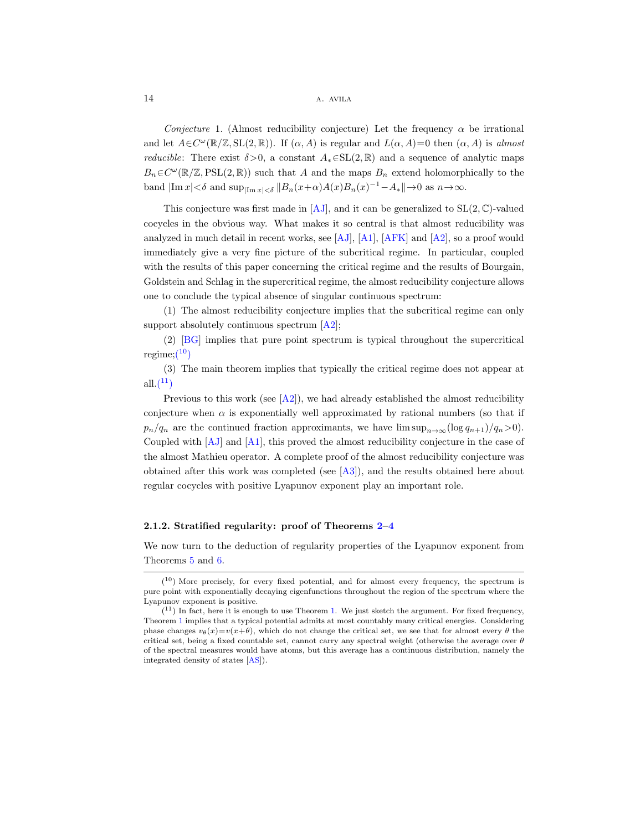Conjecture 1. (Almost reducibility conjecture) Let the frequency  $\alpha$  be irrational and let  $A \in C^{\omega}(\mathbb{R}/\mathbb{Z}, \text{SL}(2, \mathbb{R}))$ . If  $(\alpha, A)$  is regular and  $L(\alpha, A)=0$  then  $(\alpha, A)$  is almost *reducible:* There exist  $\delta > 0$ , a constant  $A_* \in SL(2, \mathbb{R})$  and a sequence of analytic maps  $B_n \in C^{\omega}(\mathbb{R}/\mathbb{Z}, PSL(2,\mathbb{R}))$  such that A and the maps  $B_n$  extend holomorphically to the band  $|\text{Im } x| < \delta$  and  $\sup_{|\text{Im } x| < \delta} \|B_n(x+\alpha)A(x)B_n(x)^{-1} - A_*\| \to 0$  as  $n \to \infty$ .

This conjecture was first made in  $[AJ]$ , and it can be generalized to  $SL(2,\mathbb{C})$ -valued cocycles in the obvious way. What makes it so central is that almost reducibility was analyzed in much detail in recent works, see  $[AJ], [A][A]$  $[AJ], [A][A]$ ,  $[AFK]$  and  $[A2]$ , so a proof would immediately give a very fine picture of the subcritical regime. In particular, coupled with the results of this paper concerning the critical regime and the results of Bourgain, Goldstein and Schlag in the supercritical regime, the almost reducibility conjecture allows one to conclude the typical absence of singular continuous spectrum:

(1) The almost reducibility conjecture implies that the subcritical regime can only support absolutely continuous spectrum  $[A2]$ ;

(2) [\[BG\]](#page-52-0) implies that pure point spectrum is typical throughout the supercritical  $\mathrm{regime}; \! (^{10})$ 

(3) The main theorem implies that typically the critical regime does not appear at all. $(11)$ 

Previous to this work (see  $[A2]$ ), we had already established the almost reducibility conjecture when  $\alpha$  is exponentially well approximated by rational numbers (so that if  $p_n/q_n$  are the continued fraction approximants, we have  $\limsup_{n\to\infty} (\log q_{n+1})/q_n>0$ . Coupled with [\[AJ\]](#page-52-5) and [\[A1\]](#page-52-9), this proved the almost reducibility conjecture in the case of the almost Mathieu operator. A complete proof of the almost reducibility conjecture was obtained after this work was completed (see  $[A3]$ ), and the results obtained here about regular cocycles with positive Lyapunov exponent play an important role.

### 2.1.2. Stratified regularity: proof of Theorems [2–](#page-9-0)[4](#page-10-1)

We now turn to the deduction of regularity properties of the Lyapunov exponent from Theorems [5](#page-11-2) and [6.](#page-12-1)

<span id="page-13-0"></span> $(10)$  More precisely, for every fixed potential, and for almost every frequency, the spectrum is pure point with exponentially decaying eigenfunctions throughout the region of the spectrum where the Lyapunov exponent is positive.

<span id="page-13-1"></span> $(1)$  In fact, here it is enough to use Theorem [1.](#page-6-1) We just sketch the argument. For fixed frequency, Theorem [1](#page-6-1) implies that a typical potential admits at most countably many critical energies. Considering phase changes  $v_{\theta}(x)=v(x+\theta)$ , which do not change the critical set, we see that for almost every  $\theta$  the critical set, being a fixed countable set, cannot carry any spectral weight (otherwise the average over  $\theta$ of the spectral measures would have atoms, but this average has a continuous distribution, namely the integrated density of states [\[AS\]](#page-52-15)).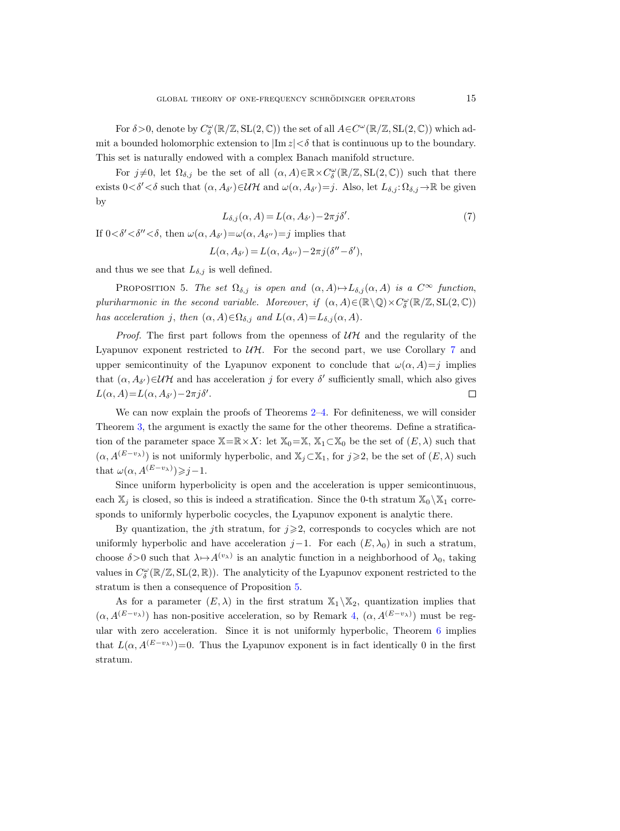For  $\delta > 0$ , denote by  $C^{\omega}_{\delta}(\mathbb{R}/\mathbb{Z}, \mathrm{SL}(2,\mathbb{C}))$  the set of all  $A \in C^{\omega}(\mathbb{R}/\mathbb{Z}, \mathrm{SL}(2,\mathbb{C}))$  which admit a bounded holomorphic extension to  $|\text{Im } z| < \delta$  that is continuous up to the boundary. This set is naturally endowed with a complex Banach manifold structure.

For  $j\neq 0$ , let  $\Omega_{\delta,j}$  be the set of all  $(\alpha, A) \in \mathbb{R} \times C^{\omega}_{\delta}(\mathbb{R}/\mathbb{Z}, SL(2,\mathbb{C}))$  such that there exists  $0 < \delta' < \delta$  such that  $(\alpha, A_{\delta'}) \in \mathcal{UH}$  and  $\omega(\alpha, A_{\delta'}) = j$ . Also, let  $L_{\delta,j} : \Omega_{\delta,j} \to \mathbb{R}$  be given by

$$
L_{\delta,j}(\alpha, A) = L(\alpha, A_{\delta'}) - 2\pi j \delta'.\tag{7}
$$

If  $0 < \delta' < \delta'' < \delta$ , then  $\omega(\alpha, A_{\delta'}) = \omega(\alpha, A_{\delta''}) = j$  implies that

$$
L(\alpha, A_{\delta'}) = L(\alpha, A_{\delta''}) - 2\pi j(\delta'' - \delta'),
$$

and thus we see that  $L_{\delta,j}$  is well defined.

<span id="page-14-0"></span>PROPOSITION 5. The set  $\Omega_{\delta,j}$  is open and  $(\alpha, A) \mapsto L_{\delta,j} (\alpha, A)$  is a  $C^{\infty}$  function, pluriharmonic in the second variable. Moreover, if  $(\alpha, A) \in (\mathbb{R} \setminus \mathbb{Q}) \times C^{\omega}_{\delta}(\mathbb{R}/\mathbb{Z}, \text{SL}(2, \mathbb{C}))$ has acceleration j, then  $(\alpha, A) \in \Omega_{\delta,j}$  and  $L(\alpha, A) = L_{\delta,j}(\alpha, A)$ .

*Proof.* The first part follows from the openness of  $UH$  and the regularity of the Lyapunov exponent restricted to  $U\mathcal{H}$ . For the second part, we use Corollary [7](#page-12-2) and upper semicontinuity of the Lyapunov exponent to conclude that  $\omega(\alpha, A) = j$  implies that  $(\alpha, A_{\delta}) \in \mathcal{UH}$  and has acceleration j for every  $\delta'$  sufficiently small, which also gives  $L(\alpha, A) = L(\alpha, A_{\delta'}) - 2\pi j \delta'.$  $\Box$ 

We can now explain the proofs of Theorems  $2-4$ . For definiteness, we will consider Theorem [3,](#page-9-1) the argument is exactly the same for the other theorems. Define a stratification of the parameter space  $\mathbb{X}=\mathbb{R}\times X$ : let  $\mathbb{X}_0=\mathbb{X}$ ,  $\mathbb{X}_1\subset\mathbb{X}_0$  be the set of  $(E,\lambda)$  such that  $(\alpha, A^{(E-v_{\lambda})})$  is not uniformly hyperbolic, and  $\mathbb{X}_{j} \subset \mathbb{X}_{1}$ , for  $j \geq 2$ , be the set of  $(E, \lambda)$  such that  $\omega(\alpha, A^{(E-v_{\lambda})}) \geq j-1$ .

Since uniform hyperbolicity is open and the acceleration is upper semicontinuous, each  $\mathbb{X}_i$  is closed, so this is indeed a stratification. Since the 0-th stratum  $\mathbb{X}_0 \setminus \mathbb{X}_1$  corresponds to uniformly hyperbolic cocycles, the Lyapunov exponent is analytic there.

By quantization, the jth stratum, for  $j \geqslant 2$ , corresponds to cocycles which are not uniformly hyperbolic and have acceleration  $j-1$ . For each  $(E, \lambda_0)$  in such a stratum, choose  $\delta > 0$  such that  $\lambda \mapsto A^{(v_\lambda)}$  is an analytic function in a neighborhood of  $\lambda_0$ , taking values in  $C^{\omega}_{\delta}(\mathbb{R}/\mathbb{Z}, \mathrm{SL}(2, \mathbb{R}))$ . The analyticity of the Lyapunov exponent restricted to the stratum is then a consequence of Proposition [5.](#page-14-0)

As for a parameter  $(E, \lambda)$  in the first stratum  $\mathbb{X}_1 \setminus \mathbb{X}_2$ , quantization implies that  $(\alpha, A^{(E-v_{\lambda})})$  has non-positive acceleration, so by Remark [4,](#page-12-3)  $(\alpha, A^{(E-v_{\lambda})})$  must be regular with zero acceleration. Since it is not uniformly hyperbolic, Theorem [6](#page-12-1) implies that  $L(\alpha, A^{(E-v_{\lambda})})=0$ . Thus the Lyapunov exponent is in fact identically 0 in the first stratum.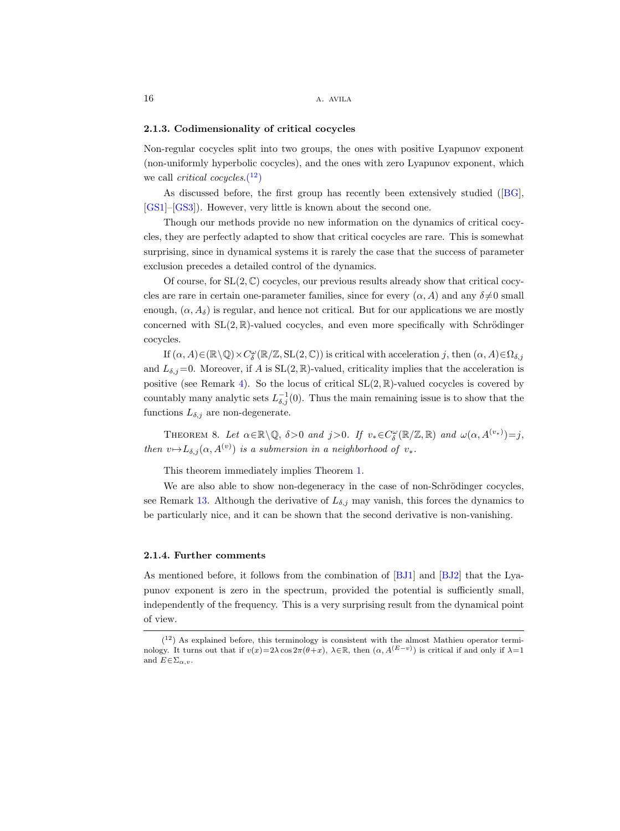### 2.1.3. Codimensionality of critical cocycles

Non-regular cocycles split into two groups, the ones with positive Lyapunov exponent (non-uniformly hyperbolic cocycles), and the ones with zero Lyapunov exponent, which we call *critical cocycles*.<sup>(12</sup>)

As discussed before, the first group has recently been extensively studied ([\[BG\]](#page-52-0), [\[GS1\]](#page-53-0)–[\[GS3\]](#page-53-2)). However, very little is known about the second one.

Though our methods provide no new information on the dynamics of critical cocycles, they are perfectly adapted to show that critical cocycles are rare. This is somewhat surprising, since in dynamical systems it is rarely the case that the success of parameter exclusion precedes a detailed control of the dynamics.

Of course, for  $SL(2,\mathbb{C})$  cocycles, our previous results already show that critical cocycles are rare in certain one-parameter families, since for every  $(\alpha, A)$  and any  $\delta \neq 0$  small enough,  $(\alpha, A_{\delta})$  is regular, and hence not critical. But for our applications we are mostly concerned with  $SL(2,\mathbb{R})$ -valued cocycles, and even more specifically with Schrödinger cocycles.

If  $(\alpha, A) \in (\mathbb{R} \setminus \mathbb{Q}) \times C^{\omega}_{\delta}(\mathbb{R}/\mathbb{Z}, \mathrm{SL}(2, \mathbb{C}))$  is critical with acceleration j, then  $(\alpha, A) \in \Omega_{\delta, j}$ and  $L_{\delta,j}=0$ . Moreover, if A is  $SL(2,\mathbb{R})$ -valued, criticality implies that the acceleration is positive (see Remark [4\)](#page-12-3). So the locus of critical  $SL(2, \mathbb{R})$ -valued cocycles is covered by countably many analytic sets  $L_{\delta,j}^{-1}(0)$ . Thus the main remaining issue is to show that the functions  $L_{\delta,j}$  are non-degenerate.

<span id="page-15-1"></span>THEOREM 8. Let  $\alpha \in \mathbb{R} \setminus \mathbb{Q}$ ,  $\delta > 0$  and  $j > 0$ . If  $v_* \in C^{\omega}_{\delta}(\mathbb{R}/\mathbb{Z}, \mathbb{R})$  and  $\omega(\alpha, A^{(v_*)}) = j$ , then  $v \mapsto L_{\delta,j}(\alpha, A^{(v)})$  is a submersion in a neighborhood of  $v_*$ .

This theorem immediately implies Theorem [1.](#page-6-1)

We are also able to show non-degeneracy in the case of non-Schrödinger cocycles, see Remark [13.](#page-26-0) Although the derivative of  $L_{\delta,j}$  may vanish, this forces the dynamics to be particularly nice, and it can be shown that the second derivative is non-vanishing.

### <span id="page-15-2"></span>2.1.4. Further comments

As mentioned before, it follows from the combination of [\[BJ1\]](#page-52-2) and [\[BJ2\]](#page-52-3) that the Lyapunov exponent is zero in the spectrum, provided the potential is sufficiently small, independently of the frequency. This is a very surprising result from the dynamical point of view.

<span id="page-15-0"></span> $(12)$  As explained before, this terminology is consistent with the almost Mathieu operator terminology. It turns out that if  $v(x)=2\lambda \cos 2\pi(\theta+x)$ ,  $\lambda \in \mathbb{R}$ , then  $(\alpha, A^{(E-v)})$  is critical if and only if  $\lambda=1$ and  $E \in \Sigma_{\alpha,v}$ .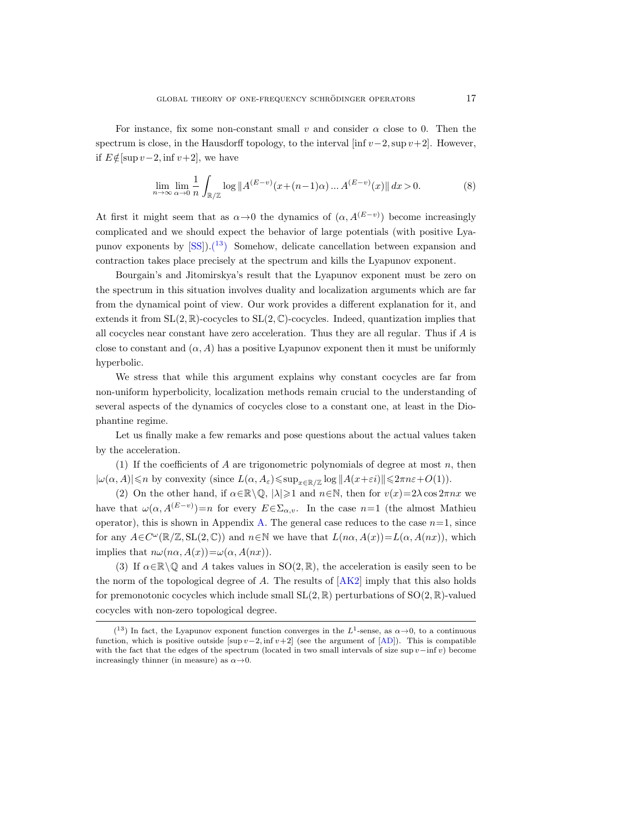For instance, fix some non-constant small v and consider  $\alpha$  close to 0. Then the spectrum is close, in the Hausdorff topology, to the interval [inf  $v-2$ , sup  $v+2$ ]. However, if  $E \notin [\sup v-2, \inf v+2]$ , we have

$$
\lim_{n \to \infty} \lim_{\alpha \to 0} \frac{1}{n} \int_{\mathbb{R}/\mathbb{Z}} \log \| A^{(E-v)}(x + (n-1)\alpha) \dots A^{(E-v)}(x) \| \, dx > 0. \tag{8}
$$

At first it might seem that as  $\alpha \rightarrow 0$  the dynamics of  $(\alpha, A^{(E-v)})$  become increasingly complicated and we should expect the behavior of large potentials (with positive Lyapunov exponents by  $[SS]$ .<sup>(13</sup>) Somehow, delicate cancellation between expansion and contraction takes place precisely at the spectrum and kills the Lyapunov exponent.

Bourgain's and Jitomirskya's result that the Lyapunov exponent must be zero on the spectrum in this situation involves duality and localization arguments which are far from the dynamical point of view. Our work provides a different explanation for it, and extends it from  $SL(2,\mathbb{R})$ -cocycles to  $SL(2,\mathbb{C})$ -cocycles. Indeed, quantization implies that all cocycles near constant have zero acceleration. Thus they are all regular. Thus if  $A$  is close to constant and  $(\alpha, A)$  has a positive Lyapunov exponent then it must be uniformly hyperbolic.

We stress that while this argument explains why constant cocycles are far from non-uniform hyperbolicity, localization methods remain crucial to the understanding of several aspects of the dynamics of cocycles close to a constant one, at least in the Diophantine regime.

Let us finally make a few remarks and pose questions about the actual values taken by the acceleration.

(1) If the coefficients of A are trigonometric polynomials of degree at most  $n$ , then  $|\omega(\alpha, A)| \leq n$  by convexity (since  $L(\alpha, A_{\varepsilon}) \leq \sup_{x \in \mathbb{R}/\mathbb{Z}} \log ||A(x+\varepsilon i)|| \leq 2\pi n \varepsilon + O(1)$ ).

(2) On the other hand, if  $\alpha \in \mathbb{R} \setminus \mathbb{Q}$ ,  $|\lambda| \geq 1$  and  $n \in \mathbb{N}$ , then for  $v(x)=2\lambda \cos 2\pi nx$  we have that  $\omega(\alpha, A^{(E-v)})=n$  for every  $E \in \Sigma_{\alpha,v}$ . In the case  $n=1$  (the almost Mathieu operator), this is shown in Appendix [A.](#page-48-0) The general case reduces to the case  $n=1$ , since for any  $A \in C^{\omega}(\mathbb{R}/\mathbb{Z}, \text{SL}(2, \mathbb{C}))$  and  $n \in \mathbb{N}$  we have that  $L(n\alpha, A(x)) = L(\alpha, A(nx))$ , which implies that  $n\omega(n\alpha, A(x)) = \omega(\alpha, A(nx)).$ 

(3) If  $\alpha \in \mathbb{R} \setminus \mathbb{Q}$  and A takes values in SO(2, R), the acceleration is easily seen to be the norm of the topological degree of  $A$ . The results of  $[AK2]$  imply that this also holds for premonotonic cocycles which include small  $SL(2,\mathbb{R})$  perturbations of  $SO(2,\mathbb{R})$ -valued cocycles with non-zero topological degree.

<span id="page-16-0"></span> $(13)$  In fact, the Lyapunov exponent function converges in the  $L^1$ -sense, as  $\alpha \rightarrow 0$ , to a continuous function, which is positive outside  $[\sup v-2, \inf v+2]$  (see the argument of  $[AD]$ ). This is compatible with the fact that the edges of the spectrum (located in two small intervals of size sup  $v$ −inf v) become increasingly thinner (in measure) as  $\alpha \rightarrow 0$ .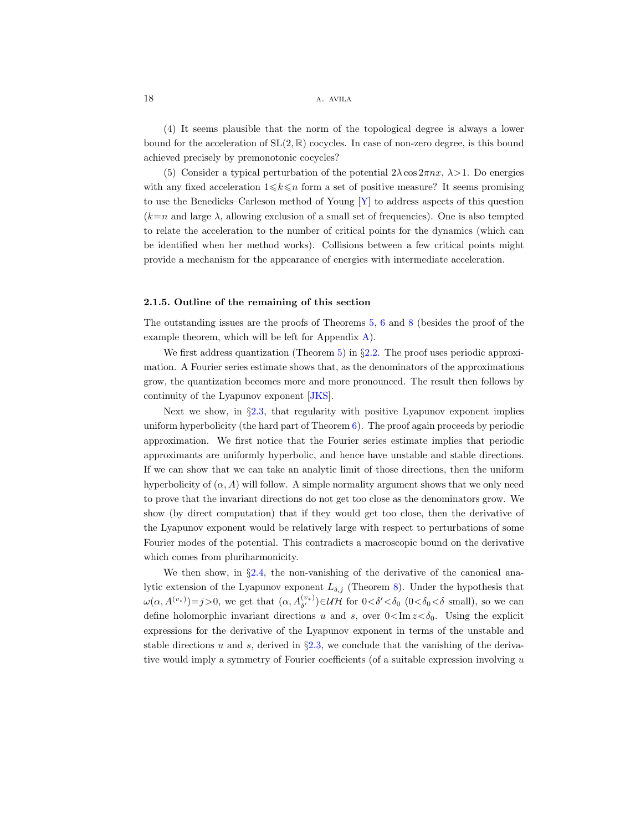(4) It seems plausible that the norm of the topological degree is always a lower bound for the acceleration of  $SL(2,\mathbb{R})$  cocycles. In case of non-zero degree, is this bound achieved precisely by premonotonic cocycles?

(5) Consider a typical perturbation of the potential  $2\lambda \cos 2\pi nx$ ,  $\lambda > 1$ . Do energies with any fixed acceleration  $1\leq k\leq n$  form a set of positive measure? It seems promising to use the Benedicks–Carleson method of Young [\[Y\]](#page-53-10) to address aspects of this question  $(k=n$  and large  $\lambda$ , allowing exclusion of a small set of frequencies). One is also tempted to relate the acceleration to the number of critical points for the dynamics (which can be identified when her method works). Collisions between a few critical points might provide a mechanism for the appearance of energies with intermediate acceleration.

### 2.1.5. Outline of the remaining of this section

The outstanding issues are the proofs of Theorems [5,](#page-11-2) [6](#page-12-1) and [8](#page-15-1) (besides the proof of the example theorem, which will be left for Appendix [A\)](#page-48-0).

We first address quantization (Theorem [5\)](#page-11-2) in  $\S 2.2$ . The proof uses periodic approximation. A Fourier series estimate shows that, as the denominators of the approximations grow, the quantization becomes more and more pronounced. The result then follows by continuity of the Lyapunov exponent [\[JKS\]](#page-53-4).

Next we show, in §[2.3,](#page-19-1) that regularity with positive Lyapunov exponent implies uniform hyperbolicity (the hard part of Theorem  $6$ ). The proof again proceeds by periodic approximation. We first notice that the Fourier series estimate implies that periodic approximants are uniformly hyperbolic, and hence have unstable and stable directions. If we can show that we can take an analytic limit of those directions, then the uniform hyperbolicity of  $(\alpha, A)$  will follow. A simple normality argument shows that we only need to prove that the invariant directions do not get too close as the denominators grow. We show (by direct computation) that if they would get too close, then the derivative of the Lyapunov exponent would be relatively large with respect to perturbations of some Fourier modes of the potential. This contradicts a macroscopic bound on the derivative which comes from pluriharmonicity.

We then show, in  $\S 2.4$ , the non-vanishing of the derivative of the canonical analytic extension of the Lyapunov exponent  $L_{\delta,j}$  (Theorem [8\)](#page-15-1). Under the hypothesis that  $\omega(\alpha, A^{(v_*)})=j>0$ , we get that  $(\alpha, A_{\delta'}^{(v_*)})\in \mathcal{UH}$  for  $0<\delta'<\delta_0$   $(0<\delta_0<\delta$  small), so we can define holomorphic invariant directions u and s, over  $0<\text{Im } z<\delta_0$ . Using the explicit expressions for the derivative of the Lyapunov exponent in terms of the unstable and stable directions u and s, derived in  $\S 2.3$ , we conclude that the vanishing of the derivative would imply a symmetry of Fourier coefficients (of a suitable expression involving u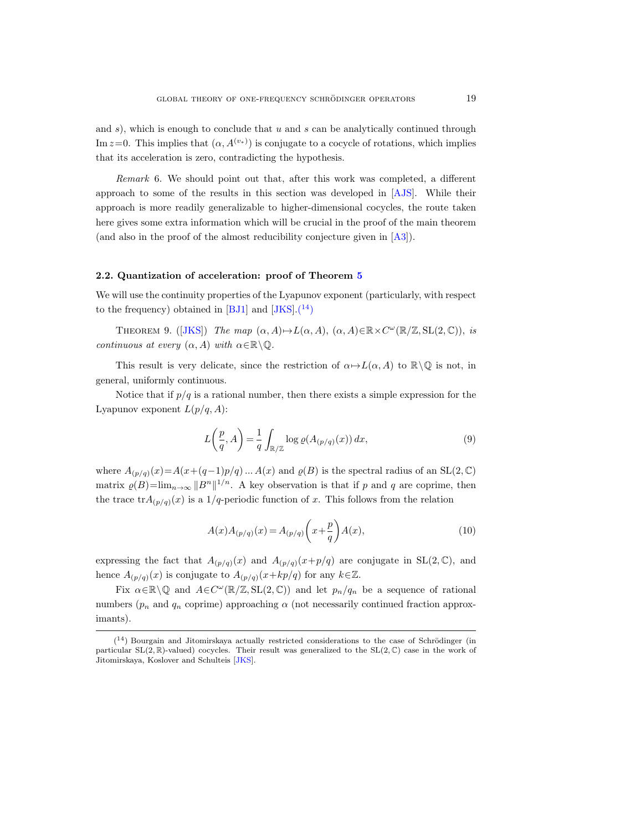and  $s$ ), which is enough to conclude that  $u$  and  $s$  can be analytically continued through Im  $z=0$ . This implies that  $(\alpha, A^{(v_*)})$  is conjugate to a cocycle of rotations, which implies that its acceleration is zero, contradicting the hypothesis.

Remark 6. We should point out that, after this work was completed, a different approach to some of the results in this section was developed in [\[AJS\]](#page-52-17). While their approach is more readily generalizable to higher-dimensional cocycles, the route taken here gives some extra information which will be crucial in the proof of the main theorem (and also in the proof of the almost reducibility conjecture given in [\[A3\]](#page-52-10)).

### <span id="page-18-0"></span>2.2. Quantization of acceleration: proof of Theorem [5](#page-11-2)

We will use the continuity properties of the Lyapunov exponent (particularly, with respect to the frequency) obtained in  $[BJ1]$  and  $[JKS] \cdot {\binom{14}{ }}$  $[JKS] \cdot {\binom{14}{ }}$ 

<span id="page-18-2"></span>THEOREM 9. ([\[JKS\]](#page-53-4)) The map  $(\alpha, A) \mapsto L(\alpha, A)$ ,  $(\alpha, A) \in \mathbb{R} \times C^{\omega}(\mathbb{R}/\mathbb{Z}, SL(2, \mathbb{C}))$ , is continuous at every  $(\alpha, A)$  with  $\alpha \in \mathbb{R} \setminus \mathbb{Q}$ .

This result is very delicate, since the restriction of  $\alpha \mapsto L(\alpha, A)$  to  $\mathbb{R}\setminus\mathbb{Q}$  is not, in general, uniformly continuous.

Notice that if  $p/q$  is a rational number, then there exists a simple expression for the Lyapunov exponent  $L(p/q, A)$ :

$$
L\left(\frac{p}{q},A\right) = \frac{1}{q} \int_{\mathbb{R}/\mathbb{Z}} \log \varrho(A_{(p/q)}(x)) \, dx,\tag{9}
$$

where  $A_{(p/q)}(x) = A(x+(q-1)p/q) ... A(x)$  and  $\varrho(B)$  is the spectral radius of an SL(2, C) matrix  $\varrho(B)=\lim_{n\to\infty}||B^n||^{1/n}$ . A key observation is that if p and q are coprime, then the trace  $tr A_{(p/q)}(x)$  is a 1/q-periodic function of x. This follows from the relation

$$
A(x)A_{(p/q)}(x) = A_{(p/q)}\left(x + \frac{p}{q}\right)A(x),\tag{10}
$$

expressing the fact that  $A_{(p/q)}(x)$  and  $A_{(p/q)}(x+p/q)$  are conjugate in  $SL(2,\mathbb{C})$ , and hence  $A_{(p/q)}(x)$  is conjugate to  $A_{(p/q)}(x+kp/q)$  for any  $k\in\mathbb{Z}$ .

Fix  $\alpha \in \mathbb{R} \setminus \mathbb{Q}$  and  $A \in C^{\omega}(\mathbb{R}/\mathbb{Z}, SL(2,\mathbb{C}))$  and let  $p_n/q_n$  be a sequence of rational numbers  $(p_n$  and  $q_n$  coprime) approaching  $\alpha$  (not necessarily continued fraction approximants).

<span id="page-18-1"></span> $(14)$  Bourgain and Jitomirskaya actually restricted considerations to the case of Schrödinger (in particular  $SL(2,\mathbb{R})$ -valued) cocycles. Their result was generalized to the  $SL(2,\mathbb{C})$  case in the work of Jitomirskaya, Koslover and Schulteis [\[JKS\]](#page-53-4).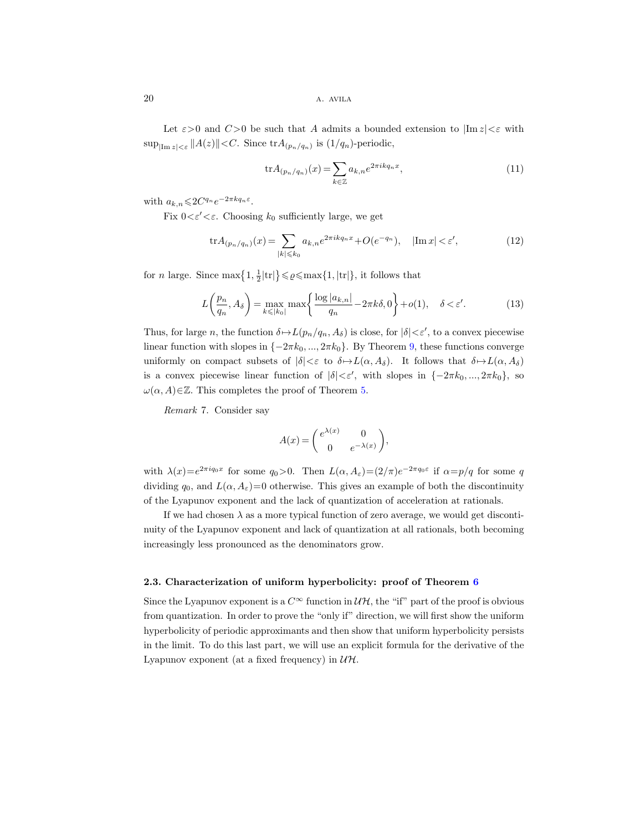Let  $\varepsilon > 0$  and  $C > 0$  be such that A admits a bounded extension to  $|\text{Im } z| < \varepsilon$  with  $\sup_{|\text{Im }z|<\varepsilon} ||A(z)|| < C.$  Since  $\text{tr}A_{(p_n/q_n)}$  is  $(1/q_n)$ -periodic,

$$
\text{tr}A_{(p_n/q_n)}(x) = \sum_{k \in \mathbb{Z}} a_{k,n} e^{2\pi i k q_n x},\tag{11}
$$

with  $a_{k,n} \leqslant 2C^{q_n} e^{-2\pi k q_n \varepsilon}$ .

Fix  $0 < \varepsilon' < \varepsilon$ . Choosing  $k_0$  sufficiently large, we get

$$
\text{tr}A_{(p_n/q_n)}(x) = \sum_{|k| \leq k_0} a_{k,n} e^{2\pi i k q_n x} + O(e^{-q_n}), \quad |\text{Im}\, x| < \varepsilon',\tag{12}
$$

for *n* large. Since  $\max\left\{1, \frac{1}{2}|\text{tr}|\right\} \leq \varrho \leq \max\{1, |\text{tr}|\},\$ it follows that

$$
L\left(\frac{p_n}{q_n}, A_\delta\right) = \max_{k \leq |k_0|} \max\left\{\frac{\log|a_{k,n}|}{q_n} - 2\pi k \delta, 0\right\} + o(1), \quad \delta < \varepsilon'.\tag{13}
$$

Thus, for large n, the function  $\delta \mapsto L(p_n/q_n, A_\delta)$  is close, for  $|\delta| < \varepsilon'$ , to a convex piecewise linear function with slopes in  $\{-2\pi k_0, ..., 2\pi k_0\}$ . By Theorem [9,](#page-18-2) these functions converge uniformly on compact subsets of  $|\delta| < \varepsilon$  to  $\delta \mapsto L(\alpha, A_{\delta})$ . It follows that  $\delta \mapsto L(\alpha, A_{\delta})$ is a convex piecewise linear function of  $|\delta| < \varepsilon'$ , with slopes in  $\{-2\pi k_0, ..., 2\pi k_0\}$ , so  $\omega(\alpha, A) \in \mathbb{Z}$ . This completes the proof of Theorem [5.](#page-11-2)

<span id="page-19-0"></span>Remark 7. Consider say

$$
A(x) = \begin{pmatrix} e^{\lambda(x)} & 0 \\ 0 & e^{-\lambda(x)} \end{pmatrix},
$$

with  $\lambda(x)=e^{2\pi i q_0 x}$  for some  $q_0>0$ . Then  $L(\alpha, A_\varepsilon)=(2/\pi)e^{-2\pi q_0 \varepsilon}$  if  $\alpha=p/q$  for some q dividing  $q_0$ , and  $L(\alpha, A_\varepsilon)=0$  otherwise. This gives an example of both the discontinuity of the Lyapunov exponent and the lack of quantization of acceleration at rationals.

If we had chosen  $\lambda$  as a more typical function of zero average, we would get discontinuity of the Lyapunov exponent and lack of quantization at all rationals, both becoming increasingly less pronounced as the denominators grow.

### <span id="page-19-1"></span>2.3. Characterization of uniform hyperbolicity: proof of Theorem [6](#page-12-1)

Since the Lyapunov exponent is a  $C^{\infty}$  function in  $\mathcal{U}\mathcal{H}$ , the "if" part of the proof is obvious from quantization. In order to prove the "only if" direction, we will first show the uniform hyperbolicity of periodic approximants and then show that uniform hyperbolicity persists in the limit. To do this last part, we will use an explicit formula for the derivative of the Lyapunov exponent (at a fixed frequency) in  $U\mathcal{H}$ .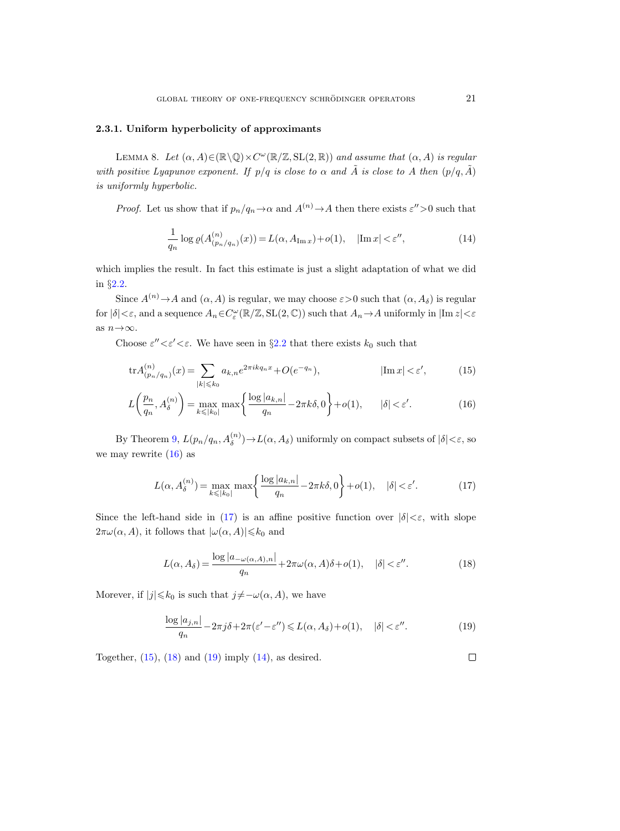### 2.3.1. Uniform hyperbolicity of approximants

<span id="page-20-6"></span>LEMMA 8. Let  $(\alpha, A) \in (\mathbb{R} \setminus \mathbb{Q}) \times C^{\omega}(\mathbb{R} / \mathbb{Z}, SL(2, \mathbb{R}))$  and assume that  $(\alpha, A)$  is regular with positive Lyapunov exponent. If  $p/q$  is close to  $\alpha$  and  $\tilde{A}$  is close to A then  $(p/q, \tilde{A})$ is uniformly hyperbolic.

*Proof.* Let us show that if  $p_n/q_n \to \alpha$  and  $A^{(n)} \to A$  then there exists  $\varepsilon'' > 0$  such that

<span id="page-20-5"></span>
$$
\frac{1}{q_n} \log \varrho(A_{(p_n/q_n)}^{(n)}(x)) = L(\alpha, A_{\text{Im }x}) + o(1), \quad |\text{Im }x| < \varepsilon'', \tag{14}
$$

which implies the result. In fact this estimate is just a slight adaptation of what we did in §[2.2.](#page-18-0)

Since  $A^{(n)} \rightarrow A$  and  $(\alpha, A)$  is regular, we may choose  $\varepsilon > 0$  such that  $(\alpha, A_{\delta})$  is regular for  $|\delta| < \varepsilon$ , and a sequence  $A_n \in C_{\varepsilon}^{\omega}(\mathbb{R}/\mathbb{Z}, \text{SL}(2, \mathbb{C}))$  such that  $A_n \to A$  uniformly in  $|\text{Im } z| < \varepsilon$ as  $n \rightarrow \infty$ .

Choose  $\varepsilon'' < \varepsilon' < \varepsilon$ . We have seen in §[2.2](#page-18-0) that there exists  $k_0$  such that

$$
\text{tr}A_{(p_n/q_n)}^{(n)}(x) = \sum_{|k| \leq k_0} a_{k,n} e^{2\pi i k q_n x} + O(e^{-q_n}), \qquad |\text{Im} \, x| < \varepsilon', \tag{15}
$$

$$
L\left(\frac{p_n}{q_n}, A_\delta^{(n)}\right) = \max_{k \le |k_0|} \max\left\{\frac{\log|a_{k,n}|}{q_n} - 2\pi k \delta, 0\right\} + o(1), \qquad |\delta| < \varepsilon'.
$$

By Theorem [9,](#page-18-2)  $L(p_n/q_n, A_\delta^{(n)}) \to L(\alpha, A_\delta)$  uniformly on compact subsets of  $|\delta| < \varepsilon$ , so we may rewrite  $(16)$  as

<span id="page-20-1"></span>
$$
L(\alpha, A_{\delta}^{(n)}) = \max_{k \leq |k_0|} \max \left\{ \frac{\log |a_{k,n}|}{q_n} - 2\pi k \delta, 0 \right\} + o(1), \quad |\delta| < \varepsilon'. \tag{17}
$$

Since the left-hand side in [\(17\)](#page-20-1) is an affine positive function over  $|\delta| < \varepsilon$ , with slope  $2\pi\omega(\alpha, A)$ , it follows that  $|\omega(\alpha, A)| \leq k_0$  and

<span id="page-20-3"></span>
$$
L(\alpha, A_{\delta}) = \frac{\log|a_{-\omega(\alpha, A),n}|}{q_n} + 2\pi\omega(\alpha, A)\delta + o(1), \quad |\delta| < \varepsilon''. \tag{18}
$$

Morever, if  $|j| \le k_0$  is such that  $j \ne -\omega(\alpha, A)$ , we have

<span id="page-20-4"></span>
$$
\frac{\log|a_{j,n}|}{q_n} - 2\pi j \delta + 2\pi (\varepsilon' - \varepsilon'') \leqslant L(\alpha, A_\delta) + o(1), \quad |\delta| < \varepsilon''.\tag{19}
$$

Together,  $(15)$ ,  $(18)$  and  $(19)$  imply  $(14)$ , as desired.

<span id="page-20-2"></span><span id="page-20-0"></span> $\Box$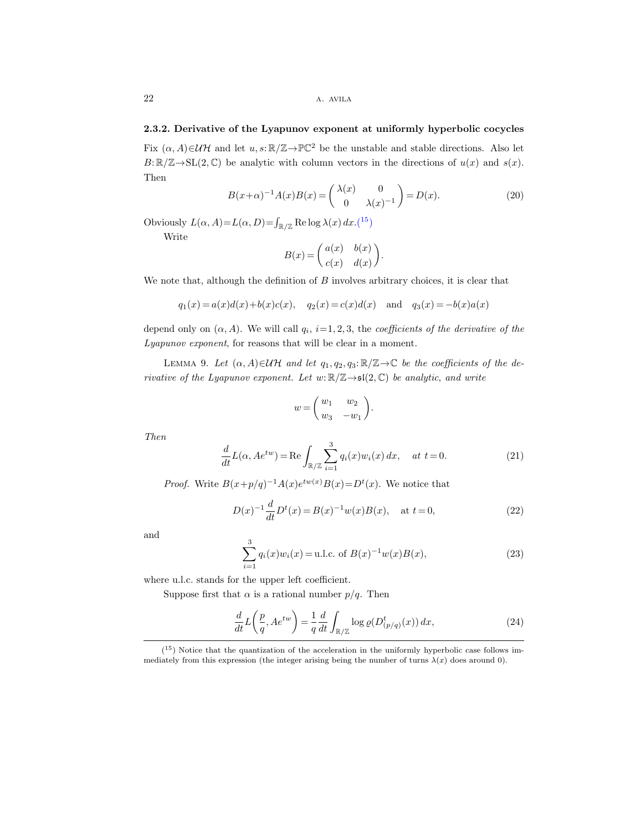## 2.3.2. Derivative of the Lyapunov exponent at uniformly hyperbolic cocycles Fix  $(\alpha, A) \in \mathcal{UH}$  and let  $u, s: \mathbb{R}/\mathbb{Z} \to \mathbb{PC}^2$  be the unstable and stable directions. Also let  $B: \mathbb{R}/\mathbb{Z} \to SL(2,\mathbb{C})$  be analytic with column vectors in the directions of  $u(x)$  and  $s(x)$ . Then

$$
B(x+\alpha)^{-1}A(x)B(x) = \begin{pmatrix} \lambda(x) & 0\\ 0 & \lambda(x)^{-1} \end{pmatrix} = D(x). \tag{20}
$$

Obviously  $L(\alpha, A) = L(\alpha, D) = \int_{\mathbb{R}/\mathbb{Z}} \text{Re} \log \lambda(x) dx.$ <sup>(15</sup>)

Write

$$
B(x) = \begin{pmatrix} a(x) & b(x) \\ c(x) & d(x) \end{pmatrix}.
$$

We note that, although the definition of  $B$  involves arbitrary choices, it is clear that

$$
q_1(x) = a(x)d(x) + b(x)c(x), q_2(x) = c(x)d(x)
$$
 and  $q_3(x) = -b(x)a(x)$ 

depend only on  $(\alpha, A)$ . We will call  $q_i$ ,  $i=1, 2, 3$ , the *coefficients of the derivative of the* Lyapunov exponent, for reasons that will be clear in a moment.

LEMMA 9. Let  $(\alpha, A) \in \mathcal{UH}$  and let  $q_1, q_2, q_3: \mathbb{R}/\mathbb{Z} \to \mathbb{C}$  be the coefficients of the derivative of the Lyapunov exponent. Let w:  $\mathbb{R}/\mathbb{Z} \rightarrow \mathfrak{sl}(2,\mathbb{C})$  be analytic, and write

$$
w = \begin{pmatrix} w_1 & w_2 \\ w_3 & -w_1 \end{pmatrix}.
$$

Then

$$
\frac{d}{dt}L(\alpha, Ae^{tw}) = \text{Re}\int_{\mathbb{R}/\mathbb{Z}}\sum_{i=1}^{3} q_i(x)w_i(x) dx, \quad at \ t = 0.
$$
\n(21)

*Proof.* Write  $B(x+p/q)^{-1}A(x)e^{tw(x)}B(x)=D^t(x)$ . We notice that

<span id="page-21-1"></span>
$$
D(x)^{-1} \frac{d}{dt} D^t(x) = B(x)^{-1} w(x) B(x), \quad \text{at } t = 0,
$$
 (22)

and

<span id="page-21-2"></span>
$$
\sum_{i=1}^{3} q_i(x) w_i(x) = \text{u.l.c. of } B(x)^{-1} w(x) B(x), \tag{23}
$$

where u.l.c. stands for the upper left coefficient.

Suppose first that  $\alpha$  is a rational number  $p/q$ . Then

$$
\frac{d}{dt}L\left(\frac{p}{q}, Ae^{tw}\right) = \frac{1}{q}\frac{d}{dt}\int_{\mathbb{R}/\mathbb{Z}}\log\varrho(D_{(p/q)}^t(x))\,dx,\tag{24}
$$

<span id="page-21-0"></span> $(15)$  Notice that the quantization of the acceleration in the uniformly hyperbolic case follows immediately from this expression (the integer arising being the number of turns  $\lambda(x)$  does around 0).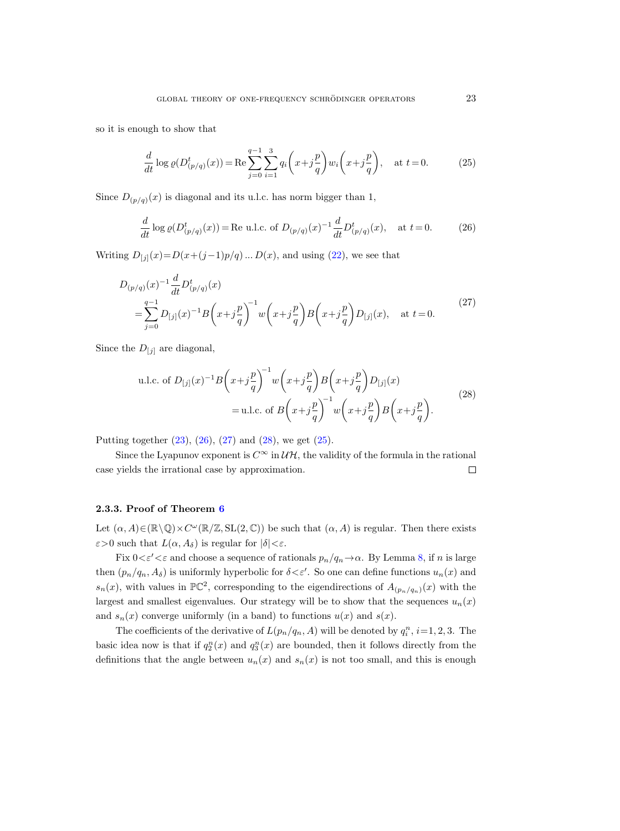so it is enough to show that

<span id="page-22-3"></span>
$$
\frac{d}{dt}\log \varrho(D_{(p/q)}^t(x)) = \text{Re}\sum_{j=0}^{q-1} \sum_{i=1}^3 q_i \left(x+j\frac{p}{q}\right) w_i \left(x+j\frac{p}{q}\right), \quad \text{at } t=0. \tag{25}
$$

Since  $D_{(p/q)}(x)$  is diagonal and its u.l.c. has norm bigger than 1,

<span id="page-22-0"></span>
$$
\frac{d}{dt}\log\varrho(D_{(p/q)}^t(x)) = \text{Re u.l.c. of } D_{(p/q)}(x)^{-1}\frac{d}{dt}D_{(p/q)}^t(x), \quad \text{at } t = 0.
$$
 (26)

Writing  $D_{[j]}(x) = D(x+(j-1)p/q) ... D(x)$ , and using [\(22\)](#page-21-1), we see that

<span id="page-22-1"></span>
$$
D_{(p/q)}(x)^{-1} \frac{d}{dt} D_{(p/q)}^t(x)
$$
  
= 
$$
\sum_{j=0}^{q-1} D_{[j]}(x)^{-1} B\left(x+j\frac{p}{q}\right)^{-1} w\left(x+j\frac{p}{q}\right) B\left(x+j\frac{p}{q}\right) D_{[j]}(x), \text{ at } t=0.
$$
 (27)

<span id="page-22-2"></span>Since the  $D_{[j]}$  are diagonal,

u.l.c. of 
$$
D_{[j]}(x)^{-1}B\left(x+j\frac{p}{q}\right)^{-1}w\left(x+j\frac{p}{q}\right)B\left(x+j\frac{p}{q}\right)D_{[j]}(x)
$$
  
\n= u.l.c. of  $B\left(x+j\frac{p}{q}\right)^{-1}w\left(x+j\frac{p}{q}\right)B\left(x+j\frac{p}{q}\right).$  (28)

Putting together  $(23)$ ,  $(26)$ ,  $(27)$  and  $(28)$ , we get  $(25)$ .

Since the Lyapunov exponent is  $C^{\infty}$  in  $\mathcal{U}\mathcal{H}$ , the validity of the formula in the rational case yields the irrational case by approximation.  $\Box$ 

### <span id="page-22-4"></span>2.3.3. Proof of Theorem [6](#page-12-1)

Let  $(\alpha, A) \in (\mathbb{R} \setminus \mathbb{Q}) \times C^{\omega}(\mathbb{R} \setminus \mathbb{Z}, \operatorname{SL}(2, \mathbb{C}))$  be such that  $(\alpha, A)$  is regular. Then there exists  $\varepsilon > 0$  such that  $L(\alpha, A_{\delta})$  is regular for  $|\delta| < \varepsilon$ .

Fix  $0 < \varepsilon' < \varepsilon$  and choose a sequence of rationals  $p_n/q_n \to \alpha$ . By Lemma [8,](#page-20-6) if n is large then  $(p_n/q_n, A_\delta)$  is uniformly hyperbolic for  $\delta \leq \varepsilon'$ . So one can define functions  $u_n(x)$  and  $s_n(x)$ , with values in  $\mathbb{PC}^2$ , corresponding to the eigendirections of  $A_{(p_n/q_n)}(x)$  with the largest and smallest eigenvalues. Our strategy will be to show that the sequences  $u_n(x)$ and  $s_n(x)$  converge uniformly (in a band) to functions  $u(x)$  and  $s(x)$ .

The coefficients of the derivative of  $L(p_n/q_n, A)$  will be denoted by  $q_i^n$ ,  $i=1, 2, 3$ . The basic idea now is that if  $q_2^n(x)$  and  $q_3^n(x)$  are bounded, then it follows directly from the definitions that the angle between  $u_n(x)$  and  $s_n(x)$  is not too small, and this is enough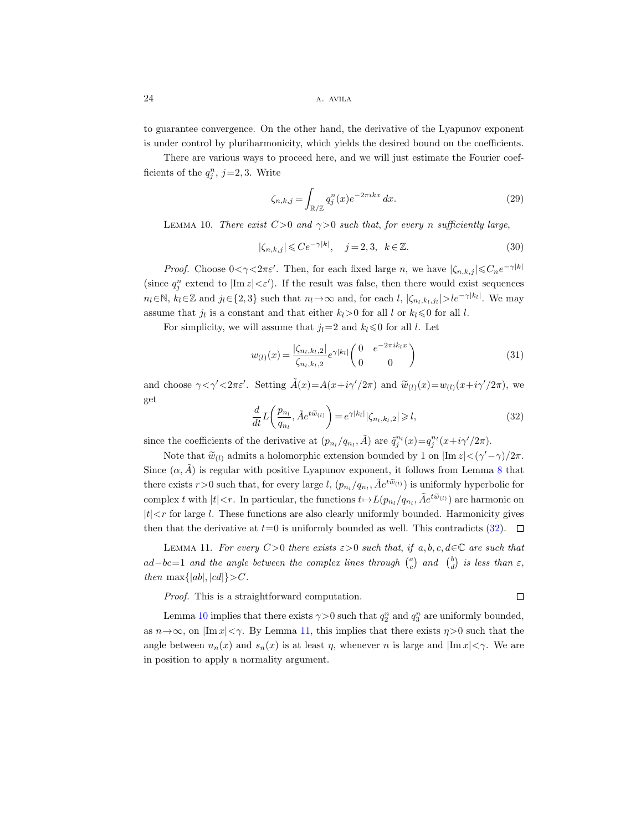to guarantee convergence. On the other hand, the derivative of the Lyapunov exponent is under control by pluriharmonicity, which yields the desired bound on the coefficients.

There are various ways to proceed here, and we will just estimate the Fourier coefficients of the  $q_j^n$ ,  $j=2,3$ . Write

$$
\zeta_{n,k,j} = \int_{\mathbb{R}/\mathbb{Z}} q_j^n(x) e^{-2\pi ikx} dx.
$$
\n(29)

<span id="page-23-1"></span>LEMMA 10. There exist  $C>0$  and  $\gamma>0$  such that, for every n sufficiently large,

$$
|\zeta_{n,k,j}| \leqslant Ce^{-\gamma|k|}, \quad j=2,3, \quad k \in \mathbb{Z}.
$$

*Proof.* Choose  $0 < \gamma < 2\pi\varepsilon'$ . Then, for each fixed large n, we have  $|\zeta_{n,k,j}| \leq C_n e^{-\gamma|k|}$ (since  $q_j^n$  extend to  $|\text{Im } z| < \varepsilon'$ ). If the result was false, then there would exist sequences  $n_l \in \mathbb{N}$ ,  $k_l \in \mathbb{Z}$  and  $j_l \in \{2,3\}$  such that  $n_l \to \infty$  and, for each  $l, |\zeta_{n_l,k_l,j_l}| > l e^{-\gamma |k_l|}$ . We may assume that  $j_l$  is a constant and that either  $k_l>0$  for all l or  $k_l\leq 0$  for all l.

For simplicity, we will assume that  $j_l=2$  and  $k_l\leq0$  for all l. Let

$$
w_{(l)}(x) = \frac{|\zeta_{n_l, k_l, 2}|}{\zeta_{n_l, k_l, 2}} e^{\gamma |k_l|} \begin{pmatrix} 0 & e^{-2\pi i k_l x} \\ 0 & 0 \end{pmatrix}
$$
 (31)

and choose  $\gamma < \gamma' < 2\pi\varepsilon'$ . Setting  $\tilde{A}(x) = A(x+i\gamma'/2\pi)$  and  $\tilde{w}_{(l)}(x) = w_{(l)}(x+i\gamma'/2\pi)$ , we get

<span id="page-23-0"></span>
$$
\frac{d}{dt}L\left(\frac{p_{n_l}}{q_{n_l}}, \tilde{A}e^{t\tilde{w}_{(l)}}\right) = e^{\gamma|k_l|}|\zeta_{n_l, k_l, 2}| \geqslant l,
$$
\n(32)

since the coefficients of the derivative at  $(p_{n_l}/q_{n_l}, \tilde{A})$  are  $\tilde{q}_j^{n_l}(x) = q_j^{n_l}(x+i\gamma'/2\pi)$ .

Note that  $\widetilde{w}_{(l)}$  admits a holomorphic extension bounded by 1 on  $|\text{Im } z| < (\gamma' - \gamma)/2\pi$ . Since  $(\alpha, \tilde{A})$  is regular with positive Lyapunov exponent, it follows from Lemma [8](#page-20-6) that there exists  $r > 0$  such that, for every large l,  $(p_{n_l}/q_{n_l}, \tilde{A}e^{t\tilde{w}_{(l)}})$  is uniformly hyperbolic for complex t with  $|t| < r$ . In particular, the functions  $t \mapsto L(p_{n_l}/q_{n_l}, \tilde{A}e^{t\tilde{w}_{(l)}})$  are harmonic on  $|t| < r$  for large l. These functions are also clearly uniformly bounded. Harmonicity gives then that the derivative at  $t=0$  is uniformly bounded as well. This contradicts [\(32\)](#page-23-0).  $\Box$ 

<span id="page-23-2"></span>LEMMA 11. For every  $C>0$  there exists  $\varepsilon>0$  such that, if  $a, b, c, d \in \mathbb{C}$  are such that ad-bc=1 and the angle between the complex lines through  $\binom{a}{c}$  and  $\binom{b}{d}$  is less than  $\varepsilon$ , then  $\max\{|ab|, |cd|\} > C$ .

Proof. This is a straightforward computation.

$$
\qquad \qquad \Box
$$

Lemma [10](#page-23-1) implies that there exists  $\gamma > 0$  such that  $q_2^n$  and  $q_3^n$  are uniformly bounded, as  $n \rightarrow \infty$ , on  $|\text{Im } x| < \gamma$ . By Lemma [11,](#page-23-2) this implies that there exists  $\eta > 0$  such that the angle between  $u_n(x)$  and  $s_n(x)$  is at least  $\eta$ , whenever n is large and  $|\text{Im }x| < \gamma$ . We are in position to apply a normality argument.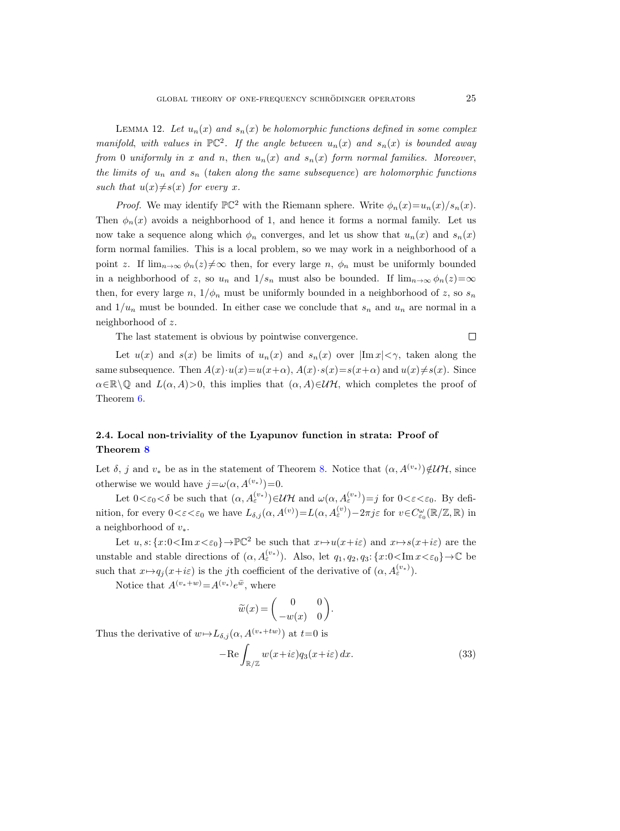LEMMA 12. Let  $u_n(x)$  and  $s_n(x)$  be holomorphic functions defined in some complex manifold, with values in  $\mathbb{PC}^2$ . If the angle between  $u_n(x)$  and  $s_n(x)$  is bounded away from 0 uniformly in x and n, then  $u_n(x)$  and  $s_n(x)$  form normal families. Moreover, the limits of  $u_n$  and  $s_n$  (taken along the same subsequence) are holomorphic functions such that  $u(x) \neq s(x)$  for every x.

*Proof.* We may identify  $\mathbb{PC}^2$  with the Riemann sphere. Write  $\phi_n(x)=u_n(x)/s_n(x)$ . Then  $\phi_n(x)$  avoids a neighborhood of 1, and hence it forms a normal family. Let us now take a sequence along which  $\phi_n$  converges, and let us show that  $u_n(x)$  and  $s_n(x)$ form normal families. This is a local problem, so we may work in a neighborhood of a point z. If  $\lim_{n\to\infty}\phi_n(z)\neq\infty$  then, for every large n,  $\phi_n$  must be uniformly bounded in a neighborhood of z, so  $u_n$  and  $1/s_n$  must also be bounded. If  $\lim_{n\to\infty}\phi_n(z)=\infty$ then, for every large n,  $1/\phi_n$  must be uniformly bounded in a neighborhood of z, so  $s_n$ and  $1/u_n$  must be bounded. In either case we conclude that  $s_n$  and  $u_n$  are normal in a neighborhood of z.

The last statement is obvious by pointwise convergence.

Let  $u(x)$  and  $s(x)$  be limits of  $u_n(x)$  and  $s_n(x)$  over  $|\text{Im }x| < \gamma$ , taken along the same subsequence. Then  $A(x)\cdot u(x)=u(x+\alpha)$ ,  $A(x)\cdot s(x)=s(x+\alpha)$  and  $u(x)\neq s(x)$ . Since  $\alpha \in \mathbb{R} \setminus \mathbb{Q}$  and  $L(\alpha, A) > 0$ , this implies that  $(\alpha, A) \in \mathcal{U}H$ , which completes the proof of Theorem [6.](#page-12-1)

### <span id="page-24-0"></span>2.4. Local non-triviality of the Lyapunov function in strata: Proof of Theorem [8](#page-15-1)

Let  $\delta$ , j and  $v_*$  be as in the statement of Theorem [8.](#page-15-1) Notice that  $(\alpha, A^{(v_*)}) \notin \mathcal{UH}$ , since otherwise we would have  $j = \omega(\alpha, A^{(v_*)}) = 0$ .

Let  $0<\varepsilon_0<\delta$  be such that  $(\alpha, A_{\varepsilon}^{(v_*)})\in \mathcal{UH}$  and  $\omega(\alpha, A_{\varepsilon}^{(v_*)})=j$  for  $0<\varepsilon<\varepsilon_0$ . By definition, for every  $0<\varepsilon<\varepsilon_0$  we have  $L_{\delta,j}(\alpha, A^{(v)})=L(\alpha, A^{(v)}_{\varepsilon})-2\pi j\varepsilon$  for  $v\in C^{\omega}_{\varepsilon_0}(\mathbb{R}/\mathbb{Z}, \mathbb{R})$  in a neighborhood of  $v_*.$ 

Let  $u, s: \{x:0\leq \text{Im}\,x\leq \varepsilon_0\}\rightarrow \mathbb{PC}^2$  be such that  $x\mapsto u(x+i\varepsilon)$  and  $x\mapsto s(x+i\varepsilon)$  are the unstable and stable directions of  $(\alpha, A_{\varepsilon}^{(v_*)})$ . Also, let  $q_1, q_2, q_3$ :  $\{x:0\leq \text{Im}\,x < \varepsilon_0\} \to \mathbb{C}$  be such that  $x \mapsto q_j (x + i \varepsilon)$  is the jth coefficient of the derivative of  $(\alpha, A_{\varepsilon}^{(v_*)})$ .

Notice that  $A^{(v_*+w)} = A^{(v_*)}e^{\tilde{w}}$ , where

$$
\widetilde{w}(x) = \begin{pmatrix} 0 & 0 \\ -w(x) & 0 \end{pmatrix}.
$$

Thus the derivative of  $w \mapsto L_{\delta,j}(\alpha, A^{(v_*+tw)})$  at  $t=0$  is

<span id="page-24-1"></span>
$$
-\text{Re}\int_{\mathbb{R}/\mathbb{Z}} w(x+i\varepsilon)q_3(x+i\varepsilon)\,dx.\tag{33}
$$

 $\Box$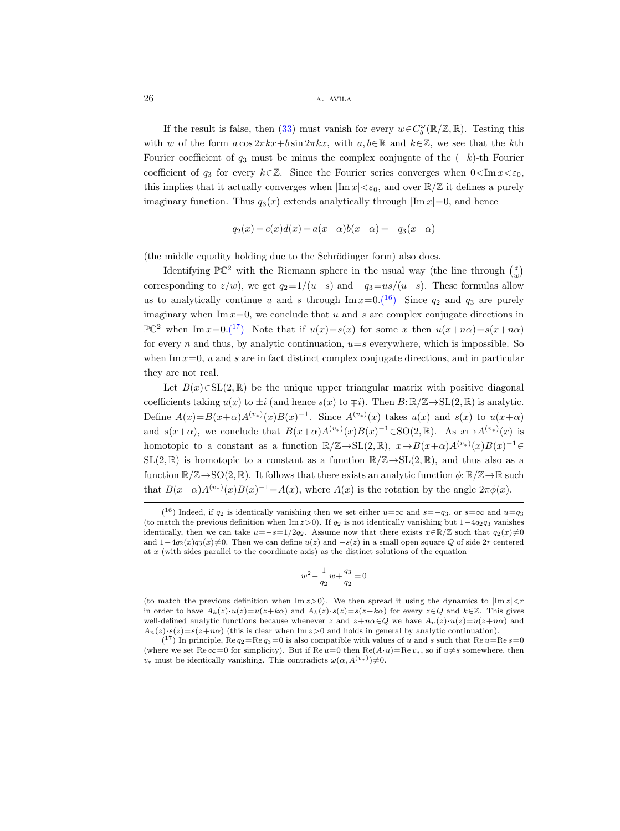$26$  a. avila

If the result is false, then [\(33\)](#page-24-1) must vanish for every  $w \in C^{\omega}_{\delta}(\mathbb{R}/\mathbb{Z}, \mathbb{R})$ . Testing this with w of the form  $a \cos 2\pi kx + b \sin 2\pi kx$ , with  $a, b \in \mathbb{R}$  and  $k \in \mathbb{Z}$ , we see that the kth Fourier coefficient of  $q_3$  must be minus the complex conjugate of the  $(-k)$ -th Fourier coefficient of  $q_3$  for every  $k\in\mathbb{Z}$ . Since the Fourier series converges when  $0<\text{Im }x<\varepsilon_0$ , this implies that it actually converges when  $|\text{Im }x| < \varepsilon_0$ , and over  $\mathbb{R}/\mathbb{Z}$  it defines a purely imaginary function. Thus  $q_3(x)$  extends analytically through  $|\text{Im }x|=0$ , and hence

$$
q_2(x) = c(x)d(x) = a(x - \alpha)b(x - \alpha) = -q_3(x - \alpha)
$$

(the middle equality holding due to the Schrödinger form) also does.

Identifying  $\mathbb{PC}^2$  with the Riemann sphere in the usual way (the line through  $\binom{z}{w}$ ) corresponding to  $z/w$ , we get  $q_2=1/(u-s)$  and  $-q_3=us/(u-s)$ . These formulas allow us to analytically continue u and s through  $\text{Im } x=0.$  (16) Since  $q_2$  and  $q_3$  are purely imaginary when Im  $x=0$ , we conclude that u and s are complex conjugate directions in  $\mathbb{PC}^2$  when Im  $x=0.$ <sup>(17</sup>) Note that if  $u(x)=s(x)$  for some x then  $u(x+n\alpha)=s(x+n\alpha)$ for every  $n$  and thus, by analytic continuation,  $u=s$  everywhere, which is impossible. So when Im  $x=0$ , u and s are in fact distinct complex conjugate directions, and in particular they are not real.

Let  $B(x) \in SL(2, \mathbb{R})$  be the unique upper triangular matrix with positive diagonal coefficients taking  $u(x)$  to  $\pm i$  (and hence  $s(x)$  to  $\mp i$ ). Then  $B: \mathbb{R}/\mathbb{Z} \rightarrow SL(2, \mathbb{R})$  is analytic. Define  $A(x)=B(x+\alpha)A^{(v_*)}(x)B(x)^{-1}$ . Since  $A^{(v_*)}(x)$  takes  $u(x)$  and  $s(x)$  to  $u(x+\alpha)$ and  $s(x+\alpha)$ , we conclude that  $B(x+\alpha)A^{(v_*)}(x)B(x)^{-1} \in SO(2,\mathbb{R})$ . As  $x \mapsto A^{(v_*)}(x)$  is homotopic to a constant as a function  $\mathbb{R}/\mathbb{Z} \to SL(2,\mathbb{R})$ ,  $x \mapsto B(x+\alpha)A^{(v_*)}(x)B(x)^{-1} \in$  $SL(2,\mathbb{R})$  is homotopic to a constant as a function  $\mathbb{R}/\mathbb{Z} \to SL(2,\mathbb{R})$ , and thus also as a function  $\mathbb{R}/\mathbb{Z} \to SO(2, \mathbb{R})$ . It follows that there exists an analytic function  $\phi: \mathbb{R}/\mathbb{Z} \to \mathbb{R}$  such that  $B(x+\alpha)A^{(v_*)}(x)B(x)^{-1} = A(x)$ , where  $A(x)$  is the rotation by the angle  $2\pi\phi(x)$ .

$$
w^2 - \frac{1}{q_2}w + \frac{q_3}{q_2} = 0
$$

<span id="page-25-0"></span><sup>&</sup>lt;sup>(16</sup>) Indeed, if  $q_2$  is identically vanishing then we set either  $u=\infty$  and  $s=-q_3$ , or  $s=\infty$  and  $u=q_3$ (to match the previous definition when Im  $z>0$ ). If  $q_2$  is not identically vanishing but  $1-4q_2q_3$  vanishes identically, then we can take  $u=-s=1/2q_2$ . Assume now that there exists  $x\in\mathbb{R}/\mathbb{Z}$  such that  $q_2(x)\neq0$ and  $1-4q_2(x)q_3(x)\neq0$ . Then we can define  $u(z)$  and  $-s(z)$  in a small open square Q of side 2r centered at  $x$  (with sides parallel to the coordinate axis) as the distinct solutions of the equation

<sup>(</sup>to match the previous definition when Im  $z>0$ ). We then spread it using the dynamics to  $|\text{Im } z| < r$ in order to have  $A_k(z) \cdot u(z) = u(z+k\alpha)$  and  $A_k(z) \cdot s(z) = s(z+k\alpha)$  for every  $z \in Q$  and  $k \in \mathbb{Z}$ . This gives well-defined analytic functions because whenever z and  $z+n\alpha \in Q$  we have  $A_n(z) \cdot u(z)=u(z+n\alpha)$  and  $A_n(z) \cdot s(z) = s(z+n\alpha)$  (this is clear when Im  $z>0$  and holds in general by analytic continuation).

<span id="page-25-1"></span><sup>&</sup>lt;sup>(17</sup>) In principle, Re  $q_2$  = Re  $q_3$  = 0 is also compatible with values of u and s such that Re u=Re s=0 (where we set Re  $\infty=0$  for simplicity). But if Re  $u=0$  then Re( $A \cdot u$ )=Re  $v_*,$  so if  $u \neq \overline{s}$  somewhere, then  $v_*$  must be identically vanishing. This contradicts  $\omega(\alpha, A^{(v_*)}) \neq 0$ .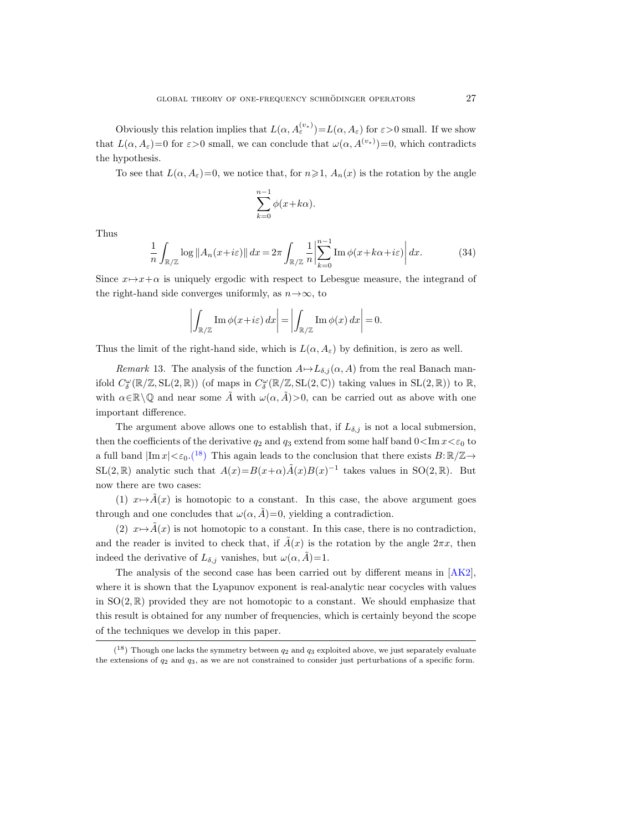Obviously this relation implies that  $L(\alpha, A_{\varepsilon}^{(v_*)}) = L(\alpha, A_{\varepsilon})$  for  $\varepsilon > 0$  small. If we show that  $L(\alpha, A_{\varepsilon})=0$  for  $\varepsilon > 0$  small, we can conclude that  $\omega(\alpha, A^{(v_*)})=0$ , which contradicts the hypothesis.

To see that  $L(\alpha, A_{\varepsilon})=0$ , we notice that, for  $n\geqslant 1$ ,  $A_n(x)$  is the rotation by the angle

$$
\sum_{k=0}^{n-1} \phi(x+k\alpha).
$$

Thus

$$
\frac{1}{n} \int_{\mathbb{R}/\mathbb{Z}} \log \|A_n(x+i\varepsilon)\| \, dx = 2\pi \int_{\mathbb{R}/\mathbb{Z}} \frac{1}{n} \left| \sum_{k=0}^{n-1} \text{Im}\,\phi(x+k\alpha+i\varepsilon) \right| dx. \tag{34}
$$

Since  $x \mapsto x+\alpha$  is uniquely ergodic with respect to Lebesgue measure, the integrand of the right-hand side converges uniformly, as  $n \rightarrow \infty$ , to

$$
\left| \int_{\mathbb{R}/\mathbb{Z}} \operatorname{Im} \phi(x + i\varepsilon) \, dx \right| = \left| \int_{\mathbb{R}/\mathbb{Z}} \operatorname{Im} \phi(x) \, dx \right| = 0.
$$

Thus the limit of the right-hand side, which is  $L(\alpha, A_{\varepsilon})$  by definition, is zero as well.

<span id="page-26-0"></span>Remark 13. The analysis of the function  $A \mapsto L_{\delta,j}(\alpha, A)$  from the real Banach manifold  $C^{\omega}_{\delta}(\mathbb{R}/\mathbb{Z}, \text{SL}(2,\mathbb{R}))$  (of maps in  $C^{\omega}_{\delta}(\mathbb{R}/\mathbb{Z}, \text{SL}(2,\mathbb{C}))$  taking values in  $\text{SL}(2,\mathbb{R})$ ) to  $\mathbb{R}$ , with  $\alpha \in \mathbb{R} \setminus \mathbb{Q}$  and near some  $\tilde{A}$  with  $\omega(\alpha, \tilde{A}) > 0$ , can be carried out as above with one important difference.

The argument above allows one to establish that, if  $L_{\delta,j}$  is not a local submersion, then the coefficients of the derivative  $q_2$  and  $q_3$  extend from some half band  $0<\text{Im }x<\varepsilon_0$  to a full band  $|\text{Im } x| < \varepsilon_0$ .<sup>(18)</sup> This again leads to the conclusion that there exists  $B: \mathbb{R}/\mathbb{Z} \to$ SL(2, R) analytic such that  $A(x) = B(x+\alpha)\tilde{A}(x)B(x)^{-1}$  takes values in SO(2, R). But now there are two cases:

(1)  $x \mapsto \tilde{A}(x)$  is homotopic to a constant. In this case, the above argument goes through and one concludes that  $\omega(\alpha, \tilde{A})=0$ , yielding a contradiction.

(2)  $x \mapsto \tilde{A}(x)$  is not homotopic to a constant. In this case, there is no contradiction, and the reader is invited to check that, if  $\tilde{A}(x)$  is the rotation by the angle  $2\pi x$ , then indeed the derivative of  $L_{\delta,j}$  vanishes, but  $\omega(\alpha, \tilde{A})=1$ .

The analysis of the second case has been carried out by different means in [\[AK2\]](#page-52-13), where it is shown that the Lyapunov exponent is real-analytic near cocycles with values in  $SO(2,\mathbb{R})$  provided they are not homotopic to a constant. We should emphasize that this result is obtained for any number of frequencies, which is certainly beyond the scope of the techniques we develop in this paper.

<span id="page-26-1"></span> $(18)$  Though one lacks the symmetry between  $q_2$  and  $q_3$  exploited above, we just separately evaluate the extensions of  $q_2$  and  $q_3$ , as we are not constrained to consider just perturbations of a specific form.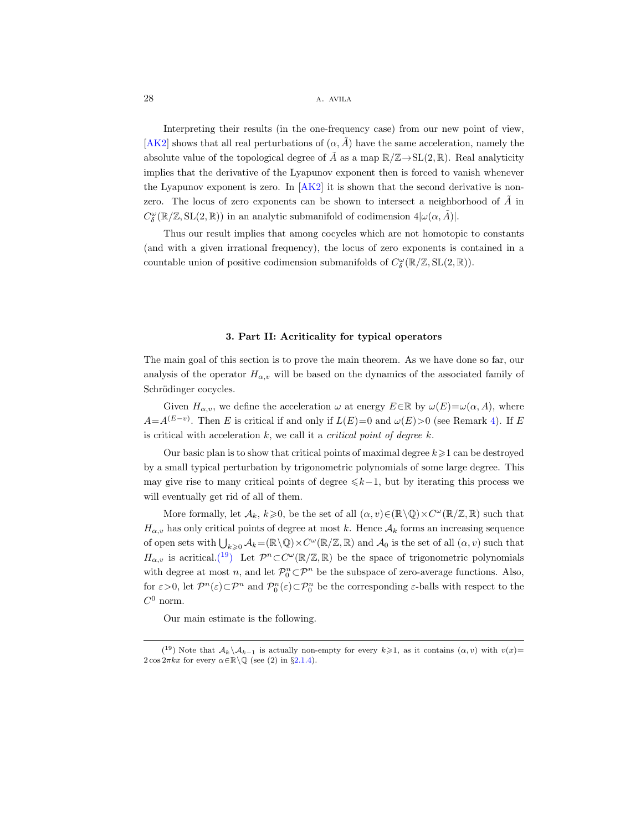28 a. avila

Interpreting their results (in the one-frequency case) from our new point of view, [\[AK2\]](#page-52-13) shows that all real perturbations of  $(\alpha, \tilde{A})$  have the same acceleration, namely the absolute value of the topological degree of  $\tilde{A}$  as a map  $\mathbb{R}/\mathbb{Z} \rightarrow SL(2,\mathbb{R})$ . Real analyticity implies that the derivative of the Lyapunov exponent then is forced to vanish whenever the Lyapunov exponent is zero. In [\[AK2\]](#page-52-13) it is shown that the second derivative is nonzero. The locus of zero exponents can be shown to intersect a neighborhood of  $A$  in  $C^{\omega}_{\delta}(\mathbb{R}/\mathbb{Z}, \text{SL}(2, \mathbb{R}))$  in an analytic submanifold of codimension  $4|\omega(\alpha, \tilde{A})|$ .

Thus our result implies that among cocycles which are not homotopic to constants (and with a given irrational frequency), the locus of zero exponents is contained in a countable union of positive codimension submanifolds of  $C^{\omega}_{\delta}(\mathbb{R}/\mathbb{Z}, \text{SL}(2,\mathbb{R}))$ .

### 3. Part II: Acriticality for typical operators

<span id="page-27-0"></span>The main goal of this section is to prove the main theorem. As we have done so far, our analysis of the operator  $H_{\alpha,v}$  will be based on the dynamics of the associated family of Schrödinger cocycles.

Given  $H_{\alpha,v}$ , we define the acceleration  $\omega$  at energy  $E \in \mathbb{R}$  by  $\omega(E) = \omega(\alpha, A)$ , where  $A=A^{(E-v)}$ . Then E is critical if and only if  $L(E)=0$  and  $\omega(E)>0$  (see Remark [4\)](#page-12-3). If E is critical with acceleration  $k$ , we call it a *critical point of degree*  $k$ .

Our basic plan is to show that critical points of maximal degree  $k \geq 1$  can be destroyed by a small typical perturbation by trigonometric polynomials of some large degree. This may give rise to many critical points of degree  $\leq k-1$ , but by iterating this process we will eventually get rid of all of them.

More formally, let  $\mathcal{A}_k$ ,  $k \geqslant 0$ , be the set of all  $(\alpha, v) \in (\mathbb{R} \setminus \mathbb{Q}) \times C^{\omega}(\mathbb{R}/\mathbb{Z}, \mathbb{R})$  such that  $H_{\alpha,v}$  has only critical points of degree at most k. Hence  $A_k$  forms an increasing sequence of open sets with  $\bigcup_{k\geqslant 0} A_k = (\mathbb{R}\setminus\mathbb{Q})\times C^{\omega}(\mathbb{R}/\mathbb{Z}, \mathbb{R})$  and  $\mathcal{A}_0$  is the set of all  $(\alpha, v)$  such that  $H_{\alpha,v}$  is acritical.<sup>(19</sup>) Let  $\mathcal{P}^n \subset C^{\omega}(\mathbb{R}/\mathbb{Z}, \mathbb{R})$  be the space of trigonometric polynomials with degree at most n, and let  $\mathcal{P}_0^n \subset \mathcal{P}^n$  be the subspace of zero-average functions. Also, for  $\varepsilon > 0$ , let  $\mathcal{P}^n(\varepsilon) \subset \mathcal{P}^n$  and  $\mathcal{P}^n_0(\varepsilon) \subset \mathcal{P}^n_0$  be the corresponding  $\varepsilon$ -balls with respect to the  $C^0$  norm.

<span id="page-27-1"></span>Our main estimate is the following.

<sup>(&</sup>lt;sup>19</sup>) Note that  $\mathcal{A}_k \setminus \mathcal{A}_{k-1}$  is actually non-empty for every  $k \geqslant 1$ , as it contains  $(\alpha, v)$  with  $v(x)$  $2 \cos 2\pi kx$  for every  $\alpha \in \mathbb{R} \setminus \mathbb{Q}$  (see (2) in §[2.1.4\)](#page-15-2).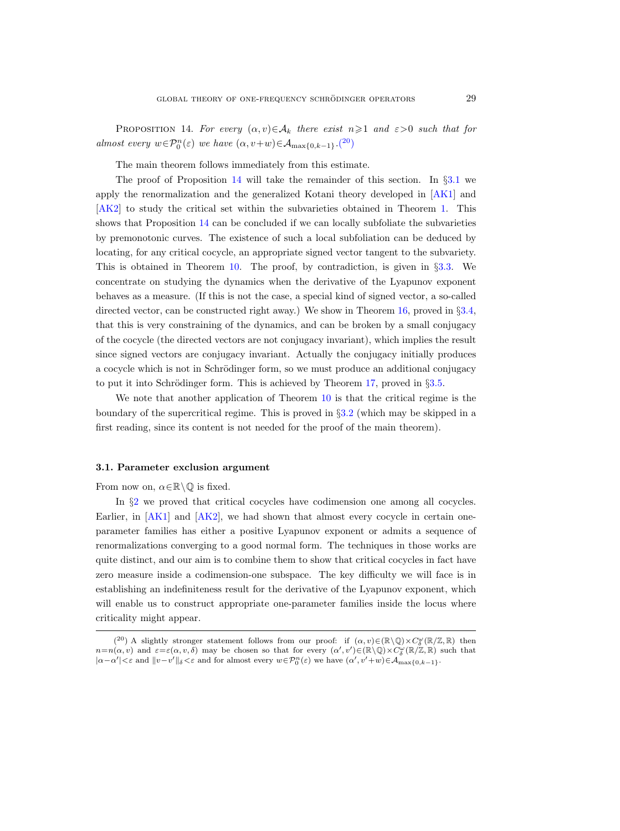<span id="page-28-1"></span>PROPOSITION 14. For every  $(\alpha, v) \in A_k$  there exist  $n \geq 1$  and  $\varepsilon > 0$  such that for almost every  $w \in \mathcal{P}_0^n(\varepsilon)$  we have  $(\alpha, v+w) \in \mathcal{A}_{\max\{0, k-1\}}$ .([20](#page-28-0))

The main theorem follows immediately from this estimate.

The proof of Proposition [14](#page-28-1) will take the remainder of this section. In §[3.1](#page-28-2) we apply the renormalization and the generalized Kotani theory developed in [\[AK1\]](#page-52-4) and [\[AK2\]](#page-52-13) to study the critical set within the subvarieties obtained in Theorem [1.](#page-6-1) This shows that Proposition [14](#page-28-1) can be concluded if we can locally subfoliate the subvarieties by premonotonic curves. The existence of such a local subfoliation can be deduced by locating, for any critical cocycle, an appropriate signed vector tangent to the subvariety. This is obtained in Theorem [10.](#page-31-0) The proof, by contradiction, is given in §[3.3.](#page-34-1) We concentrate on studying the dynamics when the derivative of the Lyapunov exponent behaves as a measure. (If this is not the case, a special kind of signed vector, a so-called directed vector, can be constructed right away.) We show in Theorem [16,](#page-35-0) proved in §[3.4,](#page-38-0) that this is very constraining of the dynamics, and can be broken by a small conjugacy of the cocycle (the directed vectors are not conjugacy invariant), which implies the result since signed vectors are conjugacy invariant. Actually the conjugacy initially produces a cocycle which is not in Schrödinger form, so we must produce an additional conjugacy to put it into Schrödinger form. This is achieved by Theorem [17,](#page-35-1) proved in  $\S 3.5$ .

We note that another application of Theorem [10](#page-31-0) is that the critical regime is the boundary of the supercritical regime. This is proved in §[3.2](#page-34-2) (which may be skipped in a first reading, since its content is not needed for the proof of the main theorem).

### <span id="page-28-2"></span>3.1. Parameter exclusion argument

From now on,  $\alpha \in \mathbb{R} \setminus \mathbb{Q}$  is fixed.

In §[2](#page-7-0) we proved that critical cocycles have codimension one among all cocycles. Earlier, in  $[AK1]$  and  $[AK2]$ , we had shown that almost every cocycle in certain oneparameter families has either a positive Lyapunov exponent or admits a sequence of renormalizations converging to a good normal form. The techniques in those works are quite distinct, and our aim is to combine them to show that critical cocycles in fact have zero measure inside a codimension-one subspace. The key difficulty we will face is in establishing an indefiniteness result for the derivative of the Lyapunov exponent, which will enable us to construct appropriate one-parameter families inside the locus where criticality might appear.

<span id="page-28-0"></span><sup>(20)</sup> A slightly stronger statement follows from our proof: if  $(\alpha, v) \in (\mathbb{R} \setminus \mathbb{Q}) \times C^{\omega}_{\delta}(\mathbb{R}/\mathbb{Z}, \mathbb{R})$  then  $n=n(\alpha, v)$  and  $\varepsilon = \varepsilon(\alpha, v, \delta)$  may be chosen so that for every  $(\alpha', v') \in (\mathbb{R} \setminus \mathbb{Q}) \times C_{\delta}^{\omega}(\mathbb{R}/\mathbb{Z}, \mathbb{R})$  such that  $|\alpha-\alpha'|<\varepsilon$  and  $||v-v'||_{\delta}<\varepsilon$  and for almost every  $w\in\mathcal{P}_0^n(\varepsilon)$  we have  $(\alpha',v'+w)\in\mathcal{A}_{\max\{0,k-1\}}$ .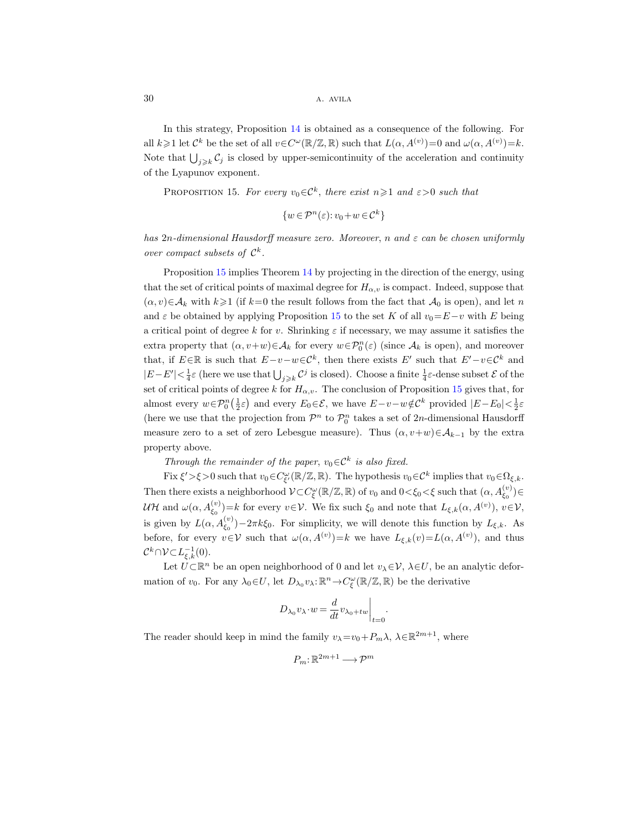In this strategy, Proposition [14](#page-28-1) is obtained as a consequence of the following. For all  $k \geq 1$  let  $\mathcal{C}^k$  be the set of all  $v \in C^{\omega}(\mathbb{R}/\mathbb{Z}, \mathbb{R})$  such that  $L(\alpha, A^{(v)}) = 0$  and  $\omega(\alpha, A^{(v)}) = k$ . Note that  $\bigcup_{j\geqslant k} C_j$  is closed by upper-semicontinuity of the acceleration and continuity of the Lyapunov exponent.

<span id="page-29-0"></span>PROPOSITION 15. For every  $v_0 \in \mathcal{C}^k$ , there exist  $n \geq 1$  and  $\varepsilon > 0$  such that

$$
\{w \in \mathcal{P}^n(\varepsilon): v_0 + w \in \mathcal{C}^k\}
$$

has 2n-dimensional Hausdorff measure zero. Moreover, n and  $\varepsilon$  can be chosen uniformly over compact subsets of  $\mathcal{C}^k$ .

Proposition [15](#page-29-0) implies Theorem [14](#page-28-1) by projecting in the direction of the energy, using that the set of critical points of maximal degree for  $H_{\alpha,v}$  is compact. Indeed, suppose that  $(\alpha, v) \in \mathcal{A}_k$  with  $k \geq 1$  (if  $k=0$  the result follows from the fact that  $\mathcal{A}_0$  is open), and let n and  $\varepsilon$  be obtained by applying Proposition [15](#page-29-0) to the set K of all  $v_0=E-v$  with E being a critical point of degree k for v. Shrinking  $\varepsilon$  if necessary, we may assume it satisfies the extra property that  $(\alpha, v+w) \in \mathcal{A}_k$  for every  $w \in \mathcal{P}_0^n(\varepsilon)$  (since  $\mathcal{A}_k$  is open), and moreover that, if  $E \in \mathbb{R}$  is such that  $E-v-w \in \mathcal{C}^k$ , then there exists E' such that  $E'-v \in \mathcal{C}^k$  and  $|E-E'| $\frac{1}{4}\varepsilon$  (here we use that  $\bigcup_{j\geqslant k}C^j$  is closed). Choose a finite  $\frac{1}{4}\varepsilon$ -dense subset  $\mathcal E$  of the$ set of critical points of degree k for  $H_{\alpha,v}$ . The conclusion of Proposition [15](#page-29-0) gives that, for almost every  $w \in \mathcal{P}_0^n(\frac{1}{2}\varepsilon)$  and every  $E_0 \in \mathcal{E}$ , we have  $E-v-w \notin \mathcal{C}^k$  provided  $|E-E_0| < \frac{1}{2}\varepsilon$ (here we use that the projection from  $\mathcal{P}^n$  to  $\mathcal{P}^n_0$  takes a set of 2n-dimensional Hausdorff measure zero to a set of zero Lebesgue measure). Thus  $(\alpha, v+w) \in \mathcal{A}_{k-1}$  by the extra property above.

Through the remainder of the paper,  $v_0 \in \mathcal{C}^k$  is also fixed.

Fix  $\xi' > \xi > 0$  such that  $v_0 \in C^{\omega}_{\xi'}(\mathbb{R}/\mathbb{Z}, \mathbb{R})$ . The hypothesis  $v_0 \in C^k$  implies that  $v_0 \in \Omega_{\xi,k}$ . Then there exists a neighborhood  $\mathcal{V} \subset C^{\omega}_{\xi}(\mathbb{R}/\mathbb{Z}, \mathbb{R})$  of  $v_0$  and  $0 < \xi_0 < \xi$  such that  $(\alpha, A_{\xi_0}^{(v)}) \in$ UH and  $\omega(\alpha, A_{\xi_0}^{(v)}) = k$  for every  $v \in \mathcal{V}$ . We fix such  $\xi_0$  and note that  $L_{\xi,k}(\alpha, A^{(v)}), v \in \mathcal{V}$ , is given by  $L(\alpha, A_{\xi_0}^{(v)}) - 2\pi k \xi_0$ . For simplicity, we will denote this function by  $L_{\xi,k}$ . As before, for every  $v \in V$  such that  $\omega(\alpha, A^{(v)}) = k$  we have  $L_{\xi,k}(v) = L(\alpha, A^{(v)})$ , and thus  $\mathcal{C}^k\!\cap\!\mathcal{V}\!\subset\! L_{\xi,k}^{-1}(0).$ 

Let  $U \subset \mathbb{R}^n$  be an open neighborhood of 0 and let  $v_{\lambda} \in V$ ,  $\lambda \in U$ , be an analytic deformation of  $v_0$ . For any  $\lambda_0 \in U$ , let  $D_{\lambda_0} v_\lambda : \mathbb{R}^n \to C^{\omega}_{\xi}(\mathbb{R}/\mathbb{Z}, \mathbb{R})$  be the derivative

$$
D_{\lambda_0} v_\lambda \cdot w = \frac{d}{dt} v_{\lambda_0 + tw} \Big|_{t=0}.
$$

The reader should keep in mind the family  $v_{\lambda} = v_0 + P_m \lambda$ ,  $\lambda \in \mathbb{R}^{2m+1}$ , where

$$
P_m: \mathbb{R}^{2m+1} \longrightarrow \mathcal{P}^m
$$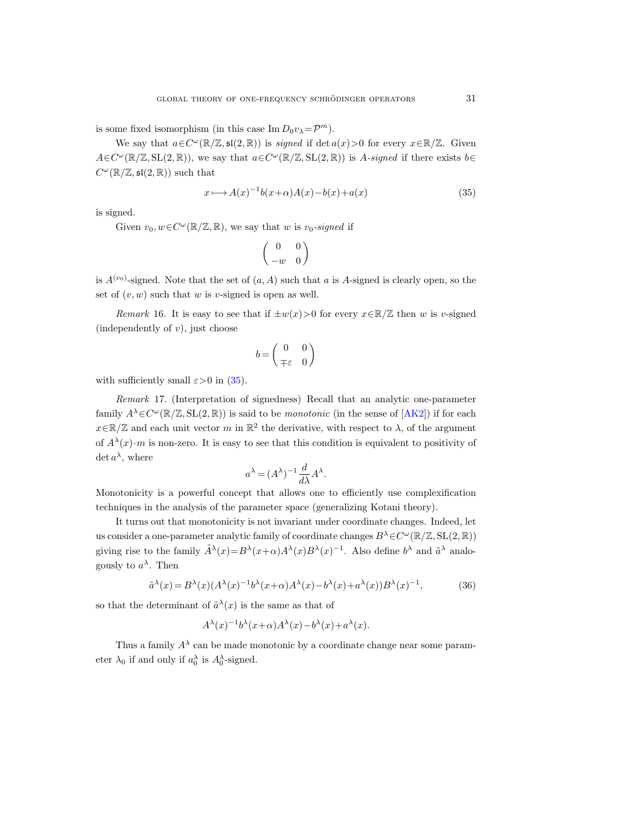is some fixed isomorphism (in this case  $\text{Im } D_0 v_\lambda = \mathcal{P}^m$ ).

We say that  $a \in C^{\omega}(\mathbb{R}/\mathbb{Z}, \mathfrak{sl}(2,\mathbb{R}))$  is signed if  $\det a(x) > 0$  for every  $x \in \mathbb{R}/\mathbb{Z}$ . Given  $A\in C^{\omega}(\mathbb{R}/\mathbb{Z}, \text{SL}(2,\mathbb{R}))$ , we say that  $a\in C^{\omega}(\mathbb{R}/\mathbb{Z}, \text{SL}(2,\mathbb{R}))$  is A-signed if there exists  $b\in$  $C^{\omega}(\mathbb{R}/\mathbb{Z},\mathfrak{sl}(2,\mathbb{R}))$  such that

<span id="page-30-0"></span>
$$
x \longmapsto A(x)^{-1}b(x+\alpha)A(x)-b(x)+a(x) \tag{35}
$$

is signed.

Given  $v_0, w \in C^{\omega}(\mathbb{R}/\mathbb{Z}, \mathbb{R})$ , we say that w is  $v_0$ -signed if

$$
\begin{pmatrix} 0 & 0 \\ -w & 0 \end{pmatrix}
$$

is  $A^{(v_0)}$ -signed. Note that the set of  $(a, A)$  such that a is A-signed is clearly open, so the set of  $(v, w)$  such that w is v-signed is open as well.

<span id="page-30-2"></span>Remark 16. It is easy to see that if  $\pm w(x)>0$  for every  $x\in\mathbb{R}/\mathbb{Z}$  then w is v-signed (independently of  $v$ ), just choose

$$
b = \begin{pmatrix} 0 & 0 \\ \mp \varepsilon & 0 \end{pmatrix}
$$

with sufficiently small  $\varepsilon > 0$  in [\(35\)](#page-30-0).

<span id="page-30-1"></span>Remark 17. (Interpretation of signedness) Recall that an analytic one-parameter family  $A^{\lambda} \in C^{\omega}(\mathbb{R}/\mathbb{Z}, \text{SL}(2, \mathbb{R}))$  is said to be *monotonic* (in the sense of [\[AK2\]](#page-52-13)) if for each  $x \in \mathbb{R}/\mathbb{Z}$  and each unit vector m in  $\mathbb{R}^2$  the derivative, with respect to  $\lambda$ , of the argument of  $A^{\lambda}(x) \cdot m$  is non-zero. It is easy to see that this condition is equivalent to positivity of  $\det a^{\lambda}$ , where

$$
a^{\lambda} = (A^{\lambda})^{-1} \frac{d}{d\lambda} A^{\lambda}.
$$

Monotonicity is a powerful concept that allows one to efficiently use complexification techniques in the analysis of the parameter space (generalizing Kotani theory).

It turns out that monotonicity is not invariant under coordinate changes. Indeed, let us consider a one-parameter analytic family of coordinate changes  $B^{\lambda} \in C^{\omega}(\mathbb{R}/\mathbb{Z}, \text{SL}(2, \mathbb{R}))$ giving rise to the family  $\tilde{A}^{\lambda}(x) = B^{\lambda}(x+\alpha)A^{\lambda}(x)B^{\lambda}(x)^{-1}$ . Also define  $b^{\lambda}$  and  $\tilde{a}^{\lambda}$  analogously to  $a^{\lambda}$ . Then

$$
\tilde{a}^{\lambda}(x) = B^{\lambda}(x) \left( A^{\lambda}(x)^{-1} b^{\lambda}(x+\alpha) A^{\lambda}(x) - b^{\lambda}(x) + a^{\lambda}(x) \right) B^{\lambda}(x)^{-1},\tag{36}
$$

so that the determinant of  $\tilde{a}^{\lambda}(x)$  is the same as that of

$$
A^{\lambda}(x)^{-1}b^{\lambda}(x+\alpha)A^{\lambda}(x)-b^{\lambda}(x)+a^{\lambda}(x).
$$

Thus a family  $A^{\lambda}$  can be made monotonic by a coordinate change near some parameter  $\lambda_0$  if and only if  $a_0^{\lambda}$  is  $A_0^{\lambda}$ -signed.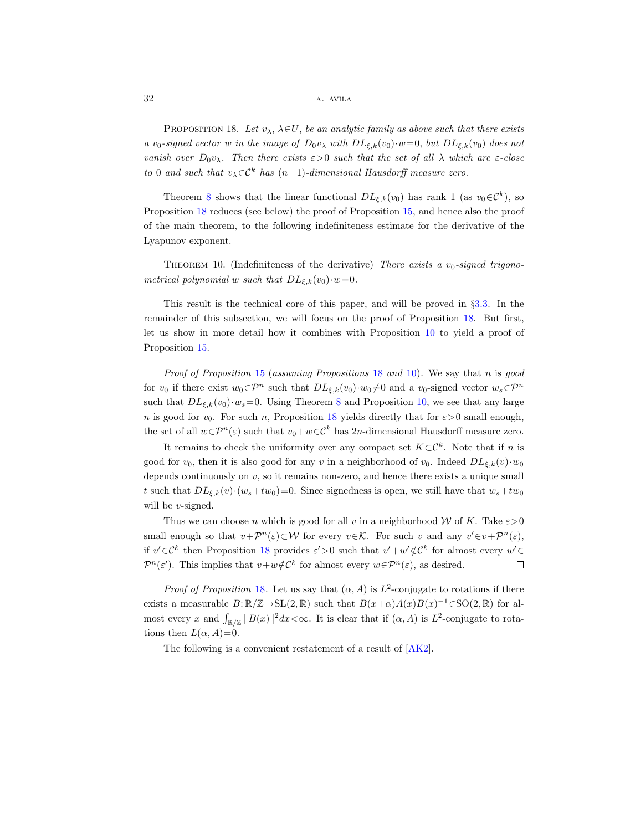<span id="page-31-1"></span>PROPOSITION 18. Let  $v_{\lambda}$ ,  $\lambda \in U$ , be an analytic family as above such that there exists a v<sub>0</sub>-signed vector w in the image of  $D_0v_\lambda$  with  $DL_{\xi,k}(v_0)\cdot w=0$ , but  $DL_{\xi,k}(v_0)$  does not vanish over  $D_0v_\lambda$ . Then there exists  $\varepsilon>0$  such that the set of all  $\lambda$  which are  $\varepsilon$ -close to 0 and such that  $v_{\lambda} \in \mathcal{C}^k$  has  $(n-1)$ -dimensional Hausdorff measure zero.

Theorem [8](#page-15-1) shows that the linear functional  $DL_{\xi,k}(v_0)$  has rank 1 (as  $v_0 \in C^k$ ), so Proposition [18](#page-31-1) reduces (see below) the proof of Proposition [15,](#page-29-0) and hence also the proof of the main theorem, to the following indefiniteness estimate for the derivative of the Lyapunov exponent.

<span id="page-31-0"></span>THEOREM 10. (Indefiniteness of the derivative) There exists a  $v_0$ -signed trigonometrical polynomial w such that  $DL_{\xi,k}(v_0)\cdot w=0$ .

This result is the technical core of this paper, and will be proved in §[3.3.](#page-34-1) In the remainder of this subsection, we will focus on the proof of Proposition [18.](#page-31-1) But first, let us show in more detail how it combines with Proposition [10](#page-31-0) to yield a proof of Proposition [15.](#page-29-0)

*Proof of Proposition [15](#page-29-0) (assuming Propositions [18](#page-31-1) and [10\)](#page-31-0)*. We say that n is good for  $v_0$  if there exist  $w_0 \in \mathcal{P}^n$  such that  $DL_{\xi,k}(v_0) \cdot w_0 \neq 0$  and a  $v_0$ -signed vector  $w_s \in \mathcal{P}^n$ such that  $DL_{\xi,k}(v_0)\cdot w_s=0$ . Using Theorem [8](#page-15-1) and Proposition [10,](#page-31-0) we see that any large n is good for  $v_0$ . For such n, Proposition [18](#page-31-1) yields directly that for  $\varepsilon > 0$  small enough, the set of all  $w \in \mathcal{P}^n(\varepsilon)$  such that  $v_0+w\in\mathcal{C}^k$  has 2n-dimensional Hausdorff measure zero.

It remains to check the uniformity over any compact set  $K\subset \mathcal{C}^k$ . Note that if n is good for  $v_0$ , then it is also good for any v in a neighborhood of  $v_0$ . Indeed  $DL_{\xi,k}(v)\cdot w_0$ depends continuously on v, so it remains non-zero, and hence there exists a unique small t such that  $DL_{\xi,k}(v)\cdot(w_s+tw_0)=0$ . Since signedness is open, we still have that  $w_s+tw_0$ will be *v*-signed.

Thus we can choose n which is good for all v in a neighborhood W of K. Take  $\varepsilon > 0$ small enough so that  $v + \mathcal{P}^n(\varepsilon) \subset \mathcal{W}$  for every  $v \in \mathcal{K}$ . For such v and any  $v' \in v + \mathcal{P}^n(\varepsilon)$ , if  $v' \in \mathcal{C}^k$  then Proposition [18](#page-31-1) provides  $\varepsilon' > 0$  such that  $v' + w' \notin \mathcal{C}^k$  for almost every  $w' \in \mathcal{C}^k$  $\mathcal{P}^n(\varepsilon')$ . This implies that  $v+w \notin \mathcal{C}^k$  for almost every  $w \in \mathcal{P}^n(\varepsilon)$ , as desired.  $\Box$ 

*Proof of Proposition* [18](#page-31-1). Let us say that  $(\alpha, A)$  is  $L^2$ -conjugate to rotations if there exists a measurable  $B: \mathbb{R}/\mathbb{Z} \to SL(2, \mathbb{R})$  such that  $B(x+\alpha)A(x)B(x)^{-1} \in SO(2, \mathbb{R})$  for almost every x and  $\int_{\mathbb{R}/\mathbb{Z}} ||B(x)||^2 dx < \infty$ . It is clear that if  $(\alpha, A)$  is  $L^2$ -conjugate to rotations then  $L(\alpha, A)=0$ .

<span id="page-31-2"></span>The following is a convenient restatement of a result of [\[AK2\]](#page-52-13).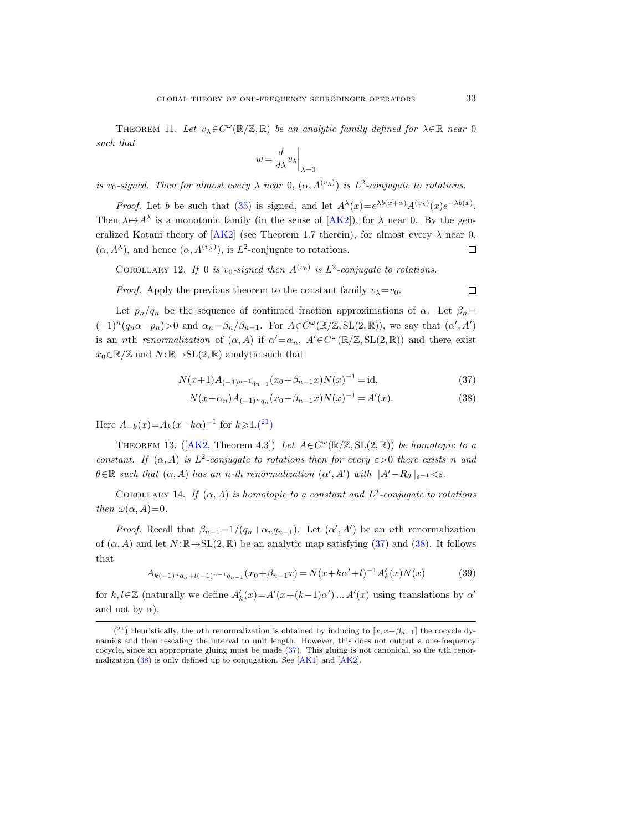THEOREM 11. Let  $v_{\lambda} \in C^{\omega}(\mathbb{R}/\mathbb{Z}, \mathbb{R})$  be an analytic family defined for  $\lambda \in \mathbb{R}$  near 0 such that

$$
w = \frac{d}{d\lambda} v_{\lambda} \bigg|_{\lambda = 0}
$$

is v<sub>0</sub>-signed. Then for almost every  $\lambda$  near 0,  $(\alpha, A^{(v_{\lambda})})$  is  $L^2$ -conjugate to rotations.

*Proof.* Let b be such that [\(35\)](#page-30-0) is signed, and let  $A^{\lambda}(x) = e^{\lambda b(x+\alpha)} A^{(v_{\lambda})}(x) e^{-\lambda b(x)}$ . Then  $\lambda \mapsto A^{\lambda}$  is a monotonic family (in the sense of [\[AK2\]](#page-52-13)), for  $\lambda$  near 0. By the gen-eralized Kotani theory of [\[AK2\]](#page-52-13) (see Theorem 1.7 therein), for almost every  $\lambda$  near 0,  $(\alpha, A^{\lambda})$ , and hence  $(\alpha, A^{(v_{\lambda})})$ , is  $L^2$ -conjugate to rotations.  $\Box$ 

<span id="page-32-3"></span>COROLLARY 12. If 0 is  $v_0$ -signed then  $A^{(v_0)}$  is  $L^2$ -conjugate to rotations.

*Proof.* Apply the previous theorem to the constant family  $v_{\lambda} = v_0$ .

Let  $p_n/q_n$  be the sequence of continued fraction approximations of  $\alpha$ . Let  $\beta_n=$  $(-1)^n(q_n\alpha-p_n)$ >0 and  $\alpha_n=\beta_n/\beta_{n-1}$ . For  $A\in C^{\omega}(\mathbb{R}/\mathbb{Z}, \text{SL}(2,\mathbb{R}))$ , we say that  $(\alpha', A')$ is an *n*th renormalization of  $(\alpha, A)$  if  $\alpha' = \alpha_n$ ,  $A' \in C^{\omega}(\mathbb{R}/\mathbb{Z}, SL(2,\mathbb{R}))$  and there exist  $x_0 \in \mathbb{R}/\mathbb{Z}$  and  $N: \mathbb{R} \rightarrow SL(2, \mathbb{R})$  analytic such that

$$
N(x+1)A_{(-1)^{n-1}q_{n-1}}(x_0+\beta_{n-1}x)N(x)^{-1}=\mathrm{id},\tag{37}
$$

$$
N(x+\alpha_n)A_{(-1)^n q_n}(x_0+\beta_{n-1}x)N(x)^{-1} = A'(x).
$$
\n(38)

Here  $A_{-k}(x) = A_k(x - k\alpha)^{-1}$  for  $k \ge 1$ [.\(](#page-32-0)<sup>21</sup>)

THEOREM 13. ( $[AK2, Theorem 4.3]$  $[AK2, Theorem 4.3]$ ) Let  $A \in C^{\omega}(\mathbb{R}/\mathbb{Z}, SL(2,\mathbb{R}))$  be homotopic to a constant. If  $(\alpha, A)$  is  $L^2$ -conjugate to rotations then for every  $\varepsilon > 0$  there exists n and  $\theta \in \mathbb{R}$  such that  $(\alpha, A)$  has an n-th renormalization  $(\alpha', A')$  with  $||A' - R_{\theta}||_{\varepsilon^{-1}} < \varepsilon$ .

<span id="page-32-4"></span>COROLLARY 14. If  $(\alpha, A)$  is homotopic to a constant and  $L^2$ -conjugate to rotations then  $\omega(\alpha, A) = 0$ .

*Proof.* Recall that  $\beta_{n-1}=1/(q_n+\alpha_nq_{n-1})$ . Let  $(\alpha', A')$  be an nth renormalization of  $(\alpha, A)$  and let  $N: \mathbb{R} \rightarrow SL(2, \mathbb{R})$  be an analytic map satisfying [\(37\)](#page-32-1) and [\(38\)](#page-32-2). It follows that

$$
A_{k(-1)^n q_n + l(-1)^{n-1} q_{n-1}}(x_0 + \beta_{n-1} x) = N(x + k\alpha' + l)^{-1} A'_k(x) N(x)
$$
(39)

for  $k, l \in \mathbb{Z}$  (naturally we define  $A'_k(x) = A'(x + (k-1)\alpha') \dots A'(x)$  using translations by  $\alpha'$ and not by  $\alpha$ ).

<span id="page-32-2"></span><span id="page-32-1"></span> $\Box$ 

<span id="page-32-0"></span> $(2<sup>1</sup>)$  Heuristically, the *n*th renormalization is obtained by inducing to  $[x, x+\beta_{n-1}]$  the cocycle dynamics and then rescaling the interval to unit length. However, this does not output a one-frequency cocycle, since an appropriate gluing must be made  $(37)$ . This gluing is not canonical, so the *n*th renormalization  $(38)$  is only defined up to conjugation. See [\[AK1\]](#page-52-4) and [\[AK2\]](#page-52-13).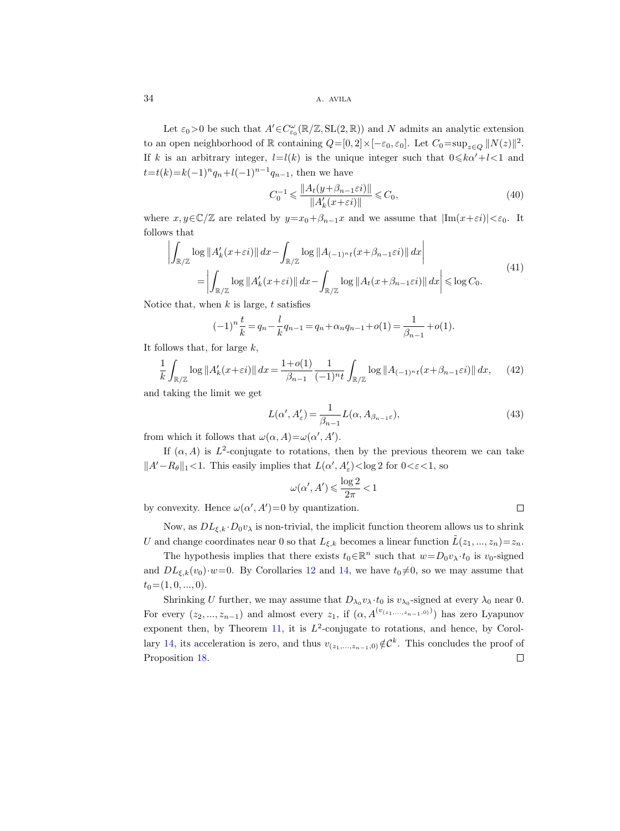Let  $\varepsilon_0 > 0$  be such that  $A' \in C_{\varepsilon_0}^{\omega}(\mathbb{R}/\mathbb{Z}, \mathrm{SL}(2, \mathbb{R}))$  and N admits an analytic extension to an open neighborhood of R containing  $Q=[0,2]\times[-\varepsilon_0,\varepsilon_0]$ . Let  $C_0=\sup_{z\in Q}||N(z)||^2$ . If k is an arbitrary integer,  $l=l(k)$  is the unique integer such that  $0 \le k\alpha'+l<1$  and  $t=t(k)=k(-1)^nq_n+l(-1)^{n-1}q_{n-1}$ , then we have

$$
C_0^{-1} \leq \frac{\|A_t(y + \beta_{n-1}\varepsilon i)\|}{\|A'_k(x + \varepsilon i)\|} \leq C_0,
$$
\n
$$
(40)
$$

where  $x, y \in \mathbb{C}/\mathbb{Z}$  are related by  $y=x_0+\beta_{n-1}x$  and we assume that  $|\text{Im}(x+\varepsilon i)| < \varepsilon_0$ . It follows that

$$
\left| \int_{\mathbb{R}/\mathbb{Z}} \log \| A'_k(x+\varepsilon i) \| \, dx - \int_{\mathbb{R}/\mathbb{Z}} \log \| A_{(-1)^{n}t}(x+\beta_{n-1}\varepsilon i) \| \, dx \right|
$$
\n
$$
= \left| \int_{\mathbb{R}/\mathbb{Z}} \log \| A'_k(x+\varepsilon i) \| \, dx - \int_{\mathbb{R}/\mathbb{Z}} \log \| A_t(x+\beta_{n-1}\varepsilon i) \| \, dx \right| \leq \log C_0.
$$
\n
$$
(41)
$$

Notice that, when  $k$  is large,  $t$  satisfies

$$
(-1)^n \frac{t}{k} = q_n - \frac{l}{k} q_{n-1} = q_n + \alpha_n q_{n-1} + o(1) = \frac{1}{\beta_{n-1}} + o(1).
$$

It follows that, for large  $k$ ,

$$
\frac{1}{k} \int_{\mathbb{R}/\mathbb{Z}} \log \|A'_k(x+\varepsilon i)\| \, dx = \frac{1+o(1)}{\beta_{n-1}} \frac{1}{(-1)^n t} \int_{\mathbb{R}/\mathbb{Z}} \log \|A_{(-1)^n t}(x+\beta_{n-1}\varepsilon i)\| \, dx,\tag{42}
$$

and taking the limit we get

$$
L(\alpha', A'_{\varepsilon}) = \frac{1}{\beta_{n-1}} L(\alpha, A_{\beta_{n-1}\varepsilon}),
$$
\n(43)

from which it follows that  $\omega(\alpha, A) = \omega(\alpha', A')$ .

If  $(\alpha, A)$  is  $L^2$ -conjugate to rotations, then by the previous theorem we can take  $||A' - R_{\theta}||_1$ <1. This easily implies that  $L(\alpha', A'_{\varepsilon})$  < log 2 for 0 <  $\varepsilon$  < 1, so

$$
\omega(\alpha',A')\leqslant\frac{\log 2}{2\pi}<1
$$

by convexity. Hence  $\omega(\alpha', A') = 0$  by quantization.

Now, as  $DL_{\xi,k} \cdot D_0 v_\lambda$  is non-trivial, the implicit function theorem allows us to shrink U and change coordinates near 0 so that  $L_{\xi,k}$  becomes a linear function  $\tilde{L}(z_1, ..., z_n)=z_n$ .

The hypothesis implies that there exists  $t_0 \in \mathbb{R}^n$  such that  $w = D_0 v_\lambda \cdot t_0$  is  $v_0$ -signed and  $DL_{\xi,k}(v_0)\cdot w=0$ . By Corollaries [12](#page-32-3) and [14,](#page-32-4) we have  $t_0\neq 0$ , so we may assume that  $t_0 = (1, 0, ..., 0).$ 

Shrinking U further, we may assume that  $D_{\lambda_0}v_\lambda \cdot t_0$  is  $v_{\lambda_0}$ -signed at every  $\lambda_0$  near 0. For every  $(z_2, ..., z_{n-1})$  and almost every  $z_1$ , if  $(\alpha, A^{(v_{(z_1,...,z_{n-1},0)})})$  has zero Lyapunov exponent then, by Theorem [11,](#page-31-2) it is  $L^2$ -conjugate to rotations, and hence, by Corol-lary [14,](#page-32-4) its acceleration is zero, and thus  $v_{(z_1,...,z_{n-1},0)} \notin \mathcal{C}^k$ . This concludes the proof of  $\Box$ Proposition [18.](#page-31-1)

 $\Box$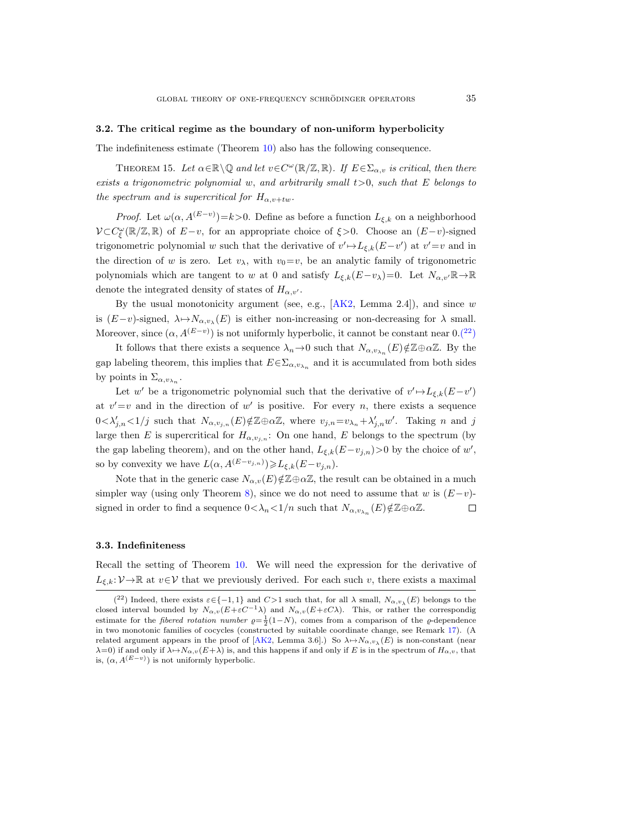### <span id="page-34-2"></span>3.2. The critical regime as the boundary of non-uniform hyperbolicity

The indefiniteness estimate (Theorem [10\)](#page-31-0) also has the following consequence.

<span id="page-34-0"></span>THEOREM 15. Let  $\alpha \in \mathbb{R} \setminus \mathbb{Q}$  and let  $v \in C^{\omega}(\mathbb{R}/\mathbb{Z}, \mathbb{R})$ . If  $E \in \Sigma_{\alpha,v}$  is critical, then there exists a trigonometric polynomial w, and arbitrarily small  $t > 0$ , such that E belongs to the spectrum and is supercritical for  $H_{\alpha,v+tw}$ .

*Proof.* Let  $\omega(\alpha, A^{(E-v)}) = k > 0$ . Define as before a function  $L_{\xi,k}$  on a neighborhood  $\mathcal{V} \subset C^{\omega}_{\xi}(\mathbb{R}/\mathbb{Z}, \mathbb{R})$  of  $E-v$ , for an appropriate choice of  $\xi > 0$ . Choose an  $(E-v)$ -signed trigonometric polynomial w such that the derivative of  $v' \rightarrow L_{\xi,k}(E-v')$  at  $v' = v$  and in the direction of w is zero. Let  $v_{\lambda}$ , with  $v_0=v$ , be an analytic family of trigonometric polynomials which are tangent to w at 0 and satisfy  $L_{\xi,k}(E-v_\lambda)=0$ . Let  $N_{\alpha,v'}\mathbb{R}\to\mathbb{R}$ denote the integrated density of states of  $H_{\alpha,v'}$ .

By the usual monotonicity argument (see, e.g.,  $[AK2, Lemma 2.4]$  $[AK2, Lemma 2.4]$ ), and since w is  $(E-v)$ -signed,  $\lambda \mapsto N_{\alpha,v_\lambda}(E)$  is either non-increasing or non-decreasing for  $\lambda$  small. Moreover, since  $(\alpha, A^{(E-v)})$  is not uniformly hyperbolic, it cannot be constant near  $0.(2^2)$  $0.(2^2)$  $0.(2^2)$ 

It follows that there exists a sequence  $\lambda_n \to 0$  such that  $N_{\alpha,v_{\lambda_n}}(E) \notin \mathbb{Z} \oplus \alpha \mathbb{Z}$ . By the gap labeling theorem, this implies that  $E \in \Sigma_{\alpha,v_{\lambda_n}}$  and it is accumulated from both sides by points in  $\Sigma_{\alpha,v_{\lambda_n}}$ .

Let w' be a trigonometric polynomial such that the derivative of  $v' \mapsto L_{\xi,k}(E-v')$ at  $v' = v$  and in the direction of w' is positive. For every n, there exists a sequence  $0 < \lambda'_{j,n} < 1/j$  such that  $N_{\alpha,v_{j,n}}(E) \notin \mathbb{Z} \oplus \alpha \mathbb{Z}$ , where  $v_{j,n} = v_{\lambda_n} + \lambda'_{j,n} w'$ . Taking *n* and j large then E is supercritical for  $H_{\alpha,v_{j,n}}$ : On one hand, E belongs to the spectrum (by the gap labeling theorem), and on the other hand,  $L_{\xi,k}(E-v_{j,n})>0$  by the choice of w', so by convexity we have  $L(\alpha, A^{(E-v_{j,n})}) \geqslant L_{\xi,k}(E-v_{j,n}).$ 

Note that in the generic case  $N_{\alpha,v}(E)\notin\mathbb{Z}\oplus\alpha\mathbb{Z}$ , the result can be obtained in a much simpler way (using only Theorem [8\)](#page-15-1), since we do not need to assume that w is  $(E-v)$ signed in order to find a sequence  $0 < \lambda_n < 1/n$  such that  $N_{\alpha, v_{\lambda_n}}(E) \notin \mathbb{Z} \oplus \alpha \mathbb{Z}$ .  $\Box$ 

### <span id="page-34-1"></span>3.3. Indefiniteness

Recall the setting of Theorem [10.](#page-31-0) We will need the expression for the derivative of  $L_{\xi,k}: \mathcal{V} \to \mathbb{R}$  at  $v \in \mathcal{V}$  that we previously derived. For each such v, there exists a maximal

<span id="page-34-3"></span><sup>(&</sup>lt;sup>22</sup>) Indeed, there exists  $\varepsilon \in \{-1,1\}$  and  $C>1$  such that, for all  $\lambda$  small,  $N_{\alpha,v_\lambda}(E)$  belongs to the closed interval bounded by  $N_{\alpha,v}(E+\varepsilon C^{-1}\lambda)$  and  $N_{\alpha,v}(E+\varepsilon C\lambda)$ . This, or rather the correspondig estimate for the *fibered rotation number*  $\rho = \frac{1}{2}(1-N)$ , comes from a comparison of the  $\rho$ -dependence in two monotonic families of cocycles (constructed by suitable coordinate change, see Remark [17\)](#page-30-1). (A related argument appears in the proof of  $[AK2, Lemma 3.6]$  $[AK2, Lemma 3.6]$ .) So  $\lambda \mapsto N_{\alpha,\nu}(\mathbf{E})$  is non-constant (near  $\lambda=0$ ) if and only if  $\lambda \mapsto N_{\alpha,\nu}(E+\lambda)$  is, and this happens if and only if E is in the spectrum of  $H_{\alpha,\nu}$ , that is,  $(\alpha, A^{(E-v)})$  is not uniformly hyperbolic.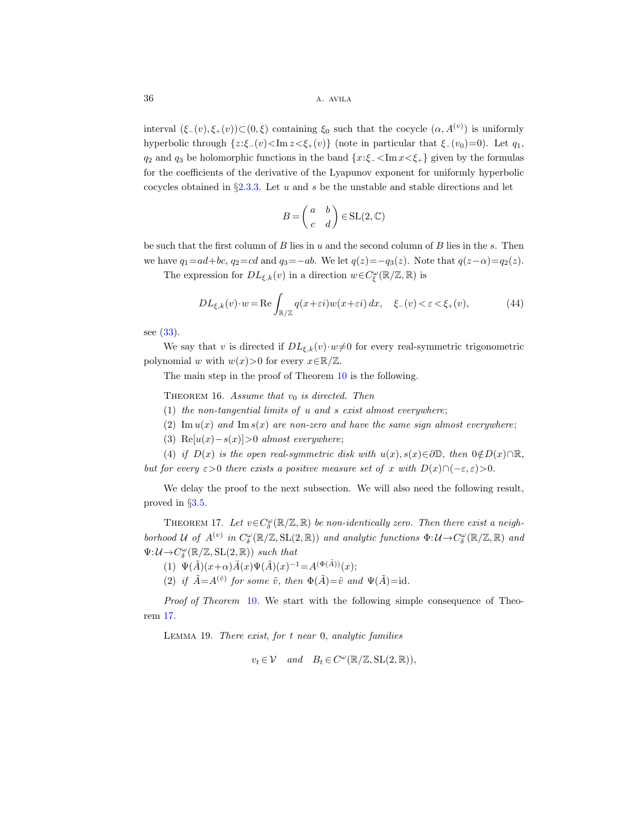$36$  a. avila

interval  $(\xi_-(v), \xi_+(v)) \subset (0, \xi)$  containing  $\xi_0$  such that the cocycle  $(\alpha, A^{(v)})$  is uniformly hyperbolic through  $\{z:\xi_-(v) < \text{Im } z < \xi_+(v)\}$  (note in particular that  $\xi_-(v_0)=0$ ). Let  $q_1$ ,  $q_2$  and  $q_3$  be holomorphic functions in the band  $\{x:\xi-\leq\text{Im }x\leq\xi_+\}$  given by the formulas for the coefficients of the derivative of the Lyapunov exponent for uniformly hyperbolic cocycles obtained in §[2.3.3.](#page-22-4) Let  $u$  and  $s$  be the unstable and stable directions and let

$$
B = \begin{pmatrix} a & b \\ c & d \end{pmatrix} \in SL(2, \mathbb{C})
$$

be such that the first column of  $B$  lies in  $u$  and the second column of  $B$  lies in the  $s$ . Then we have  $q_1=ad+bc$ ,  $q_2=cd$  and  $q_3=-ab$ . We let  $q(z)=-q_3(z)$ . Note that  $q(z-\alpha)=q_2(z)$ .

The expression for  $DL_{\xi,k}(v)$  in a direction  $w \in C_{\xi}^{\omega}(\mathbb{R}/\mathbb{Z}, \mathbb{R})$  is

<span id="page-35-3"></span>
$$
DL_{\xi,k}(v)\cdot w = \text{Re}\int_{\mathbb{R}/\mathbb{Z}} q(x+\varepsilon i)w(x+\varepsilon i) dx, \quad \xi_{-}(v) < \varepsilon < \xi_{+}(v),\tag{44}
$$

see [\(33\)](#page-24-1).

We say that v is directed if  $DL_{\xi,k}(v) \cdot w \neq 0$  for every real-symmetric trigonometric polynomial w with  $w(x) > 0$  for every  $x \in \mathbb{R}/\mathbb{Z}$ .

<span id="page-35-0"></span>The main step in the proof of Theorem [10](#page-31-0) is the following.

THEOREM 16. Assume that  $v_0$  is directed. Then

(1) the non-tangential limits of  $u$  and  $s$  exist almost everywhere;

(2) Im  $u(x)$  and Im  $s(x)$  are non-zero and have the same sign almost everywhere;

(3) Re[ $u(x) - s(x)$ ]>0 almost everywhere;

(4) if  $D(x)$  is the open real-symmetric disk with  $u(x), s(x) \in \partial \mathbb{D}$ , then  $0 \notin D(x) \cap \mathbb{R}$ , but for every  $\varepsilon > 0$  there exists a positive measure set of x with  $D(x) \cap (-\varepsilon, \varepsilon) > 0$ .

We delay the proof to the next subsection. We will also need the following result, proved in §[3.5.](#page-45-0)

<span id="page-35-1"></span>THEOREM 17. Let  $v \in C^{\omega}_{\delta}(\mathbb{R}/\mathbb{Z}, \mathbb{R})$  be non-identically zero. Then there exist a neighborhood U of  $A^{(v)}$  in  $C^{\omega}_{\delta}(\mathbb{R}/\mathbb{Z}, \text{SL}(2, \mathbb{R}))$  and analytic functions  $\Phi: \mathcal{U} \to C^{\omega}_{\delta}(\mathbb{R}/\mathbb{Z}, \mathbb{R})$  and  $\Psi: \mathcal{U} \to C^{\omega}_{\delta}(\mathbb{R}/\mathbb{Z}, \mathrm{SL}(2, \mathbb{R}))$  such that

(1)  $\Psi(\tilde{A})(x+\alpha)\tilde{A}(x)\Psi(\tilde{A})(x)^{-1} = A^{(\Phi(\tilde{A}))}(x);$ 

(2) if  $\tilde{A} = A^{(\tilde{v})}$  for some  $\tilde{v}$ , then  $\Phi(\tilde{A}) = \tilde{v}$  and  $\Psi(\tilde{A}) = id$ .

Proof of Theorem [10](#page-31-0). We start with the following simple consequence of Theorem [17.](#page-35-1)

<span id="page-35-2"></span>LEMMA 19. There exist, for  $t$  near  $0$ , analytic families

 $v_t \in \mathcal{V}$  and  $B_t \in C^{\omega}(\mathbb{R}/\mathbb{Z}, \text{SL}(2, \mathbb{R})),$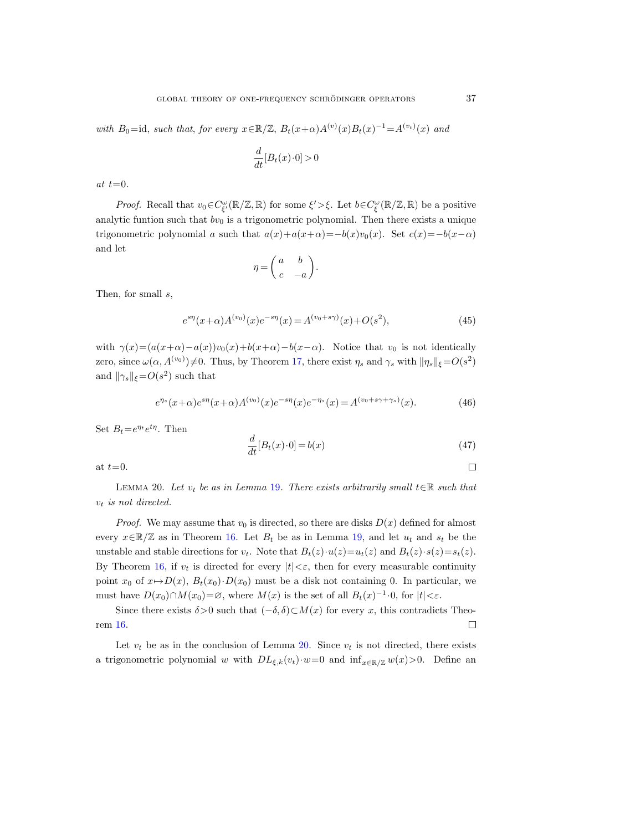with  $B_0 = id$ , such that, for every  $x \in \mathbb{R}/\mathbb{Z}$ ,  $B_t(x+\alpha)A^{(v)}(x)B_t(x)^{-1} = A^{(v_t)}(x)$  and

$$
\frac{d}{dt}[B_t(x)\cdot 0] > 0
$$

at  $t=0$ .

*Proof.* Recall that  $v_0 \in C^{\omega}_{\xi'}(\mathbb{R}/\mathbb{Z}, \mathbb{R})$  for some  $\xi' > \xi$ . Let  $b \in C^{\omega}_{\xi}(\mathbb{R}/\mathbb{Z}, \mathbb{R})$  be a positive analytic funtion such that  $bv_0$  is a trigonometric polynomial. Then there exists a unique trigonometric polynomial a such that  $a(x)+a(x+\alpha)=-b(x)v_0(x)$ . Set  $c(x)=-b(x-\alpha)$ and let

$$
\eta = \begin{pmatrix} a & b \\ c & -a \end{pmatrix}.
$$

Then, for small s,

$$
e^{s\eta}(x+\alpha)A^{(v_0)}(x)e^{-s\eta}(x) = A^{(v_0+s\gamma)}(x) + O(s^2),\tag{45}
$$

with  $\gamma(x)=(a(x+\alpha)-a(x))v_0(x)+b(x+\alpha)-b(x-\alpha)$ . Notice that  $v_0$  is not identically zero, since  $\omega(\alpha, A^{(v_0)}) \neq 0$ . Thus, by Theorem [17,](#page-35-1) there exist  $\eta_s$  and  $\gamma_s$  with  $\|\eta_s\|_{\xi} = O(s^2)$ and  $\|\gamma_s\|_{\xi} = O(s^2)$  such that

$$
e^{\eta_s}(x+\alpha)e^{s\eta}(x+\alpha)A^{(v_0)}(x)e^{-s\eta}(x)e^{-\eta_s}(x) = A^{(v_0+s\gamma+\gamma_s)}(x).
$$
 (46)

Set  $B_t = e^{\eta_t} e^{t\eta}$ . Then

$$
\frac{d}{dt}[B_t(x)\cdot 0] = b(x) \tag{47}
$$

at  $t=0$ .

<span id="page-36-0"></span>LEMMA 20. Let  $v_t$  be as in Lemma [19](#page-35-2). There exists arbitrarily small  $t \in \mathbb{R}$  such that  $v_t$  is not directed.

*Proof.* We may assume that  $v_0$  is directed, so there are disks  $D(x)$  defined for almost every  $x \in \mathbb{R}/\mathbb{Z}$  as in Theorem [16.](#page-35-0) Let  $B_t$  be as in Lemma [19,](#page-35-2) and let  $u_t$  and  $s_t$  be the unstable and stable directions for  $v_t$ . Note that  $B_t(z) \cdot u(z) = u_t(z)$  and  $B_t(z) \cdot s(z) = s_t(z)$ . By Theorem [16,](#page-35-0) if  $v_t$  is directed for every  $|t| < \varepsilon$ , then for every measurable continuity point  $x_0$  of  $x \mapsto D(x)$ ,  $B_t(x_0) \cdot D(x_0)$  must be a disk not containing 0. In particular, we must have  $D(x_0) \cap M(x_0) = \emptyset$ , where  $M(x)$  is the set of all  $B_t(x)^{-1} \cdot 0$ , for  $|t| < \varepsilon$ .

Since there exists  $\delta > 0$  such that  $(-\delta, \delta) \subset M(x)$  for every x, this contradicts Theo- $\Box$ rem [16.](#page-35-0)

Let  $v_t$  be as in the conclusion of Lemma [20.](#page-36-0) Since  $v_t$  is not directed, there exists a trigonometric polynomial w with  $DL_{\xi,k}(v_t)\cdot w=0$  and  $\inf_{x\in\mathbb{R}/\mathbb{Z}} w(x)>0$ . Define an

 $\Box$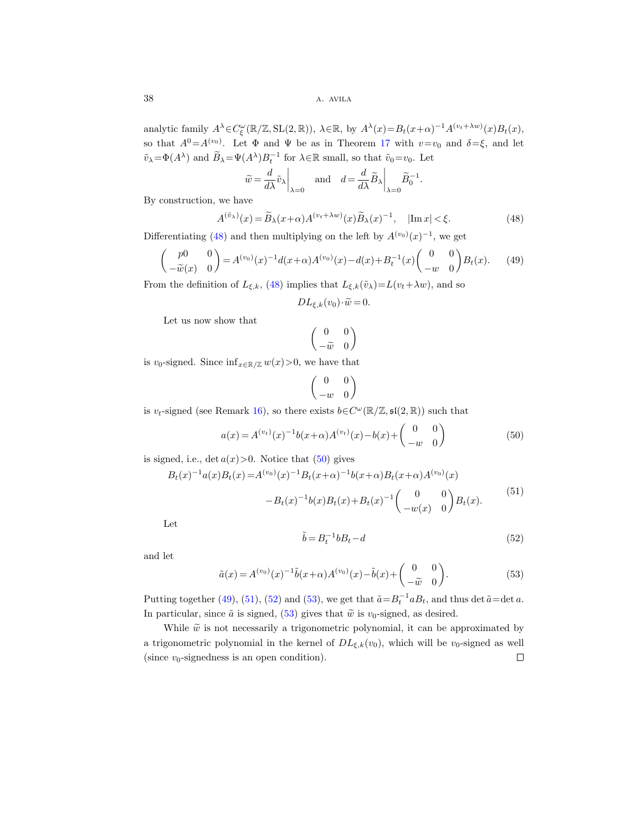38 a. avila

analytic family  $A^{\lambda} \in C^{\omega}_{\xi}(\mathbb{R}/\mathbb{Z}, \text{SL}(2, \mathbb{R}))$ ,  $\lambda \in \mathbb{R}$ , by  $A^{\lambda}(x) = B_t(x+\alpha)^{-1} A^{(v_t+\lambda w)}(x) B_t(x)$ , so that  $A^0 = A^{(v_0)}$ . Let  $\Phi$  and  $\Psi$  be as in Theorem [17](#page-35-1) with  $v=v_0$  and  $\delta = \xi$ , and let  $\tilde{v}_{\lambda} = \Phi(A^{\lambda})$  and  $\tilde{B}_{\lambda} = \Psi(A^{\lambda})B_t^{-1}$  for  $\lambda \in \mathbb{R}$  small, so that  $\tilde{v}_0 = v_0$ . Let

$$
\widetilde{w} = \frac{d}{d\lambda} \widetilde{v}_{\lambda} \bigg|_{\lambda=0}
$$
 and  $d = \frac{d}{d\lambda} \widetilde{B}_{\lambda} \bigg|_{\lambda=0} \widetilde{B}_{0}^{-1}.$ 

By construction, we have

<span id="page-37-0"></span>
$$
A^{(\tilde{v}_{\lambda})}(x) = \widetilde{B}_{\lambda}(x+\alpha)A^{(v_t+\lambda w)}(x)\widetilde{B}_{\lambda}(x)^{-1}, \quad |\text{Im}\,x| < \xi. \tag{48}
$$

Differentiating [\(48\)](#page-37-0) and then multiplying on the left by  $A^{(v_0)}(x)^{-1}$ , we get

<span id="page-37-2"></span>
$$
\begin{pmatrix} p0 & 0 \ -\widetilde{w}(x) & 0 \end{pmatrix} = A^{(v_0)}(x)^{-1}d(x+\alpha)A^{(v_0)}(x) - d(x) + B_t^{-1}(x)\begin{pmatrix} 0 & 0 \ -w & 0 \end{pmatrix}B_t(x). \tag{49}
$$

From the definition of  $L_{\xi,k}$ , [\(48\)](#page-37-0) implies that  $L_{\xi,k}(\tilde{v}_{\lambda})=L(v_t+\lambda w)$ , and so

$$
DL_{\xi,k}(v_0)\cdot \widetilde{w}=0.
$$

Let us now show that

$$
\begin{pmatrix} 0 & 0 \\ -\widetilde{w} & 0 \end{pmatrix}
$$

is v<sub>0</sub>-signed. Since  $\inf_{x \in \mathbb{R}/\mathbb{Z}} w(x) > 0$ , we have that

$$
\begin{pmatrix} 0 & 0 \\ -w & 0 \end{pmatrix}
$$

is  $v_t$ -signed (see Remark [16\)](#page-30-2), so there exists  $b \in C^{\omega}(\mathbb{R}/\mathbb{Z}, \mathfrak{sl}(2,\mathbb{R}))$  such that

<span id="page-37-1"></span>
$$
a(x) = A^{(v_t)}(x)^{-1}b(x+\alpha)A^{(v_t)}(x) - b(x) + \begin{pmatrix} 0 & 0\\ -w & 0 \end{pmatrix}
$$
 (50)

is signed, i.e.,  $\det a(x) > 0$ . Notice that [\(50\)](#page-37-1) gives

<span id="page-37-3"></span>
$$
B_t(x)^{-1}a(x)B_t(x) = A^{(v_0)}(x)^{-1}B_t(x+\alpha)^{-1}b(x+\alpha)B_t(x+\alpha)A^{(v_0)}(x)
$$

$$
-B_t(x)^{-1}b(x)B_t(x) + B_t(x)^{-1}\begin{pmatrix} 0 & 0 \ -w(x) & 0 \end{pmatrix}B_t(x).
$$

$$
f_{\rm{max}}
$$

Let

<span id="page-37-4"></span>
$$
\tilde{b} = B_t^{-1} b B_t - d \tag{52}
$$

(51)

and let

<span id="page-37-5"></span>
$$
\tilde{a}(x) = A^{(v_0)}(x)^{-1} \tilde{b}(x+\alpha) A^{(v_0)}(x) - \tilde{b}(x) + \begin{pmatrix} 0 & 0 \\ -\tilde{w} & 0 \end{pmatrix}.
$$
 (53)

Putting together [\(49\)](#page-37-2), [\(51\)](#page-37-3), [\(52\)](#page-37-4) and [\(53\)](#page-37-5), we get that  $\tilde{a} = B_t^{-1} a B_t$ , and thus det  $\tilde{a} = \det a$ . In particular, since  $\tilde{a}$  is signed, [\(53\)](#page-37-5) gives that  $\tilde{w}$  is  $v_0$ -signed, as desired.

While  $\tilde{w}$  is not necessarily a trigonometric polynomial, it can be approximated by a trigonometric polynomial in the kernel of  $DL_{\xi,k}(v_0)$ , which will be  $v_0$ -signed as well (since  $v_0$ -signedness is an open condition).  $\Box$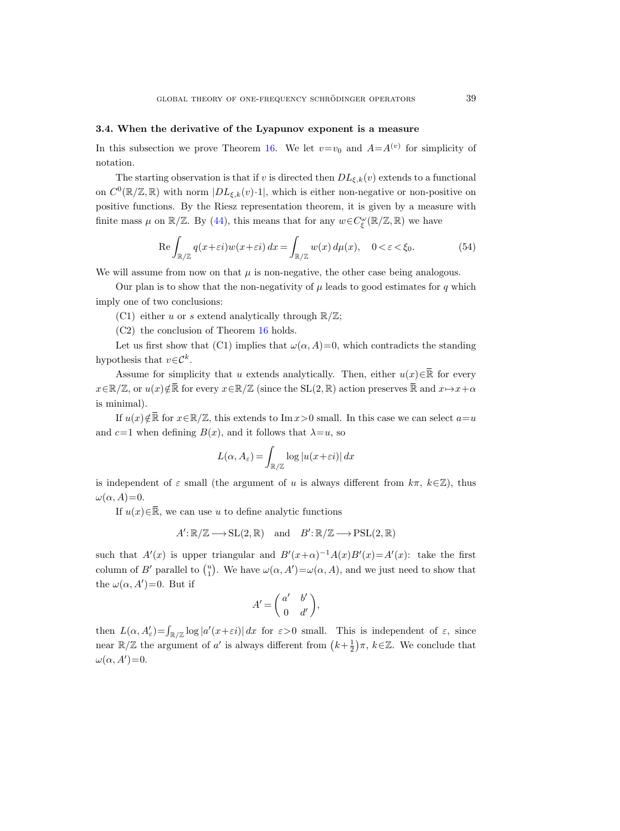### <span id="page-38-0"></span>3.4. When the derivative of the Lyapunov exponent is a measure

In this subsection we prove Theorem [16.](#page-35-0) We let  $v=v_0$  and  $A=A^{(v)}$  for simplicity of notation.

The starting observation is that if v is directed then  $DL_{\xi,k}(v)$  extends to a functional on  $C^0(\mathbb{R}/\mathbb{Z}, \mathbb{R})$  with norm  $|DL_{\xi,k}(v)\cdot 1|$ , which is either non-negative or non-positive on positive functions. By the Riesz representation theorem, it is given by a measure with finite mass  $\mu$  on  $\mathbb{R}/\mathbb{Z}$ . By [\(44\)](#page-35-3), this means that for any  $w \in C^{\omega}_{\xi}(\mathbb{R}/\mathbb{Z}, \mathbb{R})$  we have

<span id="page-38-1"></span>
$$
\operatorname{Re}\int_{\mathbb{R}/\mathbb{Z}} q(x+\varepsilon i)w(x+\varepsilon i) dx = \int_{\mathbb{R}/\mathbb{Z}} w(x) d\mu(x), \quad 0 < \varepsilon < \xi_0.
$$
 (54)

We will assume from now on that  $\mu$  is non-negative, the other case being analogous.

Our plan is to show that the non-negativity of  $\mu$  leads to good estimates for q which imply one of two conclusions:

(C1) either u or s extend analytically through  $\mathbb{R}/\mathbb{Z}$ ;

(C2) the conclusion of Theorem [16](#page-35-0) holds.

Let us first show that (C1) implies that  $\omega(\alpha, A) = 0$ , which contradicts the standing hypothesis that  $v \in \mathcal{C}^k$ .

Assume for simplicity that u extends analytically. Then, either  $u(x) \in \mathbb{R}$  for every  $x\in\mathbb{R}/\mathbb{Z}$ , or  $u(x)\notin\mathbb{\bar{R}}$  for every  $x\in\mathbb{R}/\mathbb{Z}$  (since the SL(2, R) action preserves  $\mathbb{\bar{R}}$  and  $x\mapsto x+\alpha$ is minimal).

If  $u(x) \notin \mathbb{R}$  for  $x \in \mathbb{R}/\mathbb{Z}$ , this extends to Im  $x > 0$  small. In this case we can select  $a = u$ and  $c=1$  when defining  $B(x)$ , and it follows that  $\lambda=u$ , so

$$
L(\alpha, A_{\varepsilon}) = \int_{\mathbb{R}/\mathbb{Z}} \log |u(x + \varepsilon i)| dx
$$

is independent of  $\varepsilon$  small (the argument of u is always different from  $k\pi$ ,  $k\in\mathbb{Z}$ ), thus  $\omega(\alpha, A)=0.$ 

If  $u(x) \in \mathbb{R}$ , we can use u to define analytic functions

$$
A' : \mathbb{R}/\mathbb{Z} \longrightarrow \mathrm{SL}(2, \mathbb{R}) \quad \text{and} \quad B' : \mathbb{R}/\mathbb{Z} \longrightarrow \mathrm{PSL}(2, \mathbb{R})
$$

such that  $A'(x)$  is upper triangular and  $B'(x+\alpha)^{-1}A(x)B'(x)=A'(x)$ : take the first column of B' parallel to  $\binom{u}{1}$ . We have  $\omega(\alpha, A') = \omega(\alpha, A)$ , and we just need to show that the  $\omega(\alpha, A') = 0$ . But if

$$
A' = \begin{pmatrix} a' & b' \\ 0 & d' \end{pmatrix},
$$

then  $L(\alpha, A'_\varepsilon) = \int_{\mathbb{R}/\mathbb{Z}} \log |a'(x+\varepsilon i)| dx$  for  $\varepsilon > 0$  small. This is independent of  $\varepsilon$ , since near  $\mathbb{R}/\mathbb{Z}$  the argument of a' is always different from  $(k+\frac{1}{2})\pi$ ,  $k\in\mathbb{Z}$ . We conclude that  $\omega(\alpha, A') = 0.$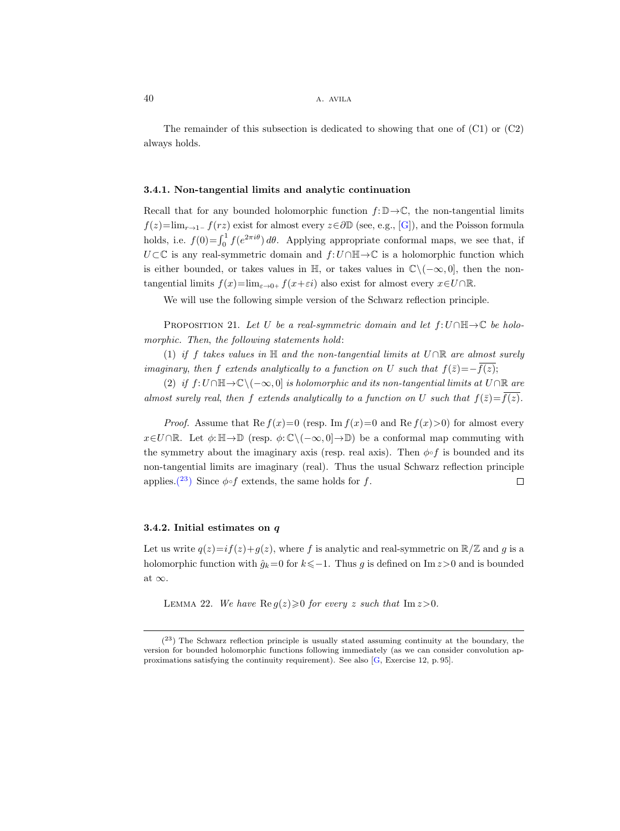The remainder of this subsection is dedicated to showing that one of  $(C1)$  or  $(C2)$ always holds.

### 3.4.1. Non-tangential limits and analytic continuation

Recall that for any bounded holomorphic function  $f: \mathbb{D} \to \mathbb{C}$ , the non-tangential limits  $f(z)=\lim_{r\to 1^-} f(rz)$  exist for almost every  $z\in \partial \mathbb{D}$  (see, e.g., [\[G\]](#page-53-11)), and the Poisson formula holds, i.e.  $f(0) = \int_0^1 f(e^{2\pi i\theta}) d\theta$ . Applying appropriate conformal maps, we see that, if  $U\subset\mathbb{C}$  is any real-symmetric domain and  $f:U\cap\mathbb{H}\to\mathbb{C}$  is a holomorphic function which is either bounded, or takes values in H, or takes values in  $\mathbb{C}\setminus(-\infty,0]$ , then the nontangential limits  $f(x)=\lim_{\varepsilon\to 0+} f(x+\varepsilon i)$  also exist for almost every  $x\in U\cap\mathbb{R}$ .

We will use the following simple version of the Schwarz reflection principle.

<span id="page-39-1"></span>PROPOSITION 21. Let U be a real-symmetric domain and let  $f:U\cap\mathbb{H}\to\mathbb{C}$  be holomorphic. Then, the following statements hold:

(1) if f takes values in  $\mathbb H$  and the non-tangential limits at  $U\cap\mathbb R$  are almost surely imaginary, then f extends analytically to a function on U such that  $f(\bar{z})=-\overline{f(z)}$ ;

(2) if  $f:U\cap\mathbb{H}\to\mathbb{C}\setminus(-\infty,0]$  is holomorphic and its non-tangential limits at  $U\cap\mathbb{R}$  are almost surely real, then f extends analytically to a function on U such that  $f(\overline{z})=\overline{f(z)}$ .

*Proof.* Assume that Re  $f(x)=0$  (resp. Im  $f(x)=0$  and Re  $f(x)>0$ ) for almost every  $x\in U\cap\mathbb{R}$ . Let  $\phi:\mathbb{H}\to\mathbb{D}$  (resp.  $\phi:\mathbb{C}\setminus(-\infty,0]\to\mathbb{D}$ ) be a conformal map commuting with the symmetry about the imaginary axis (resp. real axis). Then  $\phi \circ f$  is bounded and its non-tangential limits are imaginary (real). Thus the usual Schwarz reflection principle applies.<sup>(23)</sup> Since  $\phi \circ f$  extends, the same holds for f.  $\Box$ 

### 3.4.2. Initial estimates on  $q$

Let us write  $q(z)=if(z)+g(z)$ , where f is analytic and real-symmetric on  $\mathbb{R}/\mathbb{Z}$  and g is a holomorphic function with  $\hat{g}_k=0$  for  $k\leq -1$ . Thus g is defined on Im  $z>0$  and is bounded at  $\infty$ .

LEMMA 22. We have  $\text{Re } g(z) \geq 0$  for every z such that  $\text{Im } z > 0$ .

<span id="page-39-0"></span><sup>(</sup> <sup>23</sup>) The Schwarz reflection principle is usually stated assuming continuity at the boundary, the version for bounded holomorphic functions following immediately (as we can consider convolution approximations satisfying the continuity requirement). See also [\[G,](#page-53-11) Exercise 12, p. 95].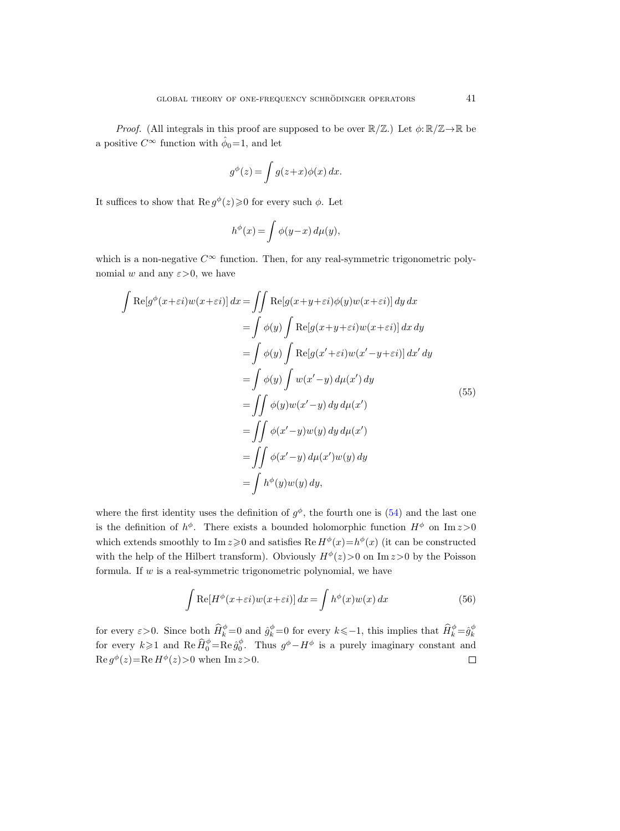*Proof.* (All integrals in this proof are supposed to be over  $\mathbb{R}/\mathbb{Z}$ .) Let  $\phi: \mathbb{R}/\mathbb{Z} \to \mathbb{R}$  be a positive  $C^{\infty}$  function with  $\hat{\phi}_0 = 1$ , and let

$$
g^{\phi}(z) = \int g(z+x)\phi(x) \, dx.
$$

It suffices to show that  $\text{Re } g^{\phi}(z) \geq 0$  for every such  $\phi$ . Let

$$
h^{\phi}(x) = \int \phi(y - x) \, d\mu(y),
$$

which is a non-negative  $C^{\infty}$  function. Then, for any real-symmetric trigonometric polynomial w and any  $\varepsilon > 0$ , we have

$$
\int \text{Re}[g^{\phi}(x+\varepsilon i)w(x+\varepsilon i)] dx = \iint \text{Re}[g(x+y+\varepsilon i)\phi(y)w(x+\varepsilon i)] dy dx
$$
  
\n
$$
= \int \phi(y) \int \text{Re}[g(x+y+\varepsilon i)w(x+\varepsilon i)] dx dy
$$
  
\n
$$
= \int \phi(y) \int \text{Re}[g(x'+\varepsilon i)w(x'-y+\varepsilon i)] dx' dy
$$
  
\n
$$
= \int \phi(y) \int w(x'-y) d\mu(x') dy
$$
  
\n
$$
= \iint \phi(y)w(x'-y) dy d\mu(x')
$$
  
\n
$$
= \iint \phi(x'-y)w(y) dy d\mu(x')
$$
  
\n
$$
= \iint \phi(x'-y) d\mu(x')w(y) dy
$$
  
\n
$$
= \int h^{\phi}(y)w(y) dy,
$$

where the first identity uses the definition of  $g^{\phi}$ , the fourth one is [\(54\)](#page-38-1) and the last one is the definition of  $h^{\phi}$ . There exists a bounded holomorphic function  $H^{\phi}$  on Im  $z>0$ which extends smoothly to Im  $z \ge 0$  and satisfies Re  $H^{\phi}(x) = h^{\phi}(x)$  (it can be constructed with the help of the Hilbert transform). Obviously  $H^{\phi}(z) > 0$  on Im  $z > 0$  by the Poisson formula. If  $w$  is a real-symmetric trigonometric polynomial, we have

$$
\int \text{Re}[H^{\phi}(x+\varepsilon i)w(x+\varepsilon i)] dx = \int h^{\phi}(x)w(x) dx \tag{56}
$$

for every  $\varepsilon > 0$ . Since both  $\widehat{H}_k^{\phi} = 0$  and  $\widehat{g}_k^{\phi} = 0$  for every  $k \le -1$ , this implies that  $\widehat{H}_k^{\phi} = \widehat{g}_k^{\phi}$  for every  $k \ge 1$  and  $\text{Re } \widehat{H}_0^{\phi} = \text{Re } \widehat{g}_0^{\phi}$ . Thus  $g^{\phi} - H^{\phi}$  is a purely  $\operatorname{Re} g^{\phi}(z) = \operatorname{Re} H^{\phi}(z) > 0$  when  $\operatorname{Im} z > 0$ .  $\Box$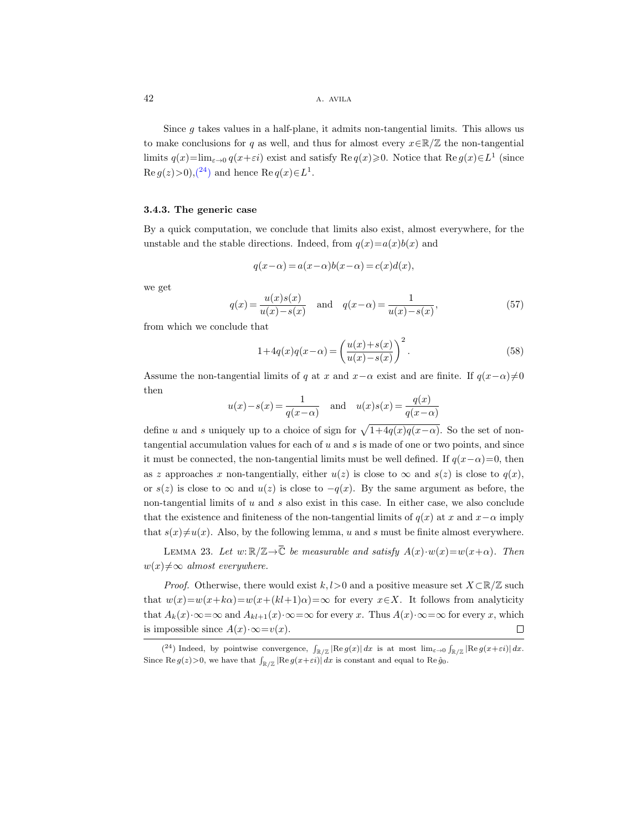Since  $g$  takes values in a half-plane, it admits non-tangential limits. This allows us to make conclusions for q as well, and thus for almost every  $x \in \mathbb{R}/\mathbb{Z}$  the non-tangential limits  $q(x)=\lim_{\varepsilon\to 0}q(x+\varepsilon i)$  exist and satisfy Re  $q(x)\geq 0$ . Notice that Re  $g(x)\in L^1$  (since  $\text{Re } g(z) > 0,$ , $\binom{24}{1}$  and hence  $\text{Re } q(x) \in L^1$ .

### <span id="page-41-1"></span>3.4.3. The generic case

By a quick computation, we conclude that limits also exist, almost everywhere, for the unstable and the stable directions. Indeed, from  $q(x)=a(x)b(x)$  and

$$
q(x - \alpha) = a(x - \alpha)b(x - \alpha) = c(x)d(x),
$$

we get

$$
q(x) = \frac{u(x)s(x)}{u(x) - s(x)}
$$
 and  $q(x-\alpha) = \frac{1}{u(x) - s(x)}$ , (57)

from which we conclude that

$$
1 + 4q(x)q(x - \alpha) = \left(\frac{u(x) + s(x)}{u(x) - s(x)}\right)^2.
$$
 (58)

Assume the non-tangential limits of q at x and  $x-\alpha$  exist and are finite. If  $q(x-\alpha) \neq 0$ then

$$
u(x)-s(x) = \frac{1}{q(x-\alpha)}
$$
 and  $u(x)s(x) = \frac{q(x)}{q(x-\alpha)}$ 

define u and s uniquely up to a choice of sign for  $\sqrt{1+4q(x)q(x-\alpha)}$ . So the set of nontangential accumulation values for each of  $u$  and  $s$  is made of one or two points, and since it must be connected, the non-tangential limits must be well defined. If  $q(x-\alpha)=0$ , then as z approaches x non-tangentially, either  $u(z)$  is close to  $\infty$  and  $s(z)$  is close to  $q(x)$ , or  $s(z)$  is close to  $\infty$  and  $u(z)$  is close to  $-q(x)$ . By the same argument as before, the non-tangential limits of u and s also exist in this case. In either case, we also conclude that the existence and finiteness of the non-tangential limits of  $q(x)$  at x and  $x-\alpha$  imply that  $s(x) \neq u(x)$ . Also, by the following lemma, u and s must be finite almost everywhere.

LEMMA 23. Let  $w: \mathbb{R}/\mathbb{Z} \to \mathbb{C}$  be measurable and satisfy  $A(x) \cdot w(x) = w(x+\alpha)$ . Then  $w(x) \neq \infty$  almost everywhere.

*Proof.* Otherwise, there would exist  $k, l>0$  and a positive measure set  $X\subset \mathbb{R}/\mathbb{Z}$  such that  $w(x)=w(x+k\alpha)=w(x+(kl+1)\alpha)=\infty$  for every  $x\in X$ . It follows from analyticity that  $A_k(x) \cdot \infty = \infty$  and  $A_{kl+1}(x) \cdot \infty = \infty$  for every x. Thus  $A(x) \cdot \infty = \infty$  for every x, which is impossible since  $A(x) \cdot \infty = v(x)$ .

<span id="page-41-0"></span> $(24)$  Indeed, by pointwise convergence,  $\int_{\mathbb{R}/\mathbb{Z}}|\text{Re }g(x)| dx$  is at most  $\lim_{\varepsilon\to 0} \int_{\mathbb{R}/\mathbb{Z}}|\text{Re }g(x+\varepsilon i)| dx$ . Since  $\text{Re } g(z) > 0$ , we have that  $\int_{\mathbb{R}/\mathbb{Z}} |\text{Re } g(x+\varepsilon i)| dx$  is constant and equal to  $\text{Re } \hat{g}_0$ .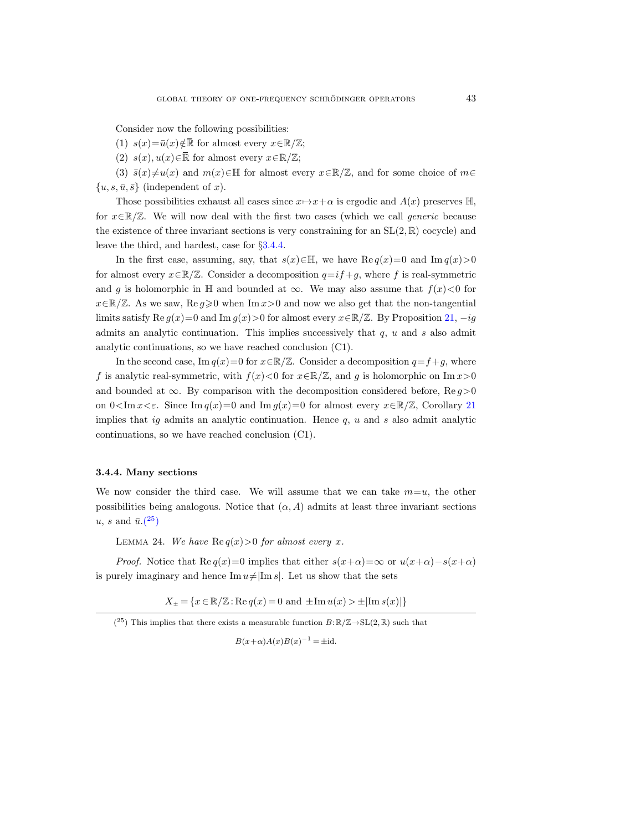Consider now the following possibilities:

(1)  $s(x)=\bar{u}(x)\notin\mathbb{R}$  for almost every  $x\in\mathbb{R}/\mathbb{Z}$ ;

(2)  $s(x), u(x) \in \mathbb{R}$  for almost every  $x \in \mathbb{R}/\mathbb{Z}$ ;

(3)  $\bar{s}(x) \neq u(x)$  and  $m(x) \in \mathbb{H}$  for almost every  $x \in \mathbb{R}/\mathbb{Z}$ , and for some choice of  $m \in \mathbb{Z}$  $\{u, s, \bar{u}, \bar{s}\}$  (independent of x).

Those possibilities exhaust all cases since  $x \mapsto x+\alpha$  is ergodic and  $A(x)$  preserves H, for  $x \in \mathbb{R}/\mathbb{Z}$ . We will now deal with the first two cases (which we call *generic* because the existence of three invariant sections is very constraining for an  $SL(2,\mathbb{R})$  cocycle) and leave the third, and hardest, case for §[3.4.4.](#page-42-0)

In the first case, assuming, say, that  $s(x) \in \mathbb{H}$ , we have Re  $q(x)=0$  and Im  $q(x)>0$ for almost every  $x \in \mathbb{R}/\mathbb{Z}$ . Consider a decomposition  $q=i f+g$ , where f is real-symmetric and g is holomorphic in H and bounded at  $\infty$ . We may also assume that  $f(x) < 0$  for  $x \in \mathbb{R}/\mathbb{Z}$ . As we saw, Re  $g \geq 0$  when Im  $x > 0$  and now we also get that the non-tangential limits satisfy Re  $q(x)=0$  and Im  $q(x)>0$  for almost every  $x\in\mathbb{R}/\mathbb{Z}$ . By Proposition [21,](#page-39-1)  $-iq$ admits an analytic continuation. This implies successively that  $q$ ,  $u$  and  $s$  also admit analytic continuations, so we have reached conclusion (C1).

In the second case, Im  $q(x)=0$  for  $x \in \mathbb{R}/\mathbb{Z}$ . Consider a decomposition  $q=f+g$ , where f is analytic real-symmetric, with  $f(x) < 0$  for  $x \in \mathbb{R}/\mathbb{Z}$ , and g is holomorphic on Im  $x > 0$ and bounded at  $\infty$ . By comparison with the decomposition considered before, Re g>0 on  $0<\text{Im }x<\varepsilon$ . Since  $\text{Im }q(x)=0$  and  $\text{Im }g(x)=0$  for almost every  $x\in\mathbb{R}/\mathbb{Z}$ , Corollary [21](#page-39-1) implies that ig admits an analytic continuation. Hence  $q$ ,  $u$  and  $s$  also admit analytic continuations, so we have reached conclusion (C1).

### <span id="page-42-0"></span>3.4.4. Many sections

We now consider the third case. We will assume that we can take  $m=u$ , the other possibilities being analogous. Notice that  $(\alpha, A)$  admits at least three invariant sections  $u, s \text{ and } \bar{u}.$ <sup>(25</sup>)

LEMMA 24. We have  $\text{Re } q(x) > 0$  for almost every x.

*Proof.* Notice that  $\text{Re } q(x)=0$  implies that either  $s(x+\alpha)=\infty$  or  $u(x+\alpha)-s(x+\alpha)$ is purely imaginary and hence  $\text{Im } u \neq |\text{Im } s|$ . Let us show that the sets

 $X_{\pm} = \{x \in \mathbb{R}/\mathbb{Z} : \text{Re } q(x) = 0 \text{ and } \pm \text{Im } u(x) > \pm |\text{Im } s(x)|\}$ 

<span id="page-42-1"></span>(<sup>25</sup>) This implies that there exists a measurable function  $B: \mathbb{R}/\mathbb{Z} \rightarrow$  SL(2,  $\mathbb{R}$ ) such that

 $B(x+\alpha)A(x)B(x)^{-1} = \pm id.$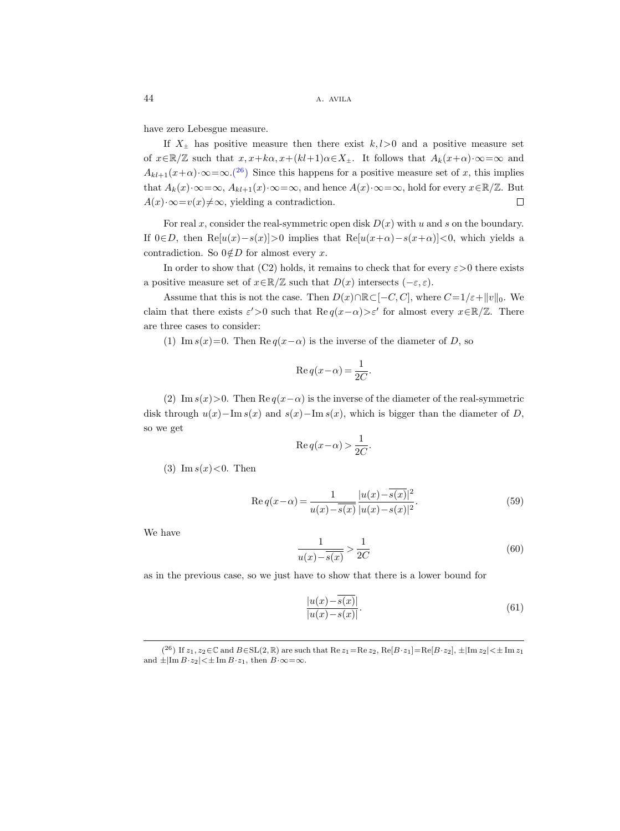have zero Lebesgue measure.

If  $X_{\pm}$  has positive measure then there exist  $k, l>0$  and a positive measure set of  $x \in \mathbb{R}/\mathbb{Z}$  such that  $x, x+k\alpha, x+(kl+1)\alpha \in X_{\pm}$ . It follows that  $A_k(x+\alpha) \cdot \infty = \infty$  and  $A_{kl+1}(x+\alpha) \cdot \infty = \infty$ [.\(](#page-43-0)<sup>26</sup>) Since this happens for a positive measure set of x, this implies that  $A_k(x) \cdot \infty = \infty$ ,  $A_{kl+1}(x) \cdot \infty = \infty$ , and hence  $A(x) \cdot \infty = \infty$ , hold for every  $x \in \mathbb{R}/\mathbb{Z}$ . But  $A(x) \cdot \infty = v(x) \neq \infty$ , yielding a contradiction.  $\Box$ 

For real x, consider the real-symmetric open disk  $D(x)$  with u and s on the boundary. If  $0\in D$ , then Re[ $u(x)-s(x)|>0$  implies that Re[ $u(x+\alpha)-s(x+\alpha)|<0$ , which yields a contradiction. So  $0 \notin D$  for almost every x.

In order to show that (C2) holds, it remains to check that for every  $\varepsilon > 0$  there exists a positive measure set of  $x \in \mathbb{R}/\mathbb{Z}$  such that  $D(x)$  intersects  $(-\varepsilon, \varepsilon)$ .

Assume that this is not the case. Then  $D(x) \cap \mathbb{R} \subset [-C, C]$ , where  $C=1/\varepsilon+\|v\|_0$ . We claim that there exists  $\varepsilon' > 0$  such that  $\text{Re } q(x-\alpha) > \varepsilon'$  for almost every  $x \in \mathbb{R}/\mathbb{Z}$ . There are three cases to consider:

(1) Im  $s(x)=0$ . Then Re  $q(x-\alpha)$  is the inverse of the diameter of D, so

$$
\operatorname{Re} q(x - \alpha) = \frac{1}{2C}.
$$

(2) Im  $s(x) > 0$ . Then Re  $q(x-α)$  is the inverse of the diameter of the real-symmetric disk through  $u(x)$ −Im s(x) and s(x)−Im s(x), which is bigger than the diameter of D, so we get

$$
\operatorname{Re} q(x - \alpha) > \frac{1}{2C}
$$

(3) Im  $s(x)$  < 0. Then

$$
\operatorname{Re} q(x - \alpha) = \frac{1}{u(x) - \overline{s(x)}} \frac{|u(x) - \overline{s(x)}|^2}{|u(x) - s(x)|^2}.
$$
\n(59)

.

We have

$$
\frac{1}{u(x) - \overline{s(x)}} > \frac{1}{2C}
$$
\n
$$
(60)
$$

as in the previous case, so we just have to show that there is a lower bound for

$$
\frac{|u(x)-\overline{s(x)}|}{|u(x)-s(x)|}.\tag{61}
$$

<span id="page-43-0"></span> $(2^6)$  If  $z_1, z_2 \in \mathbb{C}$  and  $B \in SL(2, \mathbb{R})$  are such that  $\text{Re } z_1 = \text{Re } z_2$ ,  $\text{Re}[B \cdot z_1] = \text{Re}[B \cdot z_2]$ ,  $\pm |\text{Im } z_2| < \pm \text{Im } z_1$ and  $\pm |\text{Im } B \cdot z_2| < \pm \text{Im } B \cdot z_1$ , then  $B \cdot \infty = \infty$ .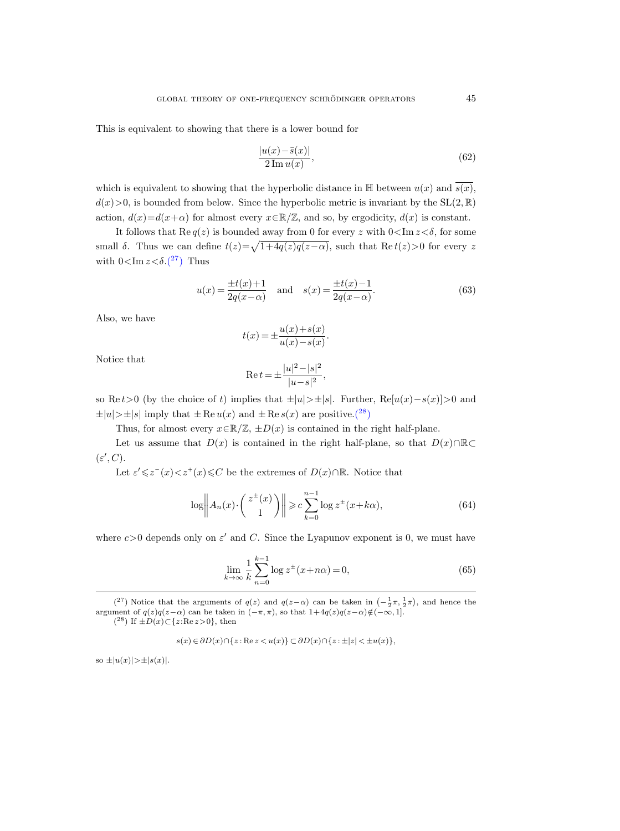This is equivalent to showing that there is a lower bound for

$$
\frac{|u(x) - \bar{s}(x)|}{2 \operatorname{Im} u(x)},\tag{62}
$$

which is equivalent to showing that the hyperbolic distance in  $\mathbb{H}$  between  $u(x)$  and  $\overline{s(x)}$ ,  $d(x)$ >0, is bounded from below. Since the hyperbolic metric is invariant by the SL(2, R) action,  $d(x)=d(x+\alpha)$  for almost every  $x\in\mathbb{R}/\mathbb{Z}$ , and so, by ergodicity,  $d(x)$  is constant.

It follows that  $\text{Re } q(z)$  is bounded away from 0 for every z with  $0 \leq \text{Im } z \leq \delta$ , for some small  $\delta$ . Thus we can define  $t(z) = \sqrt{1+4q(z)q(z-\alpha)}$ , such that Re  $t(z) > 0$  for every z with  $0<\text{Im } z<\delta.$  (<sup>27</sup>) Thus

$$
u(x) = \frac{\pm t(x) + 1}{2q(x - \alpha)}
$$
 and  $s(x) = \frac{\pm t(x) - 1}{2q(x - \alpha)}$ . (63)

Also, we have

$$
t(x) = \pm \frac{u(x) + s(x)}{u(x) - s(x)}.
$$

Notice that

$$
\text{Re}\,t = \pm \frac{|u|^2 - |s|^2}{|u - s|^2},
$$

so Re t>0 (by the choice of t) implies that  $\pm |u| > \pm |s|$ . Further, Re $[u(x)-s(x)] > 0$  and  $\pm |u| > \pm |s|$  imply that  $\pm \operatorname{Re} u(x)$  and  $\pm \operatorname{Re} s(x)$  are positive.<sup>(28)</sup>

Thus, for almost every  $x \in \mathbb{R}/\mathbb{Z}$ ,  $\pm D(x)$  is contained in the right half-plane.

Let us assume that  $D(x)$  is contained in the right half-plane, so that  $D(x) \cap \mathbb{R} \subset$  $(\varepsilon', C).$ 

Let  $\varepsilon' \leqslant z^-(x) \leqslant z^+(x) \leqslant C$  be the extremes of  $D(x) \cap \mathbb{R}$ . Notice that

$$
\log \left\| A_n(x) \cdot \binom{z^{\pm}(x)}{1} \right\| \geqslant c \sum_{k=0}^{n-1} \log z^{\pm}(x+k\alpha),\tag{64}
$$

where  $c>0$  depends only on  $\varepsilon'$  and C. Since the Lyapunov exponent is 0, we must have

$$
\lim_{k \to \infty} \frac{1}{k} \sum_{n=0}^{k-1} \log z^{\pm} (x + n\alpha) = 0,
$$
\n(65)

(<sup>27</sup>) Notice that the arguments of  $q(z)$  and  $q(z-\alpha)$  can be taken in  $\left(-\frac{1}{2}\pi,\frac{1}{2}\pi\right)$ , and hence the argument of  $q(z)q(z-\alpha)$  can be taken in  $(-\pi, \pi)$ , so that  $1+4q(z)q(z-\alpha) \notin (-\infty, 1]$ .

<span id="page-44-1"></span><span id="page-44-0"></span> $(28)$  If  $\pm D(x) \subset \{z:\text{Re } z > 0\}$ , then

$$
s(x) \in \partial D(x) \cap \{z : \text{Re } z < u(x)\} \subset \partial D(x) \cap \{z : \pm |z| < \pm u(x)\},
$$

so  $\pm |u(x)| > \pm |s(x)|$ .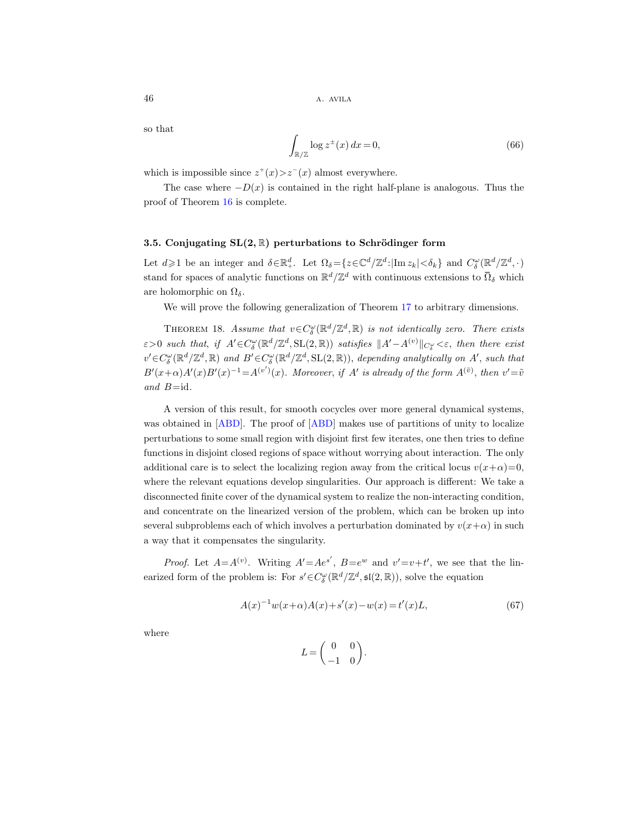$$
46 \t\t A. AVILA
$$

so that

$$
\int_{\mathbb{R}/\mathbb{Z}} \log z^{\pm}(x) dx = 0,
$$
\n(66)

which is impossible since  $z^+(x) > z^-(x)$  almost everywhere.

The case where  $-D(x)$  is contained in the right half-plane is analogous. Thus the proof of Theorem [16](#page-35-0) is complete.

### <span id="page-45-0"></span>3.5. Conjugating  $SL(2, \mathbb{R})$  perturbations to Schrödinger form

Let  $d \ge 1$  be an integer and  $\delta \in \mathbb{R}^d_+$ . Let  $\Omega_{\delta} = \{z \in \mathbb{C}^d/\mathbb{Z}^d : |\text{Im } z_k| < \delta_k \}$  and  $C^{\omega}_{\delta}(\mathbb{R}^d/\mathbb{Z}^d, \cdot)$ stand for spaces of analytic functions on  $\mathbb{R}^d/\mathbb{Z}^d$  with continuous extensions to  $\overline{\Omega}_{\delta}$  which are holomorphic on  $\Omega_{\delta}$ .

We will prove the following generalization of Theorem [17](#page-35-1) to arbitrary dimensions.

THEOREM 18. Assume that  $v \in C^{\omega}_{\delta}(\mathbb{R}^d/\mathbb{Z}^d, \mathbb{R})$  is not identically zero. There exists  $\varepsilon > 0$  such that, if  $A' \in C^{\omega}_{\delta}(\mathbb{R}^d/\mathbb{Z}^d, SL(2, \mathbb{R}))$  satisfies  $||A' - A^{(v)}||_{C^{\omega}_{\delta}} < \varepsilon$ , then there exist  $v' \in C^{\omega}_{\delta}(\mathbb{R}^d/\mathbb{Z}^d, \mathbb{R})$  and  $B' \in C^{\omega}_{\delta}(\mathbb{R}^d/\mathbb{Z}^d, SL(2, \mathbb{R}))$ , depending analytically on A', such that  $B'(x+\alpha)A'(x)B'(x)^{-1} = A^{(v')}(x)$ . Moreover, if A' is already of the form  $A^{(\tilde{v})}$ , then  $v' = \tilde{v}$ and  $B=id$ .

A version of this result, for smooth cocycles over more general dynamical systems, was obtained in [\[ABD\]](#page-52-18). The proof of [ABD] makes use of partitions of unity to localize perturbations to some small region with disjoint first few iterates, one then tries to define functions in disjoint closed regions of space without worrying about interaction. The only additional care is to select the localizing region away from the critical locus  $v(x+\alpha)=0$ , where the relevant equations develop singularities. Our approach is different: We take a disconnected finite cover of the dynamical system to realize the non-interacting condition, and concentrate on the linearized version of the problem, which can be broken up into several subproblems each of which involves a perturbation dominated by  $v(x+\alpha)$  in such a way that it compensates the singularity.

*Proof.* Let  $A = A^{(v)}$ . Writing  $A' = Ae^{s'}$ ,  $B = e^w$  and  $v' = v + t'$ , we see that the linearized form of the problem is: For  $s' \in C^{\omega}_{\delta}(\mathbb{R}^d/\mathbb{Z}^d, \mathfrak{sl}(2,\mathbb{R}))$ , solve the equation

<span id="page-45-1"></span>
$$
A(x)^{-1}w(x+\alpha)A(x)+s'(x)-w(x)=t'(x)L,
$$
\n(67)

where

$$
L = \begin{pmatrix} 0 & 0 \\ -1 & 0 \end{pmatrix}.
$$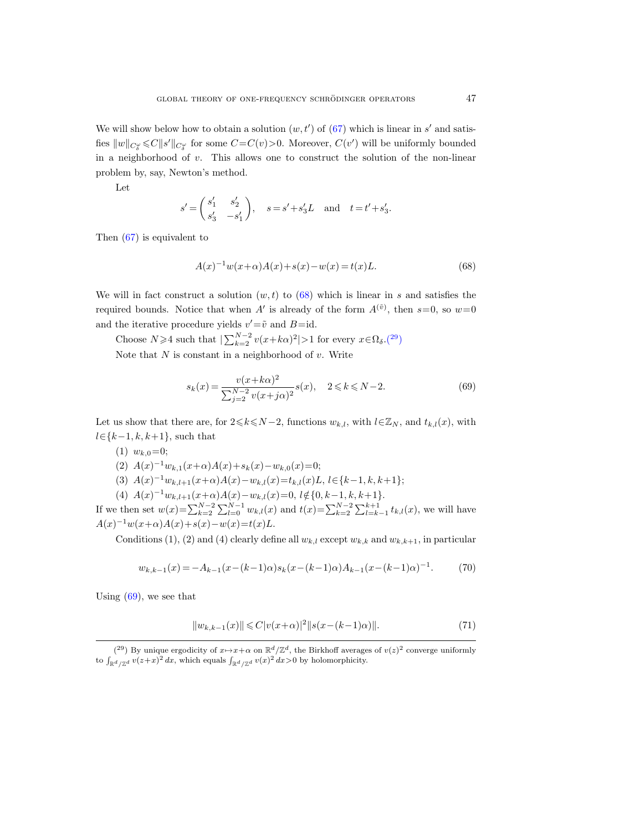We will show below how to obtain a solution  $(w, t')$  of  $(67)$  which is linear in s' and satisfies  $||w||_{C^{\omega}_{\delta}} \leq C||s'||_{C^{\omega}_{\delta}}$  for some  $C = C(v) > 0$ . Moreover,  $C(v')$  will be uniformly bounded in a neighborhood of v. This allows one to construct the solution of the non-linear problem by, say, Newton's method.

Let

$$
s' = \begin{pmatrix} s'_1 & s'_2 \\ s'_3 & -s'_1 \end{pmatrix}
$$
,  $s = s' + s'_3L$  and  $t = t' + s'_3$ .

Then [\(67\)](#page-45-1) is equivalent to

<span id="page-46-0"></span>
$$
A(x)^{-1}w(x+\alpha)A(x) + s(x) - w(x) = t(x)L.
$$
\n(68)

We will in fact construct a solution  $(w, t)$  to [\(68\)](#page-46-0) which is linear in s and satisfies the required bounds. Notice that when A' is already of the form  $A^{(\tilde{v})}$ , then  $s=0$ , so  $w=0$ and the iterative procedure yields  $v' = \tilde{v}$  and  $B = id$ .

Choose  $N \ge 4$  such that  $\left| \sum_{k=2}^{N-2} v(x+k\alpha)^2 \right| > 1$  for every  $x \in \Omega_{\delta}$ .(<sup>[29](#page-46-1)</sup>)

Note that  $N$  is constant in a neighborhood of  $v$ . Write

<span id="page-46-2"></span>
$$
s_k(x) = \frac{v(x+k\alpha)^2}{\sum_{j=2}^{N-2} v(x+j\alpha)^2} s(x), \quad 2 \le k \le N-2.
$$
 (69)

Let us show that there are, for  $2 \le k \le N-2$ , functions  $w_{k,l}$ , with  $l \in \mathbb{Z}_N$ , and  $t_{k,l}(x)$ , with  $l \in \{k-1, k, k+1\}$ , such that

- $(1)$   $w_{k,0}=0;$
- (2)  $A(x)^{-1}w_{k,1}(x+\alpha)A(x)+s_k(x)-w_{k,0}(x)=0;$
- (3)  $A(x)^{-1}w_{k,l+1}(x+\alpha)A(x)-w_{k,l}(x)=t_{k,l}(x)L, l\in\{k-1,k,k+1\};$
- (4)  $A(x)^{-1}w_{k,l+1}(x+\alpha)A(x)-w_{k,l}(x)=0, l \notin \{0, k-1, k, k+1\}.$

If we then set  $w(x) = \sum_{k=2}^{N-2} \sum_{l=0}^{N-1} w_{k,l}(x)$  and  $t(x) = \sum_{k=2}^{N-2} \sum_{l=k-1}^{k+1} t_{k,l}(x)$ , we will have  $A(x)^{-1}w(x+\alpha)A(x)+s(x)-w(x)=t(x)L.$ 

Conditions (1), (2) and (4) clearly define all  $w_{k,l}$  except  $w_{k,k}$  and  $w_{k,k+1}$ , in particular

$$
w_{k,k-1}(x) = -A_{k-1}(x - (k-1)\alpha)s_k(x - (k-1)\alpha)A_{k-1}(x - (k-1)\alpha)^{-1}.
$$
 (70)

Using [\(69\)](#page-46-2), we see that

<span id="page-46-3"></span>
$$
||w_{k,k-1}(x)|| \leq C|v(x+\alpha)|^2||s(x-(k-1)\alpha)||. \tag{71}
$$

<span id="page-46-1"></span>(<sup>29</sup>) By unique ergodicity of  $x \mapsto x+\alpha$  on  $\mathbb{R}^d/\mathbb{Z}^d$ , the Birkhoff averages of  $v(z)^2$  converge uniformly to  $\int_{\mathbb{R}^d/\mathbb{Z}^d} v(z+x)^2 dx$ , which equals  $\int_{\mathbb{R}^d/\mathbb{Z}^d} v(x)^2 dx>0$  by holomorphicity.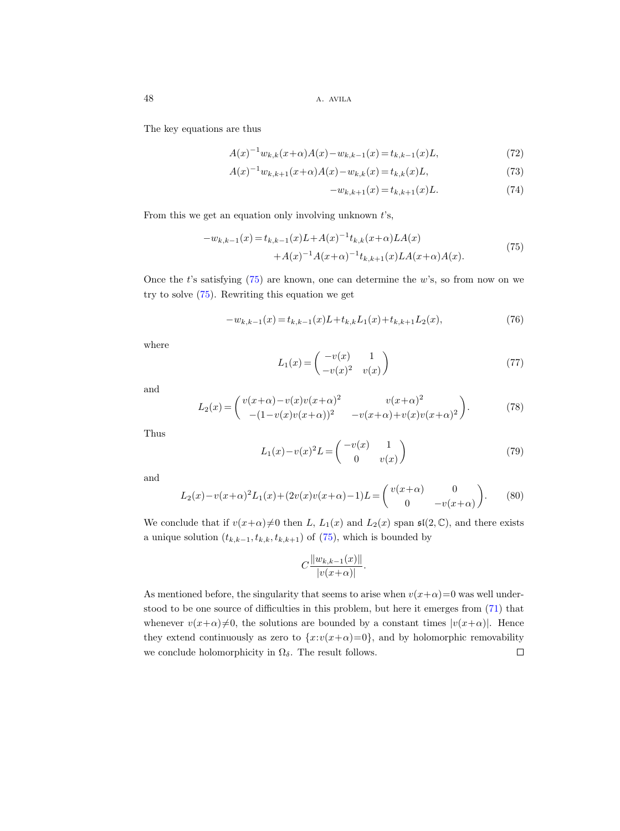The key equations are thus

$$
A(x)^{-1}w_{k,k}(x+\alpha)A(x)-w_{k,k-1}(x)=t_{k,k-1}(x)L,
$$
\n(72)

$$
A(x)^{-1}w_{k,k+1}(x+\alpha)A(x)-w_{k,k}(x)=t_{k,k}(x)L,
$$
\n(73)

$$
-w_{k,k+1}(x) = t_{k,k+1}(x)L.
$$
\n(74)

<span id="page-47-0"></span>From this we get an equation only involving unknown  $t$ 's,

$$
-w_{k,k-1}(x) = t_{k,k-1}(x)L + A(x)^{-1}t_{k,k}(x+\alpha)LA(x)
$$
  
+
$$
A(x)^{-1}A(x+\alpha)^{-1}t_{k,k+1}(x)LA(x+\alpha)A(x).
$$
 (75)

Once the t's satisfying  $(75)$  are known, one can determine the w's, so from now on we try to solve [\(75\)](#page-47-0). Rewriting this equation we get

$$
-w_{k,k-1}(x) = t_{k,k-1}(x)L + t_{k,k}L_1(x) + t_{k,k+1}L_2(x),
$$
\n(76)

where

$$
L_1(x) = \begin{pmatrix} -v(x) & 1\\ -v(x)^2 & v(x) \end{pmatrix}
$$
\n
$$
(77)
$$

and

$$
L_2(x) = \begin{pmatrix} v(x+\alpha) - v(x)v(x+\alpha)^2 & v(x+\alpha)^2 \\ -(1-v(x)v(x+\alpha))^2 & -v(x+\alpha)+v(x)v(x+\alpha)^2 \end{pmatrix}.
$$
 (78)

Thus

$$
L_1(x) - v(x)^2 L = \begin{pmatrix} -v(x) & 1\\ 0 & v(x) \end{pmatrix}
$$
 (79)

and

$$
L_2(x) - v(x+\alpha)^2 L_1(x) + (2v(x)v(x+\alpha) - 1)L = \begin{pmatrix} v(x+\alpha) & 0\\ 0 & -v(x+\alpha) \end{pmatrix}.
$$
 (80)

We conclude that if  $v(x+\alpha)\neq 0$  then L,  $L_1(x)$  and  $L_2(x)$  span  $\mathfrak{sl}(2,\mathbb{C})$ , and there exists a unique solution  $(t_{k,k-1}, t_{k,k}, t_{k,k+1})$  of  $(75)$ , which is bounded by

$$
C \frac{\|w_{k,k-1}(x)\|}{|v(x+\alpha)|}.
$$

As mentioned before, the singularity that seems to arise when  $v(x+\alpha)=0$  was well understood to be one source of difficulties in this problem, but here it emerges from [\(71\)](#page-46-3) that whenever  $v(x+\alpha)\neq0$ , the solutions are bounded by a constant times  $|v(x+\alpha)|$ . Hence they extend continuously as zero to  $\{x: v(x+\alpha)=0\}$ , and by holomorphic removability we conclude holomorphicity in  $\Omega_{\delta}$ . The result follows.  $\Box$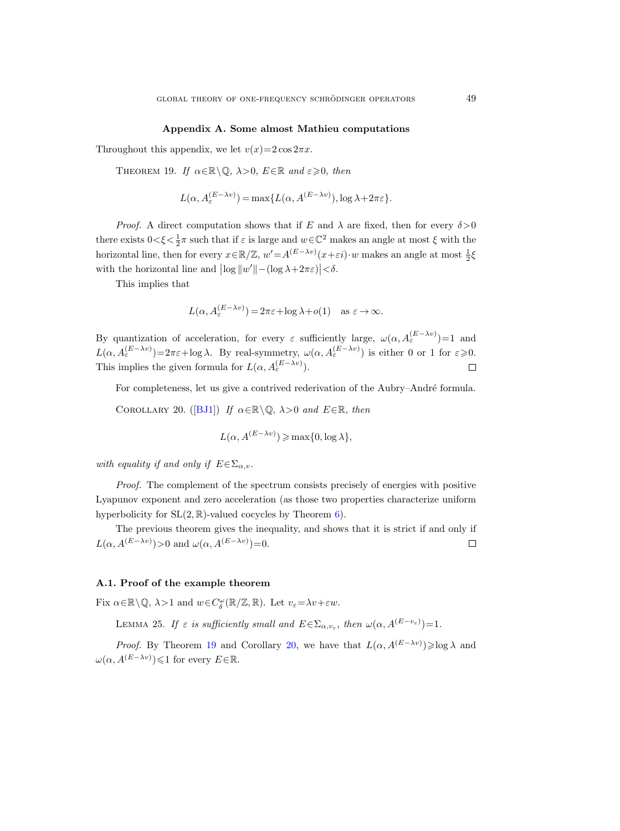### Appendix A. Some almost Mathieu computations

<span id="page-48-1"></span><span id="page-48-0"></span>Throughout this appendix, we let  $v(x)=2\cos 2\pi x$ .

THEOREM 19. If  $\alpha \in \mathbb{R} \setminus \mathbb{Q}$ ,  $\lambda > 0$ ,  $E \in \mathbb{R}$  and  $\varepsilon \geq 0$ , then

$$
L(\alpha,A_\varepsilon^{(E-\lambda v)})=\max\{L(\alpha,A^{(E-\lambda v)}),\log\lambda+2\pi\varepsilon\}.
$$

*Proof.* A direct computation shows that if E and  $\lambda$  are fixed, then for every  $\delta > 0$ there exists  $0 < \xi < \frac{1}{2}\pi$  such that if  $\varepsilon$  is large and  $w \in \mathbb{C}^2$  makes an angle at most  $\xi$  with the horizontal line, then for every  $x \in \mathbb{R}/\mathbb{Z}$ ,  $w' = A^{(E-\lambda v)}(x+\varepsilon i) \cdot w$  makes an angle at most  $\frac{1}{2}\xi$ with the horizontal line and  $\left|\log\|w'\| - (\log \lambda + 2\pi\varepsilon)\right| < \delta$ .

This implies that

$$
L(\alpha, A_{\varepsilon}^{(E-\lambda v)}) = 2\pi\varepsilon + \log \lambda + o(1) \quad \text{as } \varepsilon \to \infty.
$$

By quantization of acceleration, for every  $\varepsilon$  sufficiently large,  $\omega(\alpha, A_{\varepsilon}^{(E-\lambda v)})=1$  and  $L(\alpha, A_{\varepsilon}^{(E-\lambda v)}) = 2\pi\varepsilon + \log \lambda$ . By real-symmetry,  $\omega(\alpha, A_{\varepsilon}^{(E-\lambda v)})$  is either 0 or 1 for  $\varepsilon \geqslant 0$ . This implies the given formula for  $L(\alpha, A_{\varepsilon}^{(E-\lambda v)})$ .  $\Box$ 

For completeness, let us give a contrived rederivation of the Aubry–André formula.

<span id="page-48-2"></span>COROLLARY 20. ([\[BJ1\]](#page-52-2)) If  $\alpha \in \mathbb{R} \setminus \mathbb{Q}, \lambda > 0$  and  $E \in \mathbb{R}$ , then

$$
L(\alpha, A^{(E-\lambda v)}) \ge \max\{0, \log \lambda\},\
$$

with equality if and only if  $E \in \Sigma_{\alpha,\nu}$ .

Proof. The complement of the spectrum consists precisely of energies with positive Lyapunov exponent and zero acceleration (as those two properties characterize uniform hyperbolicity for  $SL(2, \mathbb{R})$ -valued cocycles by Theorem [6\)](#page-12-1).

The previous theorem gives the inequality, and shows that it is strict if and only if  $L(\alpha, A^{(E-\lambda v)}) > 0$  and  $\omega(\alpha, A^{(E-\lambda v)}) = 0$ .  $\Box$ 

### A.1. Proof of the example theorem

Fix  $\alpha \in \mathbb{R} \setminus \mathbb{Q}$ ,  $\lambda > 1$  and  $w \in C^{\omega}_{\delta}(\mathbb{R}/\mathbb{Z}, \mathbb{R})$ . Let  $v_{\varepsilon} = \lambda v + \varepsilon w$ .

LEMMA 25. If  $\varepsilon$  is sufficiently small and  $E \in \sum_{\alpha,v_{\varepsilon}}$ , then  $\omega(\alpha, A^{(E-v_{\varepsilon})})=1$ .

*Proof.* By Theorem [19](#page-48-1) and Corollary [20,](#page-48-2) we have that  $L(\alpha, A^{(E-\lambda v)}) \geq \log \lambda$  and  $\omega(\alpha, A^{(E-\lambda v)}) \leq 1$  for every  $E \in \mathbb{R}$ .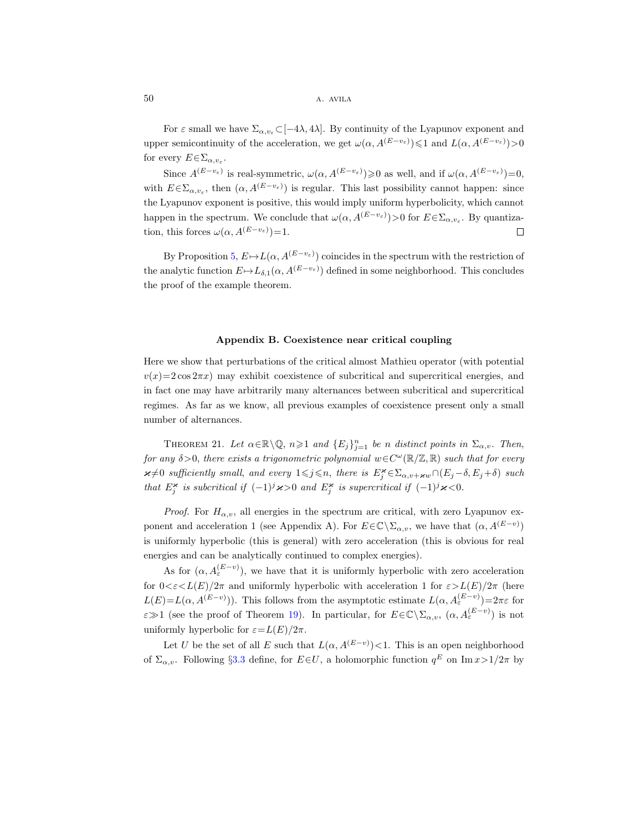For  $\varepsilon$  small we have  $\Sigma_{\alpha,v_{\varepsilon}}\subset [-4\lambda, 4\lambda]$ . By continuity of the Lyapunov exponent and upper semicontinuity of the acceleration, we get  $\omega(\alpha, A^{(E-v_{\varepsilon})}) \leq 1$  and  $L(\alpha, A^{(E-v_{\varepsilon})}) > 0$ for every  $E \in \Sigma_{\alpha, v_{\varepsilon}}$ .

Since  $A^{(E-v_{\varepsilon})}$  is real-symmetric,  $\omega(\alpha, A^{(E-v_{\varepsilon})}) \geq 0$  as well, and if  $\omega(\alpha, A^{(E-v_{\varepsilon})})=0$ , with  $E \in \Sigma_{\alpha,v_{\varepsilon}}$ , then  $(\alpha, A^{(E-v_{\varepsilon})})$  is regular. This last possibility cannot happen: since the Lyapunov exponent is positive, this would imply uniform hyperbolicity, which cannot happen in the spectrum. We conclude that  $\omega(\alpha, A^{(E-v_{\varepsilon})})>0$  for  $E \in \Sigma_{\alpha, v_{\varepsilon}}$ . By quantization, this forces  $\omega(\alpha, A^{(E-v_{\varepsilon})})=1$ .  $\Box$ 

By Proposition [5,](#page-14-0)  $E \mapsto L(\alpha, A^{(E-v_{\varepsilon})})$  coincides in the spectrum with the restriction of the analytic function  $E \mapsto L_{\delta,1}(\alpha, A^{(E-v_{\varepsilon})})$  defined in some neighborhood. This concludes the proof of the example theorem.

### Appendix B. Coexistence near critical coupling

<span id="page-49-0"></span>Here we show that perturbations of the critical almost Mathieu operator (with potential  $v(x)=2\cos 2\pi x$  may exhibit coexistence of subcritical and supercritical energies, and in fact one may have arbitrarily many alternances between subcritical and supercritical regimes. As far as we know, all previous examples of coexistence present only a small number of alternances.

THEOREM 21. Let  $\alpha \in \mathbb{R} \setminus \mathbb{Q}$ ,  $n \geqslant 1$  and  $\{E_j\}_{j=1}^n$  be n distinct points in  $\Sigma_{\alpha,v}$ . Then, for any  $\delta > 0$ , there exists a trigonometric polynomial  $w \in C^{\omega}(\mathbb{R}/\mathbb{Z}, \mathbb{R})$  such that for every  $\mathbf{z} \neq 0$  sufficiently small, and every  $1 \leq j \leq n$ , there is  $E_j^{\mathbf{z}} \in \Sigma_{\alpha,v+\mathbf{z}w} \cap (E_j-\delta, E_j+\delta)$  such that  $E_j^{\times}$  is subcritical if  $(-1)^j \times 0$  and  $E_j^{\times}$  is supercritical if  $(-1)^j \times 0$ .

*Proof.* For  $H_{\alpha,v}$ , all energies in the spectrum are critical, with zero Lyapunov exponent and acceleration 1 (see Appendix A). For  $E \in \mathbb{C} \setminus \Sigma_{\alpha,v}$ , we have that  $(\alpha, A^{(E-v)})$ is uniformly hyperbolic (this is general) with zero acceleration (this is obvious for real energies and can be analytically continued to complex energies).

As for  $(\alpha, A_{\varepsilon}^{(E-v)})$ , we have that it is uniformly hyperbolic with zero acceleration for  $0 < \varepsilon < L(E)/2\pi$  and uniformly hyperbolic with acceleration 1 for  $\varepsilon > L(E)/2\pi$  (here  $L(E) = L(\alpha, A^{(E-v)})$ ). This follows from the asymptotic estimate  $L(\alpha, A_{\varepsilon}^{(E-v)}) = 2\pi\varepsilon$  for  $\varepsilon \gg 1$  (see the proof of Theorem [19\)](#page-48-1). In particular, for  $E \in \mathbb{C} \setminus \Sigma_{\alpha,v}$ ,  $(\alpha, A_{\varepsilon}^{(E-v)})$  is not uniformly hyperbolic for  $\varepsilon = L(E)/2\pi$ .

Let U be the set of all E such that  $L(\alpha, A^{(E-v)})$ <1. This is an open neighborhood of  $\Sigma_{\alpha,v}$ . Following §[3.3](#page-34-1) define, for  $E \in U$ , a holomorphic function  $q^E$  on Im  $x > 1/2\pi$  by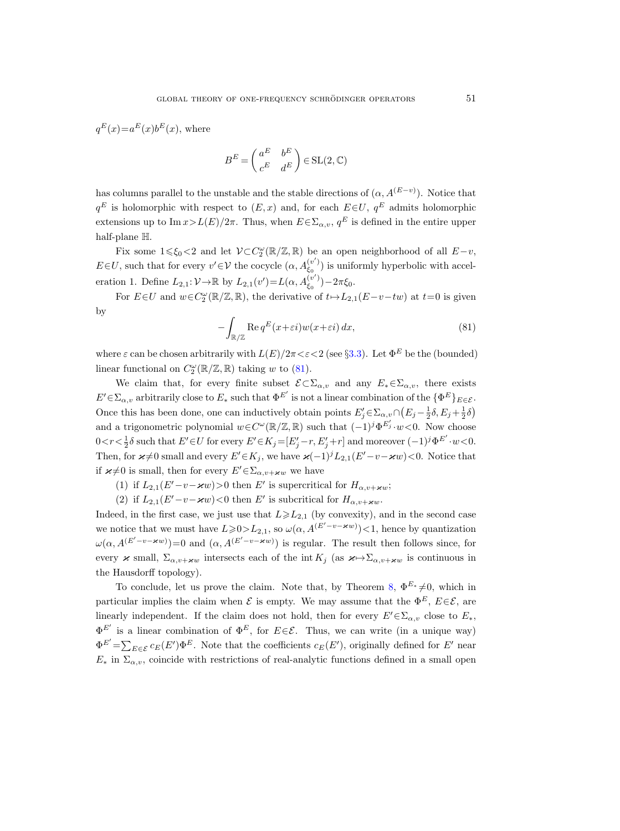$q^{E}(x)=a^{E}(x)b^{E}(x),$  where

$$
B^{E} = \begin{pmatrix} a^{E} & b^{E} \\ c^{E} & d^{E} \end{pmatrix} \in SL(2, \mathbb{C})
$$

has columns parallel to the unstable and the stable directions of  $(\alpha, A^{(E-v)})$ . Notice that  $q^E$  is holomorphic with respect to  $(E, x)$  and, for each  $E \in U, q^E$  admits holomorphic extensions up to  $\text{Im} x > L(E)/2\pi$ . Thus, when  $E \in \Sigma_{\alpha,v}$ ,  $q^E$  is defined in the entire upper half-plane H.

Fix some  $1 \leq \xi_0 < 2$  and let  $\mathcal{V} \subset C_2^{\omega}(\mathbb{R}/\mathbb{Z}, \mathbb{R})$  be an open neighborhood of all  $E-v$ , 2  $E \in U$ , such that for every  $v' \in V$  the cocycle  $(\alpha, A_{\varepsilon_0}^{(v')})$  $\binom{v}{\xi_0}$ ) is uniformly hyperbolic with acceleration 1. Define  $L_{2,1}: \mathcal{V} \to \mathbb{R}$  by  $L_{2,1}(v') = L(\alpha, A_{\xi_0}^{(v')})$  $(\frac{v}{\xi_0})^{\prime}$  –  $2\pi \xi_0$ .

For  $E \in U$  and  $w \in C_2^{\omega}(\mathbb{R}/\mathbb{Z}, \mathbb{R})$ , the derivative of  $t \mapsto L_{2,1}(E-v-tw)$  at  $t=0$  is given by

<span id="page-50-0"></span>
$$
-\int_{\mathbb{R}/\mathbb{Z}} \operatorname{Re} q^E(x+\varepsilon i) w(x+\varepsilon i) dx, \tag{81}
$$

where  $\varepsilon$  can be chosen arbitrarily with  $L(E)/2\pi < \varepsilon < 2$  (see §[3.3\)](#page-34-1). Let  $\Phi^E$  be the (bounded) linear functional on  $C_2^{\omega}(\mathbb{R}/\mathbb{Z}, \mathbb{R})$  taking w to [\(81\)](#page-50-0).

We claim that, for every finite subset  $\mathcal{E} \subset \Sigma_{\alpha,v}$  and any  $E_* \in \Sigma_{\alpha,v}$ , there exists  $E' \in \Sigma_{\alpha,v}$  arbitrarily close to  $E_*$  such that  $\Phi^{E'}$  is not a linear combination of the  $\{\Phi^E\}_{E \in \mathcal{E}}$ . Once this has been done, one can inductively obtain points  $E'_j \in \sum_{\alpha,v} \bigcap (E_j - \frac{1}{2}\delta, E_j + \frac{1}{2}\delta)$ and a trigonometric polynomial  $w \in C^{\omega}(\mathbb{R}/\mathbb{Z}, \mathbb{R})$  such that  $(-1)^{j} \Phi^{E'_j} \cdot w < 0$ . Now choose  $0 < r < \frac{1}{2}\delta$  such that  $E' \in U$  for every  $E' \in K_j = [E'_j - r, E'_j + r]$  and moreover  $(-1)^j \Phi^{E'} \cdot w < 0$ . Then, for  $\varkappa \neq 0$  small and every  $E' \in K_j$ , we have  $\varkappa (-1)^jL_{2,1}(E'-v-\varkappa w) < 0$ . Notice that if  $\varkappa \neq 0$  is small, then for every  $E' \in \Sigma_{\alpha,v+\varkappa w}$  we have

- (1) if  $L_{2,1}(E'-v-\varkappa w)>0$  then E' is supercritical for  $H_{\alpha,v+\varkappa w}$ ;
- (2) if  $L_{2,1}(E'-v-\varkappa w)$  < 0 then E' is subcritical for  $H_{\alpha,v+\varkappa w}$ .

Indeed, in the first case, we just use that  $L \ge L_{2,1}$  (by convexity), and in the second case we notice that we must have  $L \ge 0 > L_{2,1}$ , so  $\omega(\alpha, A^{(E'-v-\varkappa w)}) < 1$ , hence by quantization  $\omega(\alpha, A^{(E'-v-\varkappa w)})=0$  and  $(\alpha, A^{(E'-v-\varkappa w)})$  is regular. The result then follows since, for every  $\varkappa$  small,  $\Sigma_{\alpha,v+\varkappa w}$  intersects each of the int  $K_j$  (as  $\varkappa \mapsto \Sigma_{\alpha,v+\varkappa w}$  is continuous in the Hausdorff topology).

To conclude, let us prove the claim. Note that, by Theorem [8,](#page-15-1)  $\Phi^{E_*} \neq 0$ , which in particular implies the claim when  $\mathcal E$  is empty. We may assume that the  $\Phi^E$ ,  $E\in\mathcal E$ , are linearly independent. If the claim does not hold, then for every  $E' \in \Sigma_{\alpha,v}$  close to  $E_*,$  $\Phi^{E'}$  is a linear combination of  $\Phi^E$ , for  $E \in \mathcal{E}$ . Thus, we can write (in a unique way)  $\Phi^{E'} = \sum_{E \in \mathcal{E}} c_E(E') \Phi^E$ . Note that the coefficients  $c_E(E')$ , originally defined for E' near  $E_*$  in  $\Sigma_{\alpha,v}$ , coincide with restrictions of real-analytic functions defined in a small open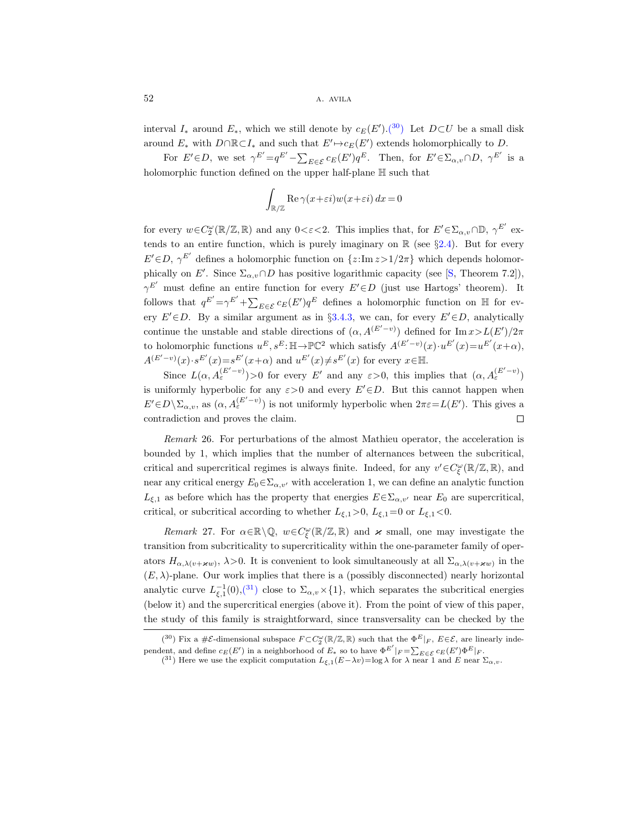interval  $I_*$  around  $E_*$ , which we still denote by  $c_E(E')$ [.\(](#page-51-0)<sup>30</sup>) Let  $D\subset U$  be a small disk around  $E_*$  with  $D \cap \mathbb{R} \subset I_*$  and such that  $E' \rightarrow c_E(E')$  extends holomorphically to D.

For  $E' \in D$ , we set  $\gamma^{E'} = q^{E'} - \sum_{E \in \mathcal{E}} c_E(E') q^E$ . Then, for  $E' \in \sum_{\alpha,v} \cap D$ ,  $\gamma^{E'}$  is a holomorphic function defined on the upper half-plane H such that

$$
\int_{\mathbb{R}/\mathbb{Z}} \text{Re}\,\gamma(x+\varepsilon i)w(x+\varepsilon i)\,dx = 0
$$

for every  $w \in C_2^{\omega}(\mathbb{R}/\mathbb{Z}, \mathbb{R})$  and any  $0 < \varepsilon < 2$ . This implies that, for  $E' \in \Sigma_{\alpha,v} \cap \mathbb{D}$ ,  $\gamma^{E'}$  extends to an entire function, which is purely imaginary on  $\mathbb{R}$  (see §[2.4\)](#page-24-0). But for every  $E' \in D$ ,  $\gamma^{E'}$  defines a holomorphic function on  $\{z:\text{Im } z > 1/2\pi\}$  which depends holomorphically on E'. Since  $\Sigma_{\alpha,v} \cap D$  has positive logarithmic capacity (see [\[S,](#page-53-12) Theorem 7.2]),  $\gamma^{E'}$  must define an entire function for every  $E' \in D$  (just use Hartogs' theorem). It follows that  $q^{E'} = \gamma^{E'} + \sum_{E \in \mathcal{E}} c_E(E') q^E$  defines a holomorphic function on  $\mathbb{H}$  for every  $E' \in D$ . By a similar argument as in §[3.4.3,](#page-41-1) we can, for every  $E' \in D$ , analytically continue the unstable and stable directions of  $(\alpha, A^{(E'-v)})$  defined for  $\text{Im } x > L(E')/2\pi$ to holomorphic functions  $u^E$ ,  $s^E$ :  $\mathbb{H} \to \mathbb{PC}^2$  which satisfy  $A^{(E'-v)}(x) \cdot u^{E'}(x) = u^{E'}(x+\alpha)$ ,  $A^{(E'-v)}(x) \cdot s^{E'}(x) = s^{E'}(x+\alpha)$  and  $u^{E'}(x) \neq s^{E'}(x)$  for every  $x \in \mathbb{H}$ .

Since  $L(\alpha, A_{\varepsilon}^{(E'-v)}) > 0$  for every E' and any  $\varepsilon > 0$ , this implies that  $(\alpha, A_{\varepsilon}^{(E'-v)})$ is uniformly hyperbolic for any  $\varepsilon > 0$  and every  $E' \in D$ . But this cannot happen when  $E' \in D \backslash \Sigma_{\alpha,v}$ , as  $(\alpha, A_{\varepsilon}^{(E'-v)})$  is not uniformly hyperbolic when  $2\pi\varepsilon = L(E')$ . This gives a contradiction and proves the claim.  $\Box$ 

Remark 26. For perturbations of the almost Mathieu operator, the acceleration is bounded by 1, which implies that the number of alternances between the subcritical, critical and supercritical regimes is always finite. Indeed, for any  $v' \in C^{\omega}_{\xi}(\mathbb{R}/\mathbb{Z}, \mathbb{R})$ , and near any critical energy  $E_0 \in \Sigma_{\alpha,v'}$  with acceleration 1, we can define an analytic function  $L_{\xi,1}$  as before which has the property that energies  $E \in \Sigma_{\alpha,v'}$  near  $E_0$  are supercritical, critical, or subcritical according to whether  $L_{\xi,1}>0$ ,  $L_{\xi,1}=0$  or  $L_{\xi,1}<0$ .

Remark 27. For  $\alpha \in \mathbb{R} \setminus \mathbb{Q}$ ,  $w \in C^{\omega}_{\xi}(\mathbb{R}/\mathbb{Z}, \mathbb{R})$  and  $\varkappa$  small, one may investigate the transition from subcriticality to supercriticality within the one-parameter family of operators  $H_{\alpha,\lambda(v+\varkappa w)}$ ,  $\lambda > 0$ . It is convenient to look simultaneously at all  $\Sigma_{\alpha,\lambda(v+\varkappa w)}$  in the  $(E, \lambda)$ -plane. Our work implies that there is a (possibly disconnected) nearly horizontal analytic curve  $L_{\xi,1}^{-1}(0),$  (31) close to  $\Sigma_{\alpha,v}\times\{1\}$ , which separates the subcritical energies (below it) and the supercritical energies (above it). From the point of view of this paper, the study of this family is straightforward, since transversality can be checked by the

<sup>(&</sup>lt;sup>30</sup>) Fix a #*E*-dimensional subspace  $F \subset C_2^{\omega}(\mathbb{R}/\mathbb{Z}, \mathbb{R})$  such that the  $\Phi^E|_F$ ,  $E \in \mathcal{E}$ , are linearly independent, and define  $c_E(E')$  in a neighborhood of  $E_*$  so to have  $\Phi^{E'}|_F = \sum_{E \in \mathcal{E}} c_E(E') \Phi^E|_F$ .

<span id="page-51-1"></span><span id="page-51-0"></span><sup>(&</sup>lt;sup>31</sup>) Here we use the explicit computation  $L_{\xi,1}(E-\lambda v) = \log \lambda$  for  $\lambda$  near 1 and E near  $\Sigma_{\alpha,v}$ .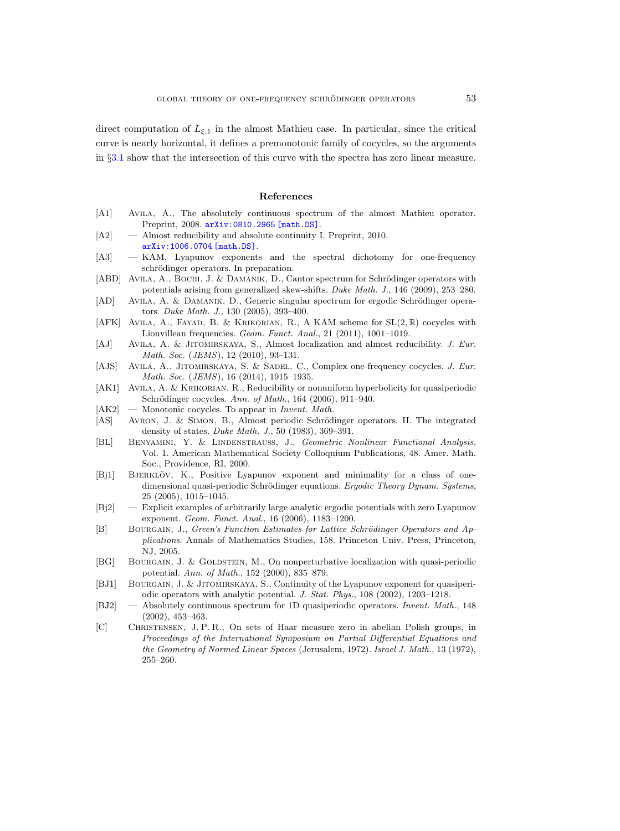direct computation of  $L_{\xi,1}$  in the almost Mathieu case. In particular, since the critical curve is nearly horizontal, it defines a premonotonic family of cocycles, so the arguments in §[3.1](#page-28-2) show that the intersection of this curve with the spectra has zero linear measure.

### References

- <span id="page-52-9"></span>[A1] Avila, A., The absolutely continuous spectrum of the almost Mathieu operator. Preprint, 2008. [arXiv:0810.2965 \[math.DS\]](http://arxiv.org/abs/0810.2965).
- <span id="page-52-7"></span>[A2] — Almost reducibility and absolute continuity I. Preprint, 2010. [arXiv:1006.0704 \[math.DS\]](http://arxiv.org/abs/1006.0704).
- <span id="page-52-10"></span>[A3] — KAM, Lyapunov exponents and the spectral dichotomy for one-frequency schrödinger operators. In preparation.
- <span id="page-52-18"></span>[ABD] AVILA, A., BOCHI, J. & DAMANIK, D., Cantor spectrum for Schrödinger operators with potentials arising from generalized skew-shifts. Duke Math. J., 146 (2009), 253–280.
- <span id="page-52-16"></span>[AD] AVILA, A. & DAMANIK, D., Generic singular spectrum for ergodic Schrödinger operators. Duke Math. J., 130 (2005), 393–400.
- <span id="page-52-6"></span>[AFK] AVILA, A., FAYAD, B. & KRIKORIAN, R., A KAM scheme for  $SL(2,\mathbb{R})$  cocycles with Liouvillean frequencies. Geom. Funct. Anal., 21 (2011), 1001–1019.
- <span id="page-52-5"></span>[AJ] AVILA, A. & JITOMIRSKAYA, S., Almost localization and almost reducibility. J. Eur. Math. Soc. (JEMS), 12 (2010), 93–131.
- <span id="page-52-17"></span>[AJS] AVILA, A., JITOMIRSKAYA, S. & SADEL, C., Complex one-frequency cocycles. J. Eur. Math. Soc. (JEMS), 16 (2014), 1915–1935.
- <span id="page-52-4"></span>[AK1] Avila, A. & Krikorian, R., Reducibility or nonuniform hyperbolicity for quasiperiodic Schrödinger cocycles. Ann. of Math., 164 (2006), 911–940.
- <span id="page-52-13"></span> $[AK2] \longrightarrow$  Monotonic cocycles. To appear in *Invent. Math.*
- <span id="page-52-15"></span>[AS] Avron, J. & SIMON, B., Almost periodic Schrödinger operators. II. The integrated density of states. Duke Math. J., 50 (1983), 369–391.
- <span id="page-52-12"></span>[BL] Benyamini, Y. & Lindenstrauss, J., Geometric Nonlinear Functional Analysis. Vol. 1. American Mathematical Society Colloquium Publications, 48. Amer. Math. Soc., Providence, RI, 2000.
- <span id="page-52-8"></span>[Bj1] BJERKLÖV, K., Positive Lyapunov exponent and minimality for a class of onedimensional quasi-periodic Schrödinger equations. Ergodic Theory Dynam. Systems, 25 (2005), 1015–1045.
- <span id="page-52-14"></span>[Bj2] — Explicit examples of arbitrarily large analytic ergodic potentials with zero Lyapunov exponent. Geom. Funct. Anal., 16 (2006), 1183–1200.
- <span id="page-52-1"></span>[B] BOURGAIN, J., Green's Function Estimates for Lattice Schrödinger Operators and Applications. Annals of Mathematics Studies, 158. Princeton Univ. Press, Princeton, NJ, 2005.
- <span id="page-52-0"></span>[BG] BOURGAIN, J. & GOLDSTEIN, M., On nonperturbative localization with quasi-periodic potential. Ann. of Math., 152 (2000), 835–879.
- <span id="page-52-2"></span>[BJ1] Bourgain, J. & Jitomirskaya, S., Continuity of the Lyapunov exponent for quasiperiodic operators with analytic potential. J. Stat. Phys., 108 (2002), 1203–1218.
- <span id="page-52-3"></span>[BJ2] — Absolutely continuous spectrum for 1D quasiperiodic operators. Invent. Math., 148 (2002), 453–463.
- <span id="page-52-11"></span>[C] Christensen, J. P. R., On sets of Haar measure zero in abelian Polish groups, in Proceedings of the International Symposium on Partial Differential Equations and the Geometry of Normed Linear Spaces (Jerusalem, 1972). Israel J. Math., 13 (1972), 255–260.